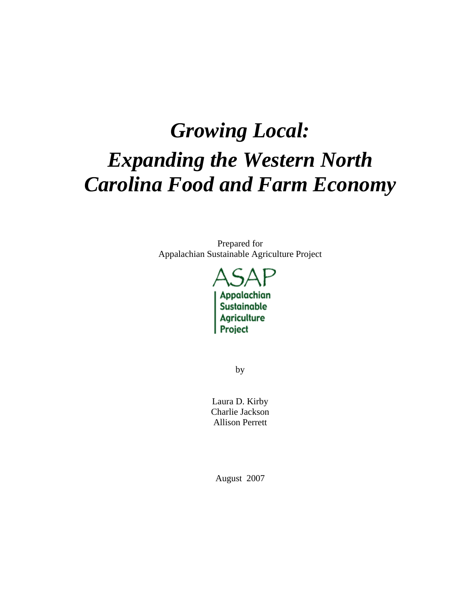# *Growing Local: Expanding the Western North Carolina Food and Farm Economy*

Prepared for Appalachian Sustainable Agriculture Project



by

Laura D. Kirby Charlie Jackson Allison Perrett

August 2007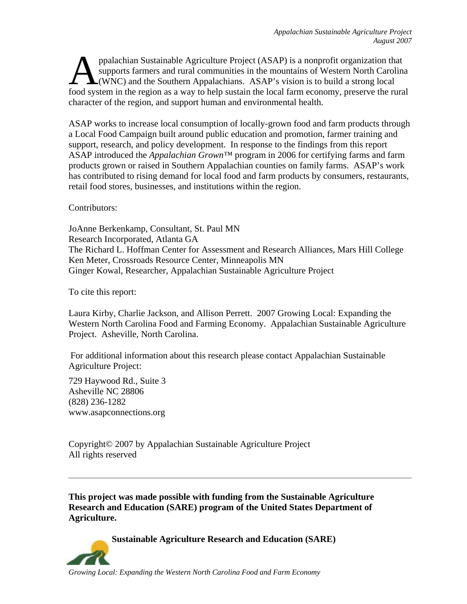ppalachian Sustainable Agriculture Project (ASAP) is a nonprofit organization that supports farmers and rural communities in the mountains of Western North Carolina (WNC) and the Southern Appalachians. ASAP's vision is to build a strong local ppalachian Sustainable Agriculture Project (ASAP) is a nonprofit organization that<br>supports farmers and rural communities in the mountains of Western North Carolina<br>food system in the region as a way to help sustain the lo character of the region, and support human and environmental health.

ASAP works to increase local consumption of locally-grown food and farm products through a Local Food Campaign built around public education and promotion, farmer training and support, research, and policy development. In response to the findings from this report ASAP introduced the *Appalachian Grown™* program in 2006 for certifying farms and farm products grown or raised in Southern Appalachian counties on family farms. ASAP's work has contributed to rising demand for local food and farm products by consumers, restaurants, retail food stores, businesses, and institutions within the region.

Contributors:

JoAnne Berkenkamp, Consultant, St. Paul MN Research Incorporated, Atlanta GA The Richard L. Hoffman Center for Assessment and Research Alliances, Mars Hill College Ken Meter, Crossroads Resource Center, Minneapolis MN Ginger Kowal, Researcher, Appalachian Sustainable Agriculture Project

To cite this report:

Laura Kirby, Charlie Jackson, and Allison Perrett. 2007 Growing Local: Expanding the Western North Carolina Food and Farming Economy. Appalachian Sustainable Agriculture Project. Asheville, North Carolina.

For additional information about this research please contact Appalachian Sustainable Agriculture Project:

729 Haywood Rd., Suite 3 Asheville NC 28806 (828) 236-1282 www.asapconnections.org

Copyright© 2007 by Appalachian Sustainable Agriculture Project All rights reserved

**This project was made possible with funding from the Sustainable Agriculture Research and Education (SARE) program of the United States Department of Agriculture.**

**Sustainable Agriculture Research and Education (SARE)**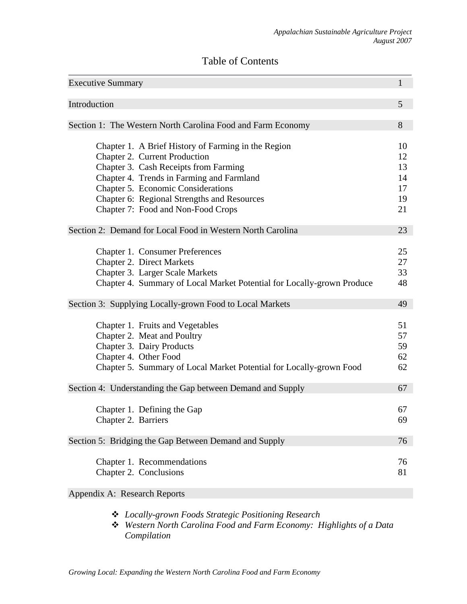# Table of Contents

| <b>Executive Summary</b>     |                                                                                                                                                                                                                         | $\mathbf{1}$               |
|------------------------------|-------------------------------------------------------------------------------------------------------------------------------------------------------------------------------------------------------------------------|----------------------------|
| Introduction                 |                                                                                                                                                                                                                         | 5                          |
|                              | Section 1: The Western North Carolina Food and Farm Economy                                                                                                                                                             | 8                          |
|                              |                                                                                                                                                                                                                         |                            |
|                              | Chapter 1. A Brief History of Farming in the Region<br>Chapter 2. Current Production<br>Chapter 3. Cash Receipts from Farming<br>Chapter 4. Trends in Farming and Farmland<br><b>Chapter 5. Economic Considerations</b> | 10<br>12<br>13<br>14<br>17 |
|                              | Chapter 6: Regional Strengths and Resources                                                                                                                                                                             | 19                         |
|                              | Chapter 7: Food and Non-Food Crops                                                                                                                                                                                      | 21                         |
|                              | Section 2: Demand for Local Food in Western North Carolina                                                                                                                                                              | 23                         |
|                              | Chapter 1. Consumer Preferences<br><b>Chapter 2. Direct Markets</b><br>Chapter 3. Larger Scale Markets<br>Chapter 4. Summary of Local Market Potential for Locally-grown Produce                                        | 25<br>27<br>33<br>48       |
|                              | Section 3: Supplying Locally-grown Food to Local Markets                                                                                                                                                                | 49                         |
|                              | Chapter 1. Fruits and Vegetables<br>Chapter 2. Meat and Poultry<br>Chapter 3. Dairy Products<br>Chapter 4. Other Food<br>Chapter 5. Summary of Local Market Potential for Locally-grown Food                            | 51<br>57<br>59<br>62<br>62 |
|                              | Section 4: Understanding the Gap between Demand and Supply                                                                                                                                                              | 67                         |
| Chapter 2. Barriers          | Chapter 1. Defining the Gap                                                                                                                                                                                             | 67<br>69                   |
|                              | Section 5: Bridging the Gap Between Demand and Supply                                                                                                                                                                   | 76                         |
|                              | Chapter 1. Recommendations<br>Chapter 2. Conclusions                                                                                                                                                                    | 76<br>81                   |
| Appendix A: Research Reports |                                                                                                                                                                                                                         |                            |

- *Locally-grown Foods Strategic Positioning Research*
- *Western North Carolina Food and Farm Economy: Highlights of a Data Compilation*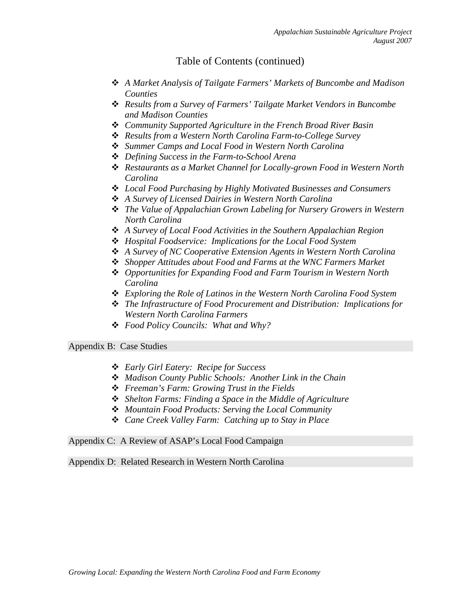## Table of Contents (continued)

- *A Market Analysis of Tailgate Farmers' Markets of Buncombe and Madison Counties*
- *Results from a Survey of Farmers' Tailgate Market Vendors in Buncombe and Madison Counties*
- *Community Supported Agriculture in the French Broad River Basin*
- *Results from a Western North Carolina Farm-to-College Survey*
- *Summer Camps and Local Food in Western North Carolina*
- *Defining Success in the Farm-to-School Arena*
- *Restaurants as a Market Channel for Locally-grown Food in Western North Carolina*
- *Local Food Purchasing by Highly Motivated Businesses and Consumers*
- *A Survey of Licensed Dairies in Western North Carolina*
- *The Value of Appalachian Grown Labeling for Nursery Growers in Western North Carolina*
- *A Survey of Local Food Activities in the Southern Appalachian Region*
- *Hospital Foodservice: Implications for the Local Food System*
- *A Survey of NC Cooperative Extension Agents in Western North Carolina*
- *Shopper Attitudes about Food and Farms at the WNC Farmers Market*
- *Opportunities for Expanding Food and Farm Tourism in Western North Carolina*
- *Exploring the Role of Latinos in the Western North Carolina Food System*
- *The Infrastructure of Food Procurement and Distribution: Implications for Western North Carolina Farmers*
- *Food Policy Councils: What and Why?*

Appendix B: Case Studies

- *Early Girl Eatery: Recipe for Success*
- *Madison County Public Schools: Another Link in the Chain*
- *Freeman's Farm: Growing Trust in the Fields*
- *Shelton Farms: Finding a Space in the Middle of Agriculture*
- *Mountain Food Products: Serving the Local Community*
- *Cane Creek Valley Farm: Catching up to Stay in Place*

Appendix C: A Review of ASAP's Local Food Campaign

Appendix D: Related Research in Western North Carolina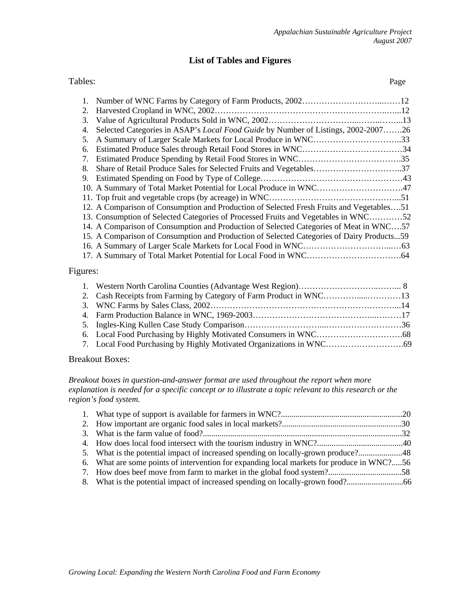## **List of Tables and Figures**

#### Tables: Page

| 2.                               |                                                                                           |  |
|----------------------------------|-------------------------------------------------------------------------------------------|--|
| 3.                               |                                                                                           |  |
| 4.                               | Selected Categories in ASAP's Local Food Guide by Number of Listings, 2002-200726         |  |
| 5.                               | A Summary of Larger Scale Markets for Local Produce in WNC33                              |  |
| 6.                               |                                                                                           |  |
| $7_{\scriptscriptstyle{\ddots}}$ |                                                                                           |  |
| 8.                               | Share of Retail Produce Sales for Selected Fruits and Vegetables37                        |  |
| 9.                               |                                                                                           |  |
|                                  | 10. A Summary of Total Market Potential for Local Produce in WNC47                        |  |
|                                  |                                                                                           |  |
|                                  | 12. A Comparison of Consumption and Production of Selected Fresh Fruits and Vegetables51  |  |
|                                  | 13. Consumption of Selected Categories of Processed Fruits and Vegetables in WNC52        |  |
|                                  | 14. A Comparison of Consumption and Production of Selected Categories of Meat in WNC57    |  |
|                                  | 15. A Comparison of Consumption and Production of Selected Categories of Dairy Products59 |  |
|                                  |                                                                                           |  |
|                                  |                                                                                           |  |
| Figures:                         |                                                                                           |  |

#### Breakout Boxes:

*Breakout boxes in question-and-answer format are used throughout the report when more explanation is needed for a specific concept or to illustrate a topic relevant to this research or the region's food system.* 

| 6. What are some points of intervention for expanding local markets for produce in WNC?56 |  |
|-------------------------------------------------------------------------------------------|--|
|                                                                                           |  |
|                                                                                           |  |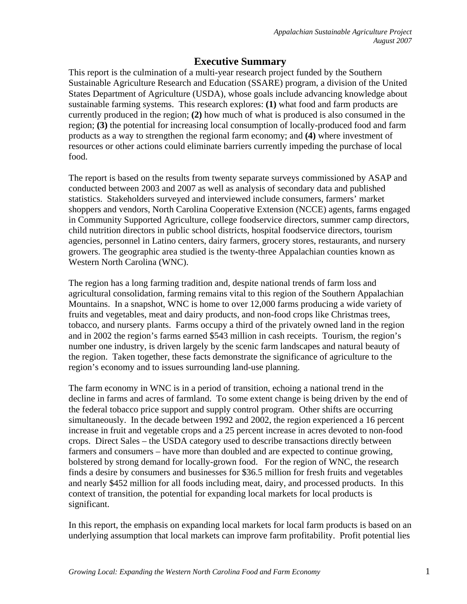## **Executive Summary**

This report is the culmination of a multi-year research project funded by the Southern Sustainable Agriculture Research and Education (SSARE) program, a division of the United States Department of Agriculture (USDA), whose goals include advancing knowledge about sustainable farming systems. This research explores: **(1)** what food and farm products are currently produced in the region; **(2)** how much of what is produced is also consumed in the region; **(3)** the potential for increasing local consumption of locally-produced food and farm products as a way to strengthen the regional farm economy; and **(4)** where investment of resources or other actions could eliminate barriers currently impeding the purchase of local food.

The report is based on the results from twenty separate surveys commissioned by ASAP and conducted between 2003 and 2007 as well as analysis of secondary data and published statistics. Stakeholders surveyed and interviewed include consumers, farmers' market shoppers and vendors, North Carolina Cooperative Extension (NCCE) agents, farms engaged in Community Supported Agriculture, college foodservice directors, summer camp directors, child nutrition directors in public school districts, hospital foodservice directors, tourism agencies, personnel in Latino centers, dairy farmers, grocery stores, restaurants, and nursery growers. The geographic area studied is the twenty-three Appalachian counties known as Western North Carolina (WNC).

The region has a long farming tradition and, despite national trends of farm loss and agricultural consolidation, farming remains vital to this region of the Southern Appalachian Mountains. In a snapshot, WNC is home to over 12,000 farms producing a wide variety of fruits and vegetables, meat and dairy products, and non-food crops like Christmas trees, tobacco, and nursery plants. Farms occupy a third of the privately owned land in the region and in 2002 the region's farms earned \$543 million in cash receipts. Tourism, the region's number one industry, is driven largely by the scenic farm landscapes and natural beauty of the region. Taken together, these facts demonstrate the significance of agriculture to the region's economy and to issues surrounding land-use planning.

The farm economy in WNC is in a period of transition, echoing a national trend in the decline in farms and acres of farmland. To some extent change is being driven by the end of the federal tobacco price support and supply control program. Other shifts are occurring simultaneously. In the decade between 1992 and 2002, the region experienced a 16 percent increase in fruit and vegetable crops and a 25 percent increase in acres devoted to non-food crops. Direct Sales – the USDA category used to describe transactions directly between farmers and consumers – have more than doubled and are expected to continue growing, bolstered by strong demand for locally-grown food. For the region of WNC, the research finds a desire by consumers and businesses for \$36.5 million for fresh fruits and vegetables and nearly \$452 million for all foods including meat, dairy, and processed products. In this context of transition, the potential for expanding local markets for local products is significant.

In this report, the emphasis on expanding local markets for local farm products is based on an underlying assumption that local markets can improve farm profitability. Profit potential lies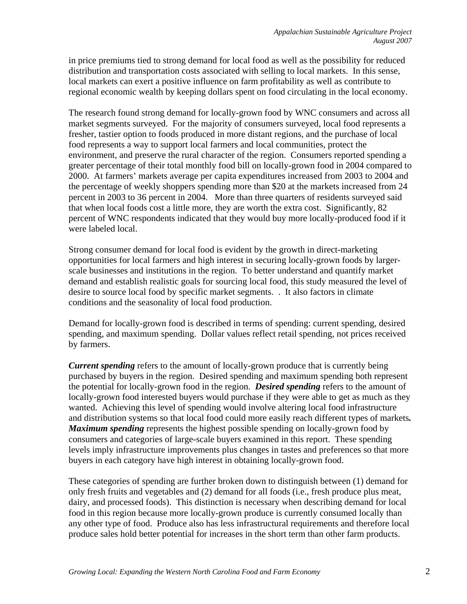in price premiums tied to strong demand for local food as well as the possibility for reduced distribution and transportation costs associated with selling to local markets. In this sense, local markets can exert a positive influence on farm profitability as well as contribute to regional economic wealth by keeping dollars spent on food circulating in the local economy.

The research found strong demand for locally-grown food by WNC consumers and across all market segments surveyed. For the majority of consumers surveyed, local food represents a fresher, tastier option to foods produced in more distant regions, and the purchase of local food represents a way to support local farmers and local communities, protect the environment, and preserve the rural character of the region. Consumers reported spending a greater percentage of their total monthly food bill on locally-grown food in 2004 compared to 2000. At farmers' markets average per capita expenditures increased from 2003 to 2004 and the percentage of weekly shoppers spending more than \$20 at the markets increased from 24 percent in 2003 to 36 percent in 2004. More than three quarters of residents surveyed said that when local foods cost a little more, they are worth the extra cost. Significantly, 82 percent of WNC respondents indicated that they would buy more locally-produced food if it were labeled local.

Strong consumer demand for local food is evident by the growth in direct-marketing opportunities for local farmers and high interest in securing locally-grown foods by largerscale businesses and institutions in the region. To better understand and quantify market demand and establish realistic goals for sourcing local food, this study measured the level of desire to source local food by specific market segments. . It also factors in climate conditions and the seasonality of local food production.

Demand for locally-grown food is described in terms of spending: current spending, desired spending, and maximum spending. Dollar values reflect retail spending, not prices received by farmers.

*Current spending* refers to the amount of locally-grown produce that is currently being purchased by buyers in the region. Desired spending and maximum spending both represent the potential for locally-grown food in the region. *Desired spending* refers to the amount of locally-grown food interested buyers would purchase if they were able to get as much as they wanted. Achieving this level of spending would involve altering local food infrastructure and distribution systems so that local food could more easily reach different types of markets*. Maximum spending* represents the highest possible spending on locally-grown food by consumers and categories of large-scale buyers examined in this report. These spending levels imply infrastructure improvements plus changes in tastes and preferences so that more buyers in each category have high interest in obtaining locally-grown food.

These categories of spending are further broken down to distinguish between (1) demand for only fresh fruits and vegetables and (2) demand for all foods (i.e., fresh produce plus meat, dairy, and processed foods). This distinction is necessary when describing demand for local food in this region because more locally-grown produce is currently consumed locally than any other type of food. Produce also has less infrastructural requirements and therefore local produce sales hold better potential for increases in the short term than other farm products.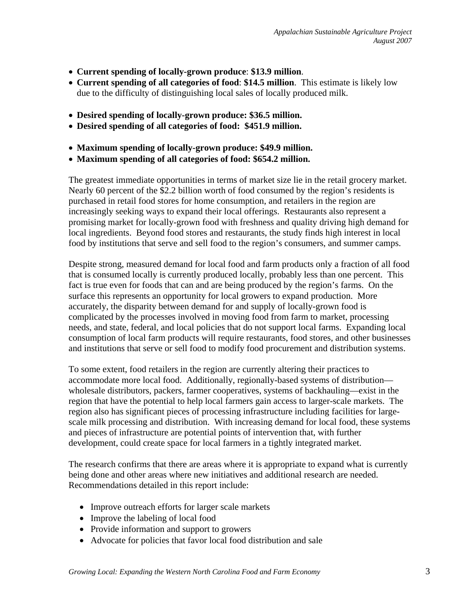- **Current spending of locally-grown produce**: **\$13.9 million**.
- **Current spending of all categories of food**: **\$14.5 million**.This estimate is likely low due to the difficulty of distinguishing local sales of locally produced milk.
- **Desired spending of locally-grown produce: \$36.5 million.**
- **Desired spending of all categories of food: \$451.9 million.**
- **Maximum spending of locally-grown produce: \$49.9 million.**
- **Maximum spending of all categories of food: \$654.2 million.**

The greatest immediate opportunities in terms of market size lie in the retail grocery market. Nearly 60 percent of the \$2.2 billion worth of food consumed by the region's residents is purchased in retail food stores for home consumption, and retailers in the region are increasingly seeking ways to expand their local offerings. Restaurants also represent a promising market for locally-grown food with freshness and quality driving high demand for local ingredients. Beyond food stores and restaurants, the study finds high interest in local food by institutions that serve and sell food to the region's consumers, and summer camps.

Despite strong, measured demand for local food and farm products only a fraction of all food that is consumed locally is currently produced locally, probably less than one percent. This fact is true even for foods that can and are being produced by the region's farms. On the surface this represents an opportunity for local growers to expand production. More accurately, the disparity between demand for and supply of locally-grown food is complicated by the processes involved in moving food from farm to market, processing needs, and state, federal, and local policies that do not support local farms. Expanding local consumption of local farm products will require restaurants, food stores, and other businesses and institutions that serve or sell food to modify food procurement and distribution systems.

To some extent, food retailers in the region are currently altering their practices to accommodate more local food. Additionally, regionally-based systems of distribution wholesale distributors, packers, farmer cooperatives, systems of backhauling—exist in the region that have the potential to help local farmers gain access to larger-scale markets. The region also has significant pieces of processing infrastructure including facilities for largescale milk processing and distribution. With increasing demand for local food, these systems and pieces of infrastructure are potential points of intervention that, with further development, could create space for local farmers in a tightly integrated market.

The research confirms that there are areas where it is appropriate to expand what is currently being done and other areas where new initiatives and additional research are needed. Recommendations detailed in this report include:

- Improve outreach efforts for larger scale markets
- Improve the labeling of local food
- Provide information and support to growers
- Advocate for policies that favor local food distribution and sale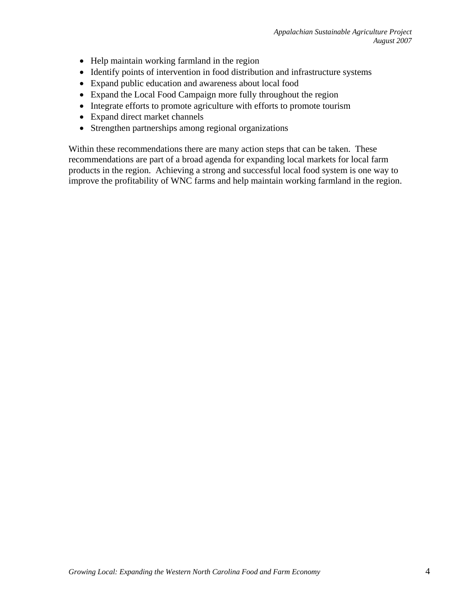- Help maintain working farmland in the region
- Identify points of intervention in food distribution and infrastructure systems
- Expand public education and awareness about local food
- Expand the Local Food Campaign more fully throughout the region
- Integrate efforts to promote agriculture with efforts to promote tourism
- Expand direct market channels
- Strengthen partnerships among regional organizations

Within these recommendations there are many action steps that can be taken. These recommendations are part of a broad agenda for expanding local markets for local farm products in the region. Achieving a strong and successful local food system is one way to improve the profitability of WNC farms and help maintain working farmland in the region.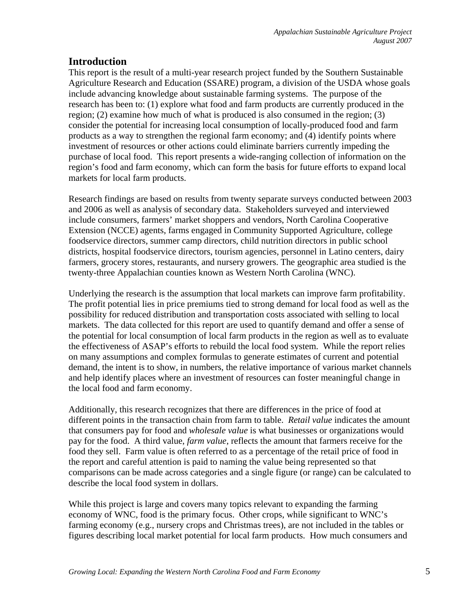## **Introduction**

This report is the result of a multi-year research project funded by the Southern Sustainable Agriculture Research and Education (SSARE) program, a division of the USDA whose goals include advancing knowledge about sustainable farming systems. The purpose of the research has been to: (1) explore what food and farm products are currently produced in the region; (2) examine how much of what is produced is also consumed in the region; (3) consider the potential for increasing local consumption of locally-produced food and farm products as a way to strengthen the regional farm economy; and (4) identify points where investment of resources or other actions could eliminate barriers currently impeding the purchase of local food. This report presents a wide-ranging collection of information on the region's food and farm economy, which can form the basis for future efforts to expand local markets for local farm products.

Research findings are based on results from twenty separate surveys conducted between 2003 and 2006 as well as analysis of secondary data. Stakeholders surveyed and interviewed include consumers, farmers' market shoppers and vendors, North Carolina Cooperative Extension (NCCE) agents, farms engaged in Community Supported Agriculture, college foodservice directors, summer camp directors, child nutrition directors in public school districts, hospital foodservice directors, tourism agencies, personnel in Latino centers, dairy farmers, grocery stores, restaurants, and nursery growers. The geographic area studied is the twenty-three Appalachian counties known as Western North Carolina (WNC).

Underlying the research is the assumption that local markets can improve farm profitability. The profit potential lies in price premiums tied to strong demand for local food as well as the possibility for reduced distribution and transportation costs associated with selling to local markets. The data collected for this report are used to quantify demand and offer a sense of the potential for local consumption of local farm products in the region as well as to evaluate the effectiveness of ASAP's efforts to rebuild the local food system. While the report relies on many assumptions and complex formulas to generate estimates of current and potential demand, the intent is to show, in numbers, the relative importance of various market channels and help identify places where an investment of resources can foster meaningful change in the local food and farm economy.

Additionally, this research recognizes that there are differences in the price of food at different points in the transaction chain from farm to table. *Retail value* indicates the amount that consumers pay for food and *wholesale value* is what businesses or organizations would pay for the food. A third value, *farm value*, reflects the amount that farmers receive for the food they sell. Farm value is often referred to as a percentage of the retail price of food in the report and careful attention is paid to naming the value being represented so that comparisons can be made across categories and a single figure (or range) can be calculated to describe the local food system in dollars.

While this project is large and covers many topics relevant to expanding the farming economy of WNC, food is the primary focus. Other crops, while significant to WNC's farming economy (e.g., nursery crops and Christmas trees), are not included in the tables or figures describing local market potential for local farm products. How much consumers and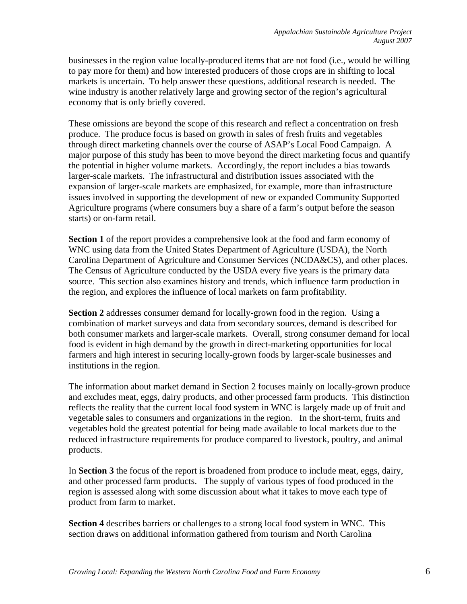businesses in the region value locally-produced items that are not food (i.e., would be willing to pay more for them) and how interested producers of those crops are in shifting to local markets is uncertain. To help answer these questions, additional research is needed. The wine industry is another relatively large and growing sector of the region's agricultural economy that is only briefly covered.

These omissions are beyond the scope of this research and reflect a concentration on fresh produce. The produce focus is based on growth in sales of fresh fruits and vegetables through direct marketing channels over the course of ASAP's Local Food Campaign. A major purpose of this study has been to move beyond the direct marketing focus and quantify the potential in higher volume markets. Accordingly, the report includes a bias towards larger-scale markets. The infrastructural and distribution issues associated with the expansion of larger-scale markets are emphasized, for example, more than infrastructure issues involved in supporting the development of new or expanded Community Supported Agriculture programs (where consumers buy a share of a farm's output before the season starts) or on-farm retail.

**Section 1** of the report provides a comprehensive look at the food and farm economy of WNC using data from the United States Department of Agriculture (USDA), the North Carolina Department of Agriculture and Consumer Services (NCDA&CS), and other places. The Census of Agriculture conducted by the USDA every five years is the primary data source. This section also examines history and trends, which influence farm production in the region, and explores the influence of local markets on farm profitability.

**Section 2** addresses consumer demand for locally-grown food in the region. Using a combination of market surveys and data from secondary sources, demand is described for both consumer markets and larger-scale markets. Overall, strong consumer demand for local food is evident in high demand by the growth in direct-marketing opportunities for local farmers and high interest in securing locally-grown foods by larger-scale businesses and institutions in the region.

The information about market demand in Section 2 focuses mainly on locally-grown produce and excludes meat, eggs, dairy products, and other processed farm products. This distinction reflects the reality that the current local food system in WNC is largely made up of fruit and vegetable sales to consumers and organizations in the region. In the short-term, fruits and vegetables hold the greatest potential for being made available to local markets due to the reduced infrastructure requirements for produce compared to livestock, poultry, and animal products.

In **Section 3** the focus of the report is broadened from produce to include meat, eggs, dairy, and other processed farm products. The supply of various types of food produced in the region is assessed along with some discussion about what it takes to move each type of product from farm to market.

**Section 4** describes barriers or challenges to a strong local food system in WNC. This section draws on additional information gathered from tourism and North Carolina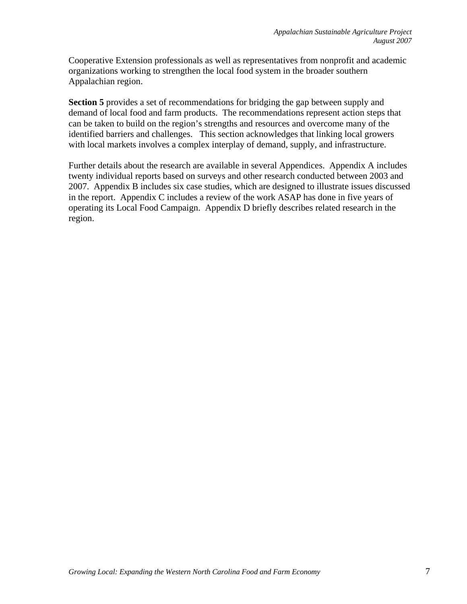Cooperative Extension professionals as well as representatives from nonprofit and academic organizations working to strengthen the local food system in the broader southern Appalachian region.

**Section 5** provides a set of recommendations for bridging the gap between supply and demand of local food and farm products. The recommendations represent action steps that can be taken to build on the region's strengths and resources and overcome many of the identified barriers and challenges. This section acknowledges that linking local growers with local markets involves a complex interplay of demand, supply, and infrastructure.

Further details about the research are available in several Appendices. Appendix A includes twenty individual reports based on surveys and other research conducted between 2003 and 2007. Appendix B includes six case studies, which are designed to illustrate issues discussed in the report. Appendix C includes a review of the work ASAP has done in five years of operating its Local Food Campaign. Appendix D briefly describes related research in the region.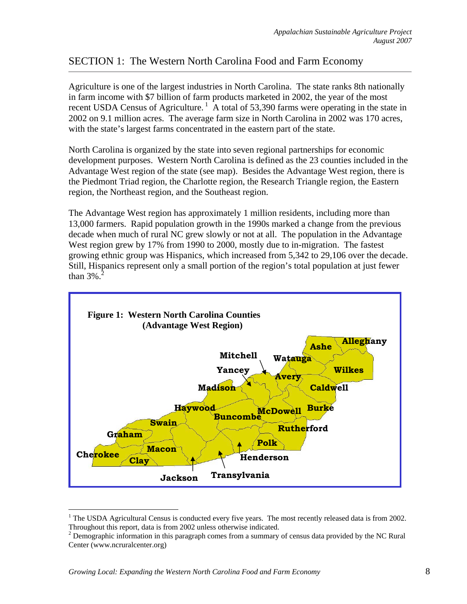# SECTION 1: The Western North Carolina Food and Farm Economy

Agriculture is one of the largest industries in North Carolina. The state ranks 8th nationally in farm income with \$7 billion of farm products marketed in 2002, the year of the most recent USDA Census of Agriculture.<sup>1</sup> A total of 53,390 farms were operating in the state in 2002 on 9.1 million acres. The average farm size in North Carolina in 2002 was 170 acres, with the state's largest farms concentrated in the eastern part of the state.

North Carolina is organized by the state into seven regional partnerships for economic development purposes. Western North Carolina is defined as the 23 counties included in the Advantage West region of the state (see map). Besides the Advantage West region, there is the Piedmont Triad region, the Charlotte region, the Research Triangle region, the Eastern region, the Northeast region, and the Southeast region.

The Advantage West region has approximately 1 million residents, including more than 13,000 farmers. Rapid population growth in the 1990s marked a change from the previous decade when much of rural NC grew slowly or not at all. The population in the Advantage West region grew by 17% from 1990 to 2000, mostly due to in-migration. The fastest growing ethnic group was Hispanics, which increased from 5,342 to 29,106 over the decade. Still, Hispanics represent only a small portion of the region's total population at just fewer than  $3\%$ .



<sup>&</sup>lt;sup>1</sup> The USDA Agricultural Census is conducted every five years. The most recently released data is from 2002. Throughout this report, data is from 2002 unless otherwise indicated.

 $\overline{a}$ 

<sup>&</sup>lt;sup>2</sup> Demographic information in this paragraph comes from a summary of census data provided by the NC Rural Center (www.ncruralcenter.org)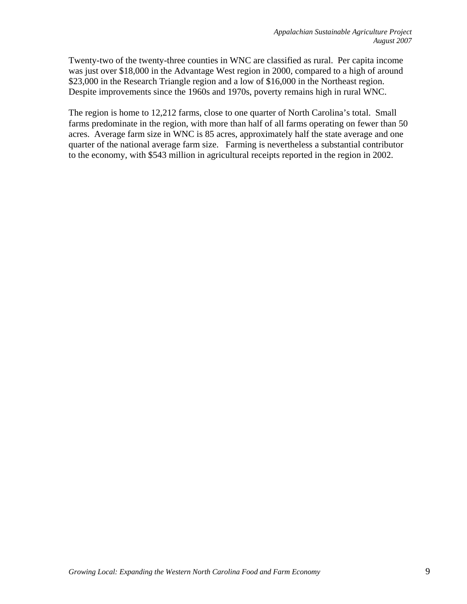Twenty-two of the twenty-three counties in WNC are classified as rural. Per capita income was just over \$18,000 in the Advantage West region in 2000, compared to a high of around \$23,000 in the Research Triangle region and a low of \$16,000 in the Northeast region. Despite improvements since the 1960s and 1970s, poverty remains high in rural WNC.

The region is home to 12,212 farms, close to one quarter of North Carolina's total. Small farms predominate in the region, with more than half of all farms operating on fewer than 50 acres. Average farm size in WNC is 85 acres, approximately half the state average and one quarter of the national average farm size. Farming is nevertheless a substantial contributor to the economy, with \$543 million in agricultural receipts reported in the region in 2002.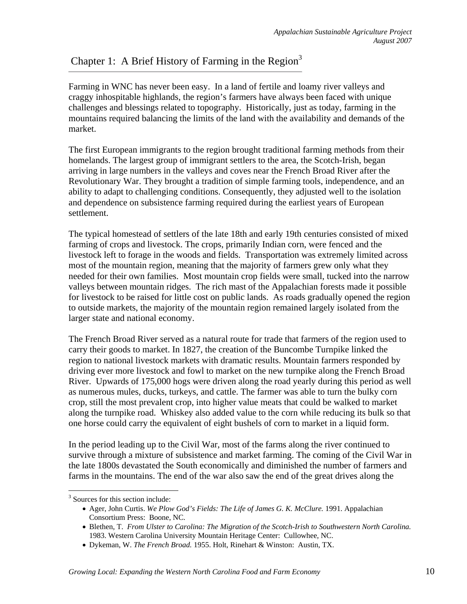# Chapter 1: A Brief History of Farming in the Region<sup>3</sup>

Farming in WNC has never been easy. In a land of fertile and loamy river valleys and craggy inhospitable highlands, the region's farmers have always been faced with unique challenges and blessings related to topography. Historically, just as today, farming in the mountains required balancing the limits of the land with the availability and demands of the market.

The first European immigrants to the region brought traditional farming methods from their homelands. The largest group of immigrant settlers to the area, the Scotch-Irish, began arriving in large numbers in the valleys and coves near the French Broad River after the Revolutionary War. They brought a tradition of simple farming tools, independence, and an ability to adapt to challenging conditions. Consequently, they adjusted well to the isolation and dependence on subsistence farming required during the earliest years of European settlement.

The typical homestead of settlers of the late 18th and early 19th centuries consisted of mixed farming of crops and livestock. The crops, primarily Indian corn, were fenced and the livestock left to forage in the woods and fields. Transportation was extremely limited across most of the mountain region, meaning that the majority of farmers grew only what they needed for their own families. Most mountain crop fields were small, tucked into the narrow valleys between mountain ridges. The rich mast of the Appalachian forests made it possible for livestock to be raised for little cost on public lands. As roads gradually opened the region to outside markets, the majority of the mountain region remained largely isolated from the larger state and national economy.

The French Broad River served as a natural route for trade that farmers of the region used to carry their goods to market. In 1827, the creation of the Buncombe Turnpike linked the region to national livestock markets with dramatic results. Mountain farmers responded by driving ever more livestock and fowl to market on the new turnpike along the French Broad River. Upwards of 175,000 hogs were driven along the road yearly during this period as well as numerous mules, ducks, turkeys, and cattle. The farmer was able to turn the bulky corn crop, still the most prevalent crop, into higher value meats that could be walked to market along the turnpike road. Whiskey also added value to the corn while reducing its bulk so that one horse could carry the equivalent of eight bushels of corn to market in a liquid form.

In the period leading up to the Civil War, most of the farms along the river continued to survive through a mixture of subsistence and market farming. The coming of the Civil War in the late 1800s devastated the South economically and diminished the number of farmers and farms in the mountains. The end of the war also saw the end of the great drives along the

 $\overline{a}$ 

<sup>&</sup>lt;sup>3</sup> Sources for this section include:

<sup>•</sup> Ager, John Curtis. *We Plow God's Fields: The Life of James G. K. McClure.* 1991. Appalachian Consortium Press: Boone, NC.

<sup>•</sup> Blethen, T. *From Ulster to Carolina: The Migration of the Scotch-Irish to Southwestern North Carolina.* 1983. Western Carolina University Mountain Heritage Center: Cullowhee, NC.

<sup>•</sup> Dykeman, W. *The French Broad.* 1955. Holt, Rinehart & Winston: Austin, TX.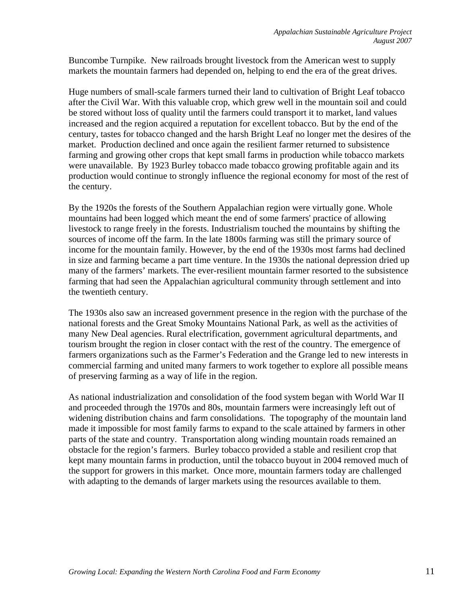Buncombe Turnpike. New railroads brought livestock from the American west to supply markets the mountain farmers had depended on, helping to end the era of the great drives.

Huge numbers of small-scale farmers turned their land to cultivation of Bright Leaf tobacco after the Civil War. With this valuable crop, which grew well in the mountain soil and could be stored without loss of quality until the farmers could transport it to market, land values increased and the region acquired a reputation for excellent tobacco. But by the end of the century, tastes for tobacco changed and the harsh Bright Leaf no longer met the desires of the market. Production declined and once again the resilient farmer returned to subsistence farming and growing other crops that kept small farms in production while tobacco markets were unavailable. By 1923 Burley tobacco made tobacco growing profitable again and its production would continue to strongly influence the regional economy for most of the rest of the century.

By the 1920s the forests of the Southern Appalachian region were virtually gone. Whole mountains had been logged which meant the end of some farmers' practice of allowing livestock to range freely in the forests. Industrialism touched the mountains by shifting the sources of income off the farm. In the late 1800s farming was still the primary source of income for the mountain family. However, by the end of the 1930s most farms had declined in size and farming became a part time venture. In the 1930s the national depression dried up many of the farmers' markets. The ever-resilient mountain farmer resorted to the subsistence farming that had seen the Appalachian agricultural community through settlement and into the twentieth century.

The 1930s also saw an increased government presence in the region with the purchase of the national forests and the Great Smoky Mountains National Park, as well as the activities of many New Deal agencies. Rural electrification, government agricultural departments, and tourism brought the region in closer contact with the rest of the country. The emergence of farmers organizations such as the Farmer's Federation and the Grange led to new interests in commercial farming and united many farmers to work together to explore all possible means of preserving farming as a way of life in the region.

As national industrialization and consolidation of the food system began with World War II and proceeded through the 1970s and 80s, mountain farmers were increasingly left out of widening distribution chains and farm consolidations. The topography of the mountain land made it impossible for most family farms to expand to the scale attained by farmers in other parts of the state and country. Transportation along winding mountain roads remained an obstacle for the region's farmers. Burley tobacco provided a stable and resilient crop that kept many mountain farms in production, until the tobacco buyout in 2004 removed much of the support for growers in this market. Once more, mountain farmers today are challenged with adapting to the demands of larger markets using the resources available to them.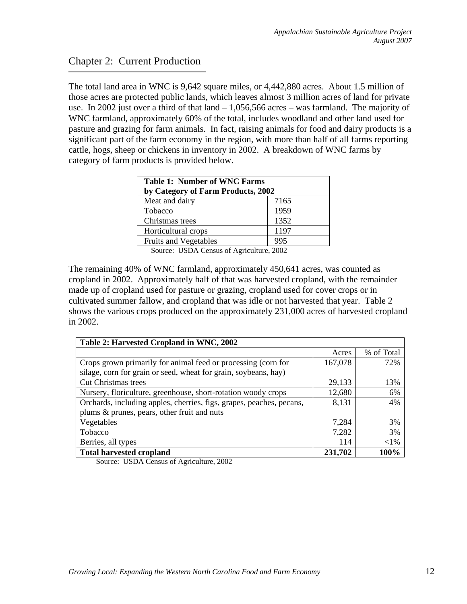## Chapter 2: Current Production

The total land area in WNC is 9,642 square miles, or 4,442,880 acres. About 1.5 million of those acres are protected public lands, which leaves almost 3 million acres of land for private use. In 2002 just over a third of that land – 1,056,566 acres – was farmland. The majority of WNC farmland, approximately 60% of the total, includes woodland and other land used for pasture and grazing for farm animals. In fact, raising animals for food and dairy products is a significant part of the farm economy in the region, with more than half of all farms reporting cattle, hogs, sheep or chickens in inventory in 2002. A breakdown of WNC farms by category of farm products is provided below.

| <b>Table 1: Number of WNC Farms</b><br>by Category of Farm Products, 2002 |      |  |  |  |
|---------------------------------------------------------------------------|------|--|--|--|
| Meat and dairy                                                            | 7165 |  |  |  |
| Tobacco                                                                   | 1959 |  |  |  |
| Christmas trees                                                           | 1352 |  |  |  |
| Horticultural crops                                                       | 1197 |  |  |  |
| <b>Fruits and Vegetables</b>                                              | 995  |  |  |  |

Source: USDA Census of Agriculture, 2002

The remaining 40% of WNC farmland, approximately 450,641 acres, was counted as cropland in 2002. Approximately half of that was harvested cropland, with the remainder made up of cropland used for pasture or grazing, cropland used for cover crops or in cultivated summer fallow, and cropland that was idle or not harvested that year. Table 2 shows the various crops produced on the approximately 231,000 acres of harvested cropland in 2002.

| Table 2: Harvested Cropland in WNC, 2002                             |         |            |  |  |  |
|----------------------------------------------------------------------|---------|------------|--|--|--|
|                                                                      | Acres   | % of Total |  |  |  |
| Crops grown primarily for animal feed or processing (corn for        | 167,078 | 72%        |  |  |  |
| silage, corn for grain or seed, wheat for grain, soybeans, hay)      |         |            |  |  |  |
| <b>Cut Christmas trees</b>                                           | 29,133  | 13%        |  |  |  |
| Nursery, floriculture, greenhouse, short-rotation woody crops        | 12,680  | 6%         |  |  |  |
| Orchards, including apples, cherries, figs, grapes, peaches, pecans, | 8,131   | 4%         |  |  |  |
| plums & prunes, pears, other fruit and nuts                          |         |            |  |  |  |
| Vegetables                                                           | 7,284   | 3%         |  |  |  |
| Tobacco                                                              | 7,282   | 3%         |  |  |  |
| Berries, all types                                                   | 114     | $<$ 1%     |  |  |  |
| <b>Total harvested cropland</b>                                      |         | 100%       |  |  |  |

Source: USDA Census of Agriculture, 2002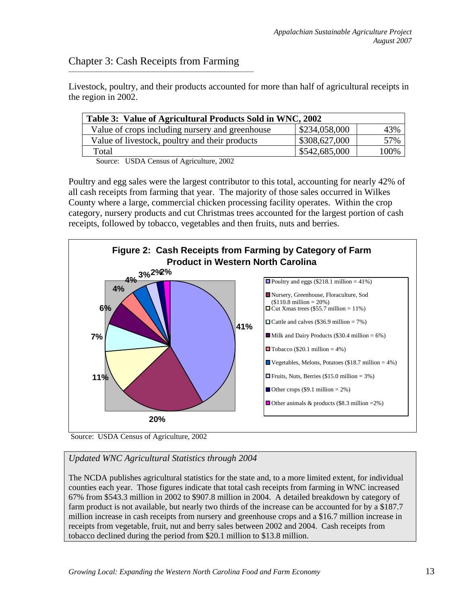# Chapter 3: Cash Receipts from Farming

Livestock, poultry, and their products accounted for more than half of agricultural receipts in the region in 2002.

| \$234,058,000 |                                |
|---------------|--------------------------------|
|               | 43%                            |
|               | 57%                            |
|               | 100%                           |
|               | \$308,627,000<br>\$542,685,000 |

Source: USDA Census of Agriculture, 2002

Poultry and egg sales were the largest contributor to this total, accounting for nearly 42% of all cash receipts from farming that year. The majority of those sales occurred in Wilkes County where a large, commercial chicken processing facility operates. Within the crop category, nursery products and cut Christmas trees accounted for the largest portion of cash receipts, followed by tobacco, vegetables and then fruits, nuts and berries.



Source: USDA Census of Agriculture, 2002

## *Updated WNC Agricultural Statistics through 2004*

The NCDA publishes agricultural statistics for the state and, to a more limited extent, for individual counties each year. Those figures indicate that total cash receipts from farming in WNC increased 67% from \$543.3 million in 2002 to \$907.8 million in 2004. A detailed breakdown by category of farm product is not available, but nearly two thirds of the increase can be accounted for by a \$187.7 million increase in cash receipts from nursery and greenhouse crops and a \$16.7 million increase in receipts from vegetable, fruit, nut and berry sales between 2002 and 2004. Cash receipts from tobacco declined during the period from \$20.1 million to \$13.8 million.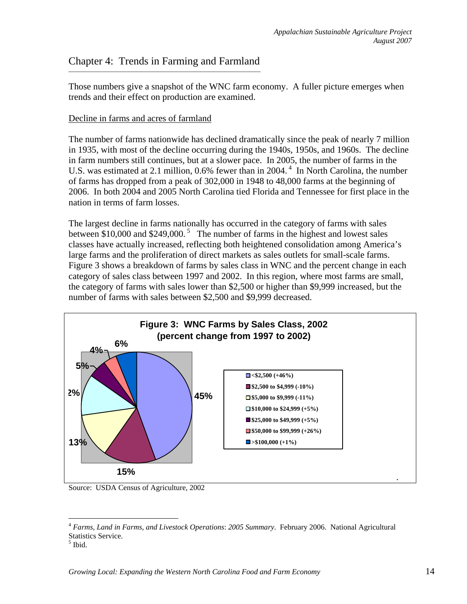## Chapter 4: Trends in Farming and Farmland

Those numbers give a snapshot of the WNC farm economy. A fuller picture emerges when trends and their effect on production are examined.

#### Decline in farms and acres of farmland

The number of farms nationwide has declined dramatically since the peak of nearly 7 million in 1935, with most of the decline occurring during the 1940s, 1950s, and 1960s. The decline in farm numbers still continues, but at a slower pace. In 2005, the number of farms in the U.S. was estimated at 2.1 million, 0.6% fewer than in 2004.<sup>4</sup> In North Carolina, the number of farms has dropped from a peak of 302,000 in 1948 to 48,000 farms at the beginning of 2006. In both 2004 and 2005 North Carolina tied Florida and Tennessee for first place in the nation in terms of farm losses.

The largest decline in farms nationally has occurred in the category of farms with sales between  $$10,000$  and  $$249,000$ .<sup>5</sup> The number of farms in the highest and lowest sales classes have actually increased, reflecting both heightened consolidation among America's large farms and the proliferation of direct markets as sales outlets for small-scale farms. Figure 3 shows a breakdown of farms by sales class in WNC and the percent change in each category of sales class between 1997 and 2002. In this region, where most farms are small, the category of farms with sales lower than \$2,500 or higher than \$9,999 increased, but the number of farms with sales between \$2,500 and \$9,999 decreased.



Source: USDA Census of Agriculture, 2002

 $\overline{a}$ 

<sup>4</sup> *Farms, Land in Farms, and Livestock Operations*: *2005 Summary*. February 2006. National Agricultural Statistics Service.

<sup>5</sup> Ibid.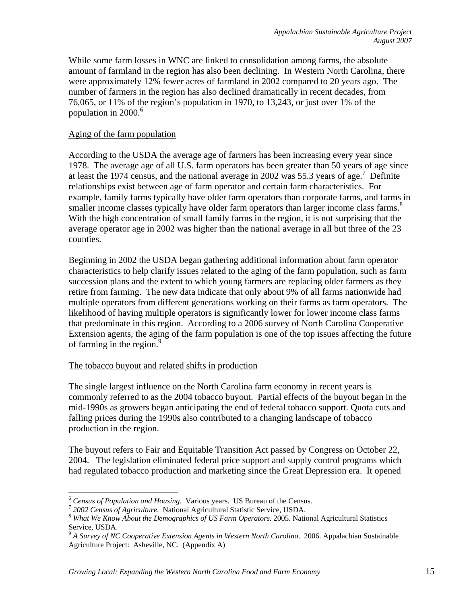While some farm losses in WNC are linked to consolidation among farms, the absolute amount of farmland in the region has also been declining. In Western North Carolina, there were approximately 12% fewer acres of farmland in 2002 compared to 20 years ago. The number of farmers in the region has also declined dramatically in recent decades, from 76,065, or 11% of the region's population in 1970, to 13,243, or just over 1% of the population in 2000.<sup>6</sup>

#### Aging of the farm population

According to the USDA the average age of farmers has been increasing every year since 1978. The average age of all U.S. farm operators has been greater than 50 years of age since at least the 1974 census, and the national average in 2002 was 55.3 years of age.<sup>7</sup> Definite relationships exist between age of farm operator and certain farm characteristics. For example, family farms typically have older farm operators than corporate farms, and farms in smaller income classes typically have older farm operators than larger income class farms.<sup>8</sup> With the high concentration of small family farms in the region, it is not surprising that the average operator age in 2002 was higher than the national average in all but three of the 23 counties.

Beginning in 2002 the USDA began gathering additional information about farm operator characteristics to help clarify issues related to the aging of the farm population, such as farm succession plans and the extent to which young farmers are replacing older farmers as they retire from farming. The new data indicate that only about 9% of all farms nationwide had multiple operators from different generations working on their farms as farm operators. The likelihood of having multiple operators is significantly lower for lower income class farms that predominate in this region. According to a 2006 survey of North Carolina Cooperative Extension agents, the aging of the farm population is one of the top issues affecting the future of farming in the region. $9$ 

#### The tobacco buyout and related shifts in production

The single largest influence on the North Carolina farm economy in recent years is commonly referred to as the 2004 tobacco buyout. Partial effects of the buyout began in the mid-1990s as growers began anticipating the end of federal tobacco support. Quota cuts and falling prices during the 1990s also contributed to a changing landscape of tobacco production in the region.

The buyout refers to Fair and Equitable Transition Act passed by Congress on October 22, 2004. The legislation eliminated federal price support and supply control programs which had regulated tobacco production and marketing since the Great Depression era. It opened

<sup>1</sup> 

<sup>&</sup>lt;sup>6</sup> Census of Population and Housing. Various years. US Bureau of the Census.<br><sup>7</sup> 2002 Census of Agriculture. National Agricultural Statistic Service, USDA.<br><sup>8</sup> What We Know About the Demographics of US Farm Operators. 20 Service, USDA.

<sup>9</sup> *A Survey of NC Cooperative Extension Agents in Western North Carolina*. 2006. Appalachian Sustainable Agriculture Project: Asheville, NC. (Appendix A)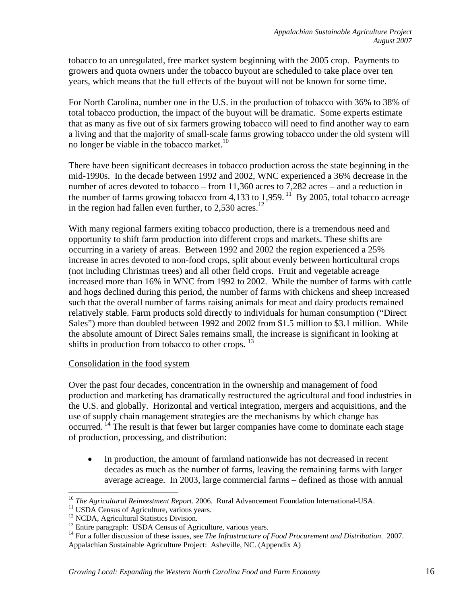tobacco to an unregulated, free market system beginning with the 2005 crop. Payments to growers and quota owners under the tobacco buyout are scheduled to take place over ten years, which means that the full effects of the buyout will not be known for some time.

For North Carolina, number one in the U.S. in the production of tobacco with 36% to 38% of total tobacco production, the impact of the buyout will be dramatic. Some experts estimate that as many as five out of six farmers growing tobacco will need to find another way to earn a living and that the majority of small-scale farms growing tobacco under the old system will no longer be viable in the tobacco market. $10$ 

There have been significant decreases in tobacco production across the state beginning in the mid-1990s. In the decade between 1992 and 2002, WNC experienced a 36% decrease in the number of acres devoted to tobacco – from 11,360 acres to 7,282 acres – and a reduction in the number of farms growing tobacco from 4,133 to 1,959.<sup>11</sup> By 2005, total tobacco acreage in the region had fallen even further, to  $2.530$  acres.<sup>12</sup>

With many regional farmers exiting tobacco production, there is a tremendous need and opportunity to shift farm production into different crops and markets. These shifts are occurring in a variety of areas. Between 1992 and 2002 the region experienced a 25% increase in acres devoted to non-food crops, split about evenly between horticultural crops (not including Christmas trees) and all other field crops. Fruit and vegetable acreage increased more than 16% in WNC from 1992 to 2002. While the number of farms with cattle and hogs declined during this period, the number of farms with chickens and sheep increased such that the overall number of farms raising animals for meat and dairy products remained relatively stable. Farm products sold directly to individuals for human consumption ("Direct Sales") more than doubled between 1992 and 2002 from \$1.5 million to \$3.1 million. While the absolute amount of Direct Sales remains small, the increase is significant in looking at shifts in production from tobacco to other crops.  $^{13}$ 

#### Consolidation in the food system

Over the past four decades, concentration in the ownership and management of food production and marketing has dramatically restructured the agricultural and food industries in the U.S. and globally. Horizontal and vertical integration, mergers and acquisitions, and the use of supply chain management strategies are the mechanisms by which change has occurred. <sup>14</sup> The result is that fewer but larger companies have come to dominate each stage of production, processing, and distribution:

• In production, the amount of farmland nationwide has not decreased in recent decades as much as the number of farms, leaving the remaining farms with larger average acreage. In 2003, large commercial farms – defined as those with annual

<sup>1</sup> <sup>10</sup> *The Agricultural Reinvestment Report.* 2006. Rural Advancement Foundation International-USA.<br><sup>11</sup> USDA Census of Agriculture, various years.

<sup>&</sup>lt;sup>11</sup> USDA Census of Agriculture, various years.<br><sup>12</sup> NCDA, Agricultural Statistics Division.

<sup>&</sup>lt;sup>13</sup> Entire paragraph: USDA Census of Agriculture, various years.

<sup>14</sup> For a fuller discussion of these issues, see *The Infrastructure of Food Procurement and Distribution*. 2007. Appalachian Sustainable Agriculture Project: Asheville, NC. (Appendix A)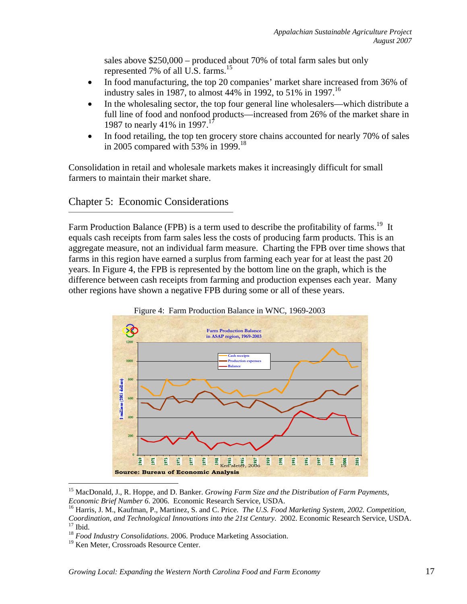sales above \$250,000 – produced about 70% of total farm sales but only represented 7% of all U.S. farms.<sup>15</sup>

- In food manufacturing, the top 20 companies' market share increased from 36% of industry sales in 1987, to almost 44% in 1992, to 51% in 1997.<sup>16</sup>
- In the wholesaling sector, the top four general line wholesalers—which distribute a full line of food and nonfood products—increased from 26% of the market share in 1987 to nearly 41% in 1997.<sup>17</sup>
- In food retailing, the top ten grocery store chains accounted for nearly 70% of sales in 2005 compared with 53% in 1999.<sup>18</sup>

Consolidation in retail and wholesale markets makes it increasingly difficult for small farmers to maintain their market share.

# Chapter 5: Economic Considerations

Farm Production Balance (FPB) is a term used to describe the profitability of farms.<sup>19</sup> It equals cash receipts from farm sales less the costs of producing farm products. This is an aggregate measure, not an individual farm measure. Charting the FPB over time shows that farms in this region have earned a surplus from farming each year for at least the past 20 years. In Figure 4, the FPB is represented by the bottom line on the graph, which is the difference between cash receipts from farming and production expenses each year. Many other regions have shown a negative FPB during some or all of these years.





<sup>&</sup>lt;sup>15</sup> MacDonald, J., R. Hoppe, and D. Banker. *Growing Farm Size and the Distribution of Farm Payments, Economic Brief Number 6. 2006. Economic Research Service, USDA.* 

<sup>&</sup>lt;sup>16</sup> Harris, J. M., Kaufman, P., Martinez, S. and C. Price. *The U.S. Food Marketing System, 2002. Competition, Coordination, and Technological Innovations into the 21st Century*. 2002. Economic Research Service, USDA. 17 Ibid.

<sup>18</sup> *Food Industry Consolidations*. 2006. Produce Marketing Association.

<sup>&</sup>lt;sup>19</sup> Ken Meter, Crossroads Resource Center.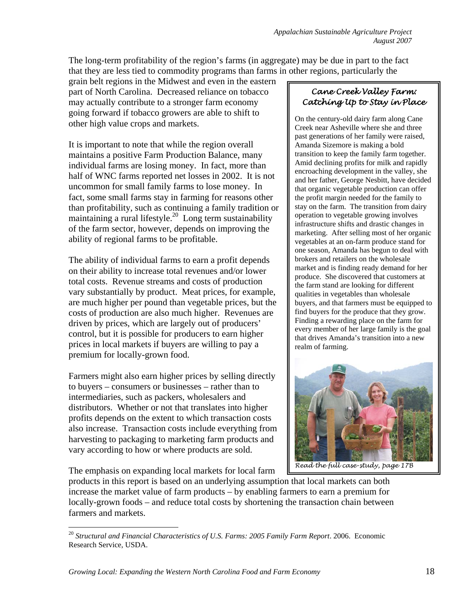The long-term profitability of the region's farms (in aggregate) may be due in part to the fact that they are less tied to commodity programs than farms in other regions, particularly the

grain belt regions in the Midwest and even in the eastern part of North Carolina. Decreased reliance on tobacco may actually contribute to a stronger farm economy going forward if tobacco growers are able to shift to other high value crops and markets.

It is important to note that while the region overall maintains a positive Farm Production Balance, many individual farms are losing money. In fact, more than half of WNC farms reported net losses in 2002. It is not uncommon for small family farms to lose money. In fact, some small farms stay in farming for reasons other than profitability, such as continuing a family tradition or maintaining a rural lifestyle.<sup>20</sup> Long term sustainability of the farm sector, however, depends on improving the ability of regional farms to be profitable.

The ability of individual farms to earn a profit depends on their ability to increase total revenues and/or lower total costs. Revenue streams and costs of production vary substantially by product. Meat prices, for example, are much higher per pound than vegetable prices, but the costs of production are also much higher. Revenues are driven by prices, which are largely out of producers' control, but it is possible for producers to earn higher prices in local markets if buyers are willing to pay a premium for locally-grown food.

Farmers might also earn higher prices by selling directly to buyers – consumers or businesses – rather than to intermediaries, such as packers, wholesalers and distributors. Whether or not that translates into higher profits depends on the extent to which transaction costs also increase. Transaction costs include everything from harvesting to packaging to marketing farm products and vary according to how or where products are sold.

The emphasis on expanding local markets for local farm

### *Cane Creek Valley Farm: Catching Up to Stay in Place*

On the century-old dairy farm along Cane Creek near Asheville where she and three past generations of her family were raised, Amanda Sizemore is making a bold transition to keep the family farm together. Amid declining profits for milk and rapidly encroaching development in the valley, she and her father, George Nesbitt, have decided that organic vegetable production can offer the profit margin needed for the family to stay on the farm. The transition from dairy operation to vegetable growing involves infrastructure shifts and drastic changes in marketing. After selling most of her organic vegetables at an on-farm produce stand for one season, Amanda has begun to deal with brokers and retailers on the wholesale market and is finding ready demand for her produce. She discovered that customers at the farm stand are looking for different qualities in vegetables than wholesale buyers, and that farmers must be equipped to find buyers for the produce that they grow. Finding a rewarding place on the farm for every member of her large family is the goal that drives Amanda's transition into a new realm of farming.



*Read the full case-study, page 17B*

products in this report is based on an underlying assumption that local markets can both increase the market value of farm products – by enabling farmers to earn a premium for locally-grown foods – and reduce total costs by shortening the transaction chain between farmers and markets.

<sup>1</sup> <sup>20</sup> Structural and Financial Characteristics of U.S. Farms: 2005 Family Farm Report. 2006. Economic Research Service, USDA.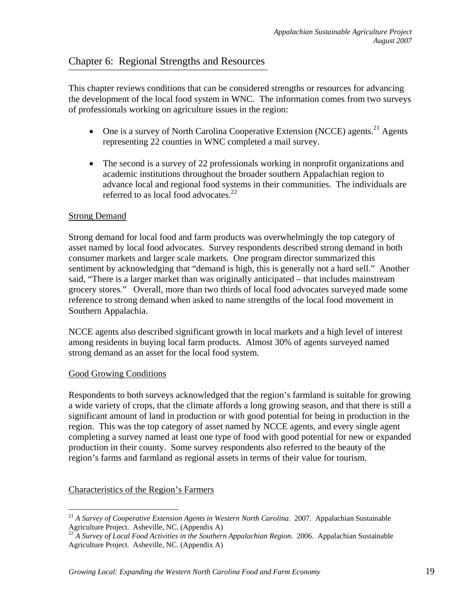## Chapter 6: Regional Strengths and Resources

This chapter reviews conditions that can be considered strengths or resources for advancing the development of the local food system in WNC. The information comes from two surveys of professionals working on agriculture issues in the region:

- One is a survey of North Carolina Cooperative Extension (NCCE) agents.<sup>21</sup> Agents representing 22 counties in WNC completed a mail survey.
- The second is a survey of 22 professionals working in nonprofit organizations and academic institutions throughout the broader southern Appalachian region to advance local and regional food systems in their communities. The individuals are referred to as local food advocates.<sup>22</sup>

#### Strong Demand

Strong demand for local food and farm products was overwhelmingly the top category of asset named by local food advocates. Survey respondents described strong demand in both consumer markets and larger scale markets. One program director summarized this sentiment by acknowledging that "demand is high, this is generally not a hard sell." Another said, "There is a larger market than was originally anticipated – that includes mainstream grocery stores." Overall, more than two thirds of local food advocates surveyed made some reference to strong demand when asked to name strengths of the local food movement in Southern Appalachia.

NCCE agents also described significant growth in local markets and a high level of interest among residents in buying local farm products. Almost 30% of agents surveyed named strong demand as an asset for the local food system.

#### Good Growing Conditions

 $\overline{a}$ 

Respondents to both surveys acknowledged that the region's farmland is suitable for growing a wide variety of crops, that the climate affords a long growing season, and that there is still a significant amount of land in production or with good potential for being in production in the region. This was the top category of asset named by NCCE agents, and every single agent completing a survey named at least one type of food with good potential for new or expanded production in their county. Some survey respondents also referred to the beauty of the region's farms and farmland as regional assets in terms of their value for tourism.

#### Characteristics of the Region's Farmers

<sup>21</sup> *A Survey of Cooperative Extension Agents in Western North Carolina*. 2007. Appalachian Sustainable Agriculture Project. Asheville, NC. (Appendix A)

<sup>22</sup> *A Survey of Local Food Activities in the Southern Appalachian Region*. 2006. Appalachian Sustainable Agriculture Project. Asheville, NC. (Appendix A)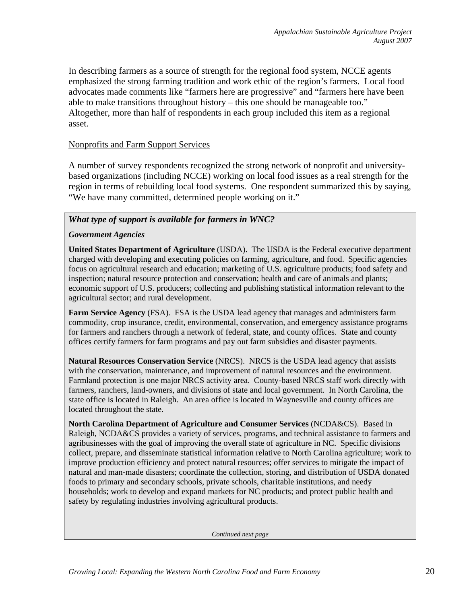In describing farmers as a source of strength for the regional food system, NCCE agents emphasized the strong farming tradition and work ethic of the region's farmers. Local food advocates made comments like "farmers here are progressive" and "farmers here have been able to make transitions throughout history – this one should be manageable too." Altogether, more than half of respondents in each group included this item as a regional asset.

#### Nonprofits and Farm Support Services

A number of survey respondents recognized the strong network of nonprofit and universitybased organizations (including NCCE) working on local food issues as a real strength for the region in terms of rebuilding local food systems. One respondent summarized this by saying, "We have many committed, determined people working on it."

#### *What type of support is available for farmers in WNC?*

#### *Government Agencies*

**United States Department of Agriculture** (USDA). The USDA is the Federal executive department charged with developing and executing policies on farming, agriculture, and food. Specific agencies focus on agricultural research and education; marketing of U.S. agriculture products; food safety and inspection; natural resource protection and conservation; health and care of animals and plants; economic support of U.S. producers; collecting and publishing statistical information relevant to the agricultural sector; and rural development.

**Farm Service Agency** (FSA). FSA is the USDA lead agency that manages and administers farm commodity, crop insurance, credit, environmental, conservation, and emergency assistance programs for farmers and ranchers through a network of federal, state, and county offices. State and county offices certify farmers for farm programs and pay out farm subsidies and disaster payments.

**Natural Resources Conservation Service** (NRCS). NRCS is the USDA lead agency that assists with the conservation, maintenance, and improvement of natural resources and the environment. Farmland protection is one major NRCS activity area. County-based NRCS staff work directly with farmers, ranchers, land-owners, and divisions of state and local government. In North Carolina, the state office is located in Raleigh. An area office is located in Waynesville and county offices are located throughout the state.

**North Carolina Department of Agriculture and Consumer Services** (NCDA&CS). Based in Raleigh, NCDA&CS provides a variety of services, programs, and technical assistance to farmers and agribusinesses with the goal of improving the overall state of agriculture in NC. Specific divisions collect, prepare, and disseminate statistical information relative to North Carolina agriculture; work to improve production efficiency and protect natural resources; offer services to mitigate the impact of natural and man-made disasters; coordinate the collection, storing, and distribution of USDA donated foods to primary and secondary schools, private schools, charitable institutions, and needy households; work to develop and expand markets for NC products; and protect public health and safety by regulating industries involving agricultural products.

*Continued next page*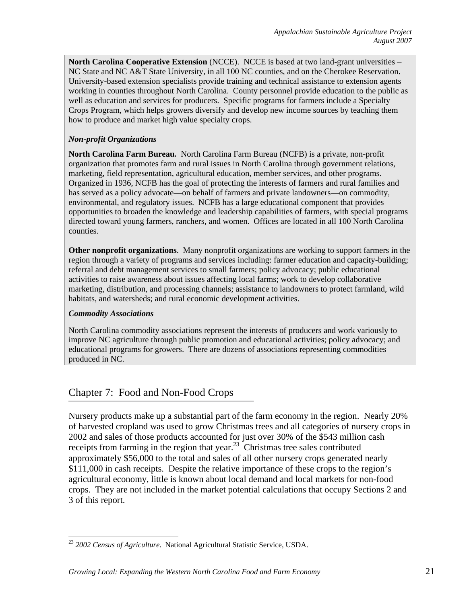**North Carolina Cooperative Extension** (NCCE). NCCE is based at two land-grant universities – NC State and NC A&T State University, in all 100 NC counties, and on the Cherokee Reservation. University-based extension specialists provide training and technical assistance to extension agents working in counties throughout North Carolina. County personnel provide education to the public as well as education and services for producers. Specific programs for farmers include a Specialty Crops Program, which helps growers diversify and develop new income sources by teaching them how to produce and market high value specialty crops.

#### *Non-profit Organizations*

**North Carolina Farm Bureau***.* North Carolina Farm Bureau (NCFB) is a private, non-profit organization that promotes farm and rural issues in North Carolina through government relations, marketing, field representation, agricultural education, member services, and other programs. Organized in 1936, NCFB has the goal of protecting the interests of farmers and rural families and has served as a policy advocate—on behalf of farmers and private landowners—on commodity, environmental, and regulatory issues. NCFB has a large educational component that provides opportunities to broaden the knowledge and leadership capabilities of farmers, with special programs directed toward young farmers, ranchers, and women. Offices are located in all 100 North Carolina counties.

**Other nonprofit organizations**. Many nonprofit organizations are working to support farmers in the region through a variety of programs and services including: farmer education and capacity-building; referral and debt management services to small farmers; policy advocacy; public educational activities to raise awareness about issues affecting local farms; work to develop collaborative marketing, distribution, and processing channels; assistance to landowners to protect farmland, wild habitats, and watersheds; and rural economic development activities.

#### *Commodity Associations*

 $\overline{a}$ 

North Carolina commodity associations represent the interests of producers and work variously to improve NC agriculture through public promotion and educational activities; policy advocacy; and educational programs for growers. There are dozens of associations representing commodities produced in NC.

## Chapter 7: Food and Non-Food Crops

Nursery products make up a substantial part of the farm economy in the region. Nearly 20% of harvested cropland was used to grow Christmas trees and all categories of nursery crops in 2002 and sales of those products accounted for just over 30% of the \$543 million cash receipts from farming in the region that year.<sup>23</sup> Christmas tree sales contributed approximately \$56,000 to the total and sales of all other nursery crops generated nearly \$111,000 in cash receipts. Despite the relative importance of these crops to the region's agricultural economy, little is known about local demand and local markets for non-food crops. They are not included in the market potential calculations that occupy Sections 2 and 3 of this report.

<sup>23</sup> *2002 Census of Agriculture*. National Agricultural Statistic Service, USDA.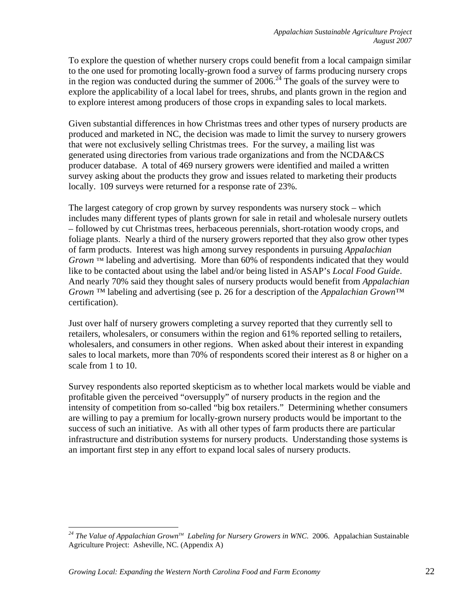To explore the question of whether nursery crops could benefit from a local campaign similar to the one used for promoting locally-grown food a survey of farms producing nursery crops in the region was conducted during the summer of  $2006$ .<sup>24</sup> The goals of the survey were to explore the applicability of a local label for trees, shrubs, and plants grown in the region and to explore interest among producers of those crops in expanding sales to local markets.

Given substantial differences in how Christmas trees and other types of nursery products are produced and marketed in NC, the decision was made to limit the survey to nursery growers that were not exclusively selling Christmas trees. For the survey, a mailing list was generated using directories from various trade organizations and from the NCDA&CS producer database. A total of 469 nursery growers were identified and mailed a written survey asking about the products they grow and issues related to marketing their products locally. 109 surveys were returned for a response rate of 23%.

The largest category of crop grown by survey respondents was nursery stock – which includes many different types of plants grown for sale in retail and wholesale nursery outlets – followed by cut Christmas trees, herbaceous perennials, short-rotation woody crops, and foliage plants. Nearly a third of the nursery growers reported that they also grow other types of farm products. Interest was high among survey respondents in pursuing *Appalachian Grown* ™ labeling and advertising. More than 60% of respondents indicated that they would like to be contacted about using the label and/or being listed in ASAP's *Local Food Guide*. And nearly 70% said they thought sales of nursery products would benefit from *Appalachian Grown ™* labeling and advertising (see p. 26 for a description of the *Appalachian Grown™*  certification).

Just over half of nursery growers completing a survey reported that they currently sell to retailers, wholesalers, or consumers within the region and 61% reported selling to retailers, wholesalers, and consumers in other regions. When asked about their interest in expanding sales to local markets, more than 70% of respondents scored their interest as 8 or higher on a scale from 1 to 10.

Survey respondents also reported skepticism as to whether local markets would be viable and profitable given the perceived "oversupply" of nursery products in the region and the intensity of competition from so-called "big box retailers." Determining whether consumers are willing to pay a premium for locally-grown nursery products would be important to the success of such an initiative. As with all other types of farm products there are particular infrastructure and distribution systems for nursery products. Understanding those systems is an important first step in any effort to expand local sales of nursery products.

 $\overline{a}$ 

*<sup>24</sup> The Value of Appalachian GrownTM Labeling for Nursery Growers in WNC*. 2006. Appalachian Sustainable Agriculture Project: Asheville, NC. (Appendix A)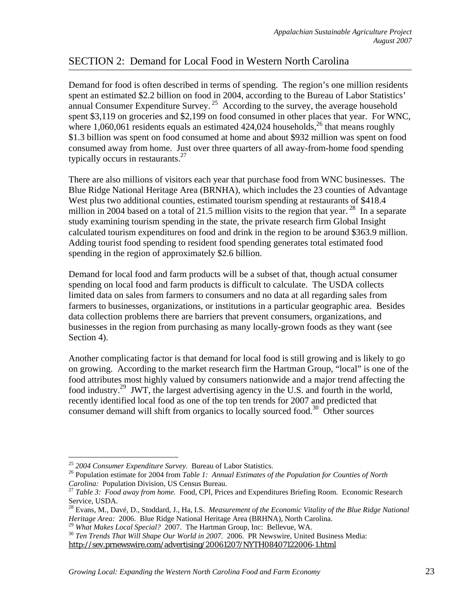# SECTION 2: Demand for Local Food in Western North Carolina

Demand for food is often described in terms of spending. The region's one million residents spent an estimated \$2.2 billion on food in 2004, according to the Bureau of Labor Statistics' annual Consumer Expenditure Survey.<sup>25</sup> According to the survey, the average household spent \$3,119 on groceries and \$2,199 on food consumed in other places that year. For WNC, where 1,060,061 residents equals an estimated  $424,024$  households,<sup>26</sup> that means roughly \$1.3 billion was spent on food consumed at home and about \$932 million was spent on food consumed away from home. Just over three quarters of all away-from-home food spending typically occurs in restaurants.<sup>27</sup>

There are also millions of visitors each year that purchase food from WNC businesses. The Blue Ridge National Heritage Area (BRNHA), which includes the 23 counties of Advantage West plus two additional counties, estimated tourism spending at restaurants of \$418.4 million in 2004 based on a total of 21.5 million visits to the region that year.<sup>28</sup> In a separate study examining tourism spending in the state, the private research firm Global Insight calculated tourism expenditures on food and drink in the region to be around \$363.9 million. Adding tourist food spending to resident food spending generates total estimated food spending in the region of approximately \$2.6 billion.

Demand for local food and farm products will be a subset of that, though actual consumer spending on local food and farm products is difficult to calculate. The USDA collects limited data on sales from farmers to consumers and no data at all regarding sales from farmers to businesses, organizations, or institutions in a particular geographic area. Besides data collection problems there are barriers that prevent consumers, organizations, and businesses in the region from purchasing as many locally-grown foods as they want (see Section 4).

Another complicating factor is that demand for local food is still growing and is likely to go on growing. According to the market research firm the Hartman Group, "local" is one of the food attributes most highly valued by consumers nationwide and a major trend affecting the food industry.<sup>29</sup> JWT, the largest advertising agency in the U.S. and fourth in the world, recently identified local food as one of the top ten trends for 2007 and predicted that consumer demand will shift from organics to locally sourced food.30 Other sources

<sup>&</sup>lt;sup>25</sup> 2004 Consumer Expenditure Survey. Bureau of Labor Statistics.

<sup>&</sup>lt;sup>26</sup> Population estimate for 2004 from *Table 1: Annual Estimates of the Population for Counties of North Carolina: Population Division, US Census Bureau.* 

*Table 3: Food away from home.* Food, CPI, Prices and Expenditures Briefing Room. Economic Research Service, USDA.

<sup>28</sup> Evans, M., Davé, D., Stoddard, J., Ha, I.S. *Measurement of the Economic Vitality of the Blue Ridge National Heritage Area: 2006. Blue Ridge National Heritage Area (BRHNA), North Carolina.* <sup>29</sup> *What Makes Local Special? 2007. The Hartman Group, Inc: Bellevue, WA.* 

<sup>&</sup>lt;sup>30</sup> Ten Trends That Will Shape Our World in 2007. 2006. PR Newswire, United Business Media: http://sev.prnewswire.com/advertising/20061207/NYTH08407122006-1.html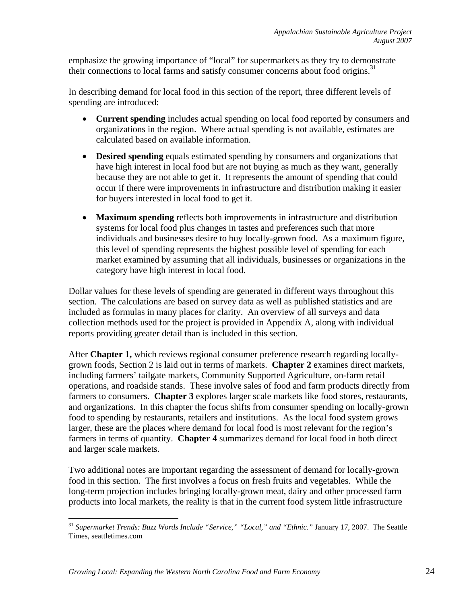emphasize the growing importance of "local" for supermarkets as they try to demonstrate their connections to local farms and satisfy consumer concerns about food origins.<sup>31</sup>

In describing demand for local food in this section of the report, three different levels of spending are introduced:

- **Current spending** includes actual spending on local food reported by consumers and organizations in the region. Where actual spending is not available, estimates are calculated based on available information.
- **Desired spending** equals estimated spending by consumers and organizations that have high interest in local food but are not buying as much as they want, generally because they are not able to get it. It represents the amount of spending that could occur if there were improvements in infrastructure and distribution making it easier for buyers interested in local food to get it.
- **Maximum spending** reflects both improvements in infrastructure and distribution systems for local food plus changes in tastes and preferences such that more individuals and businesses desire to buy locally-grown food. As a maximum figure, this level of spending represents the highest possible level of spending for each market examined by assuming that all individuals, businesses or organizations in the category have high interest in local food.

Dollar values for these levels of spending are generated in different ways throughout this section. The calculations are based on survey data as well as published statistics and are included as formulas in many places for clarity. An overview of all surveys and data collection methods used for the project is provided in Appendix A, along with individual reports providing greater detail than is included in this section.

After **Chapter 1,** which reviews regional consumer preference research regarding locallygrown foods, Section 2 is laid out in terms of markets. **Chapter 2** examines direct markets, including farmers' tailgate markets, Community Supported Agriculture, on-farm retail operations, and roadside stands. These involve sales of food and farm products directly from farmers to consumers. **Chapter 3** explores larger scale markets like food stores, restaurants, and organizations. In this chapter the focus shifts from consumer spending on locally-grown food to spending by restaurants, retailers and institutions. As the local food system grows larger, these are the places where demand for local food is most relevant for the region's farmers in terms of quantity. **Chapter 4** summarizes demand for local food in both direct and larger scale markets.

Two additional notes are important regarding the assessment of demand for locally-grown food in this section. The first involves a focus on fresh fruits and vegetables. While the long-term projection includes bringing locally-grown meat, dairy and other processed farm products into local markets, the reality is that in the current food system little infrastructure

 $\overline{a}$ <sup>31</sup> Supermarket Trends: Buzz Words Include "Service," "Local," and "Ethnic." January 17, 2007. The Seattle Times, seattletimes.com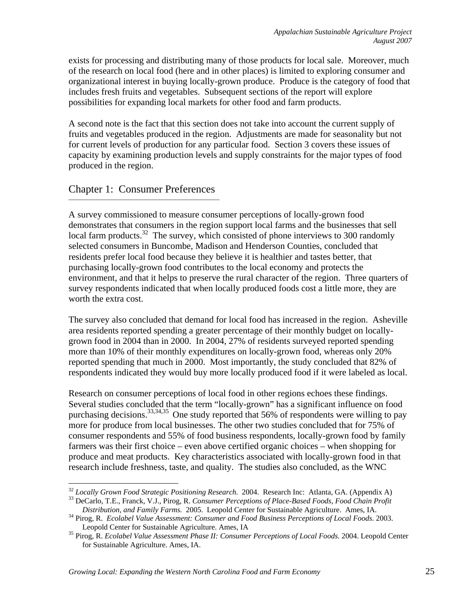exists for processing and distributing many of those products for local sale. Moreover, much of the research on local food (here and in other places) is limited to exploring consumer and organizational interest in buying locally-grown produce. Produce is the category of food that includes fresh fruits and vegetables. Subsequent sections of the report will explore possibilities for expanding local markets for other food and farm products.

A second note is the fact that this section does not take into account the current supply of fruits and vegetables produced in the region. Adjustments are made for seasonality but not for current levels of production for any particular food. Section 3 covers these issues of capacity by examining production levels and supply constraints for the major types of food produced in the region.

## Chapter 1: Consumer Preferences

A survey commissioned to measure consumer perceptions of locally-grown food demonstrates that consumers in the region support local farms and the businesses that sell local farm products.<sup>32</sup> The survey, which consisted of phone interviews to 300 randomly selected consumers in Buncombe, Madison and Henderson Counties, concluded that residents prefer local food because they believe it is healthier and tastes better, that purchasing locally-grown food contributes to the local economy and protects the environment, and that it helps to preserve the rural character of the region. Three quarters of survey respondents indicated that when locally produced foods cost a little more, they are worth the extra cost.

The survey also concluded that demand for local food has increased in the region. Asheville area residents reported spending a greater percentage of their monthly budget on locallygrown food in 2004 than in 2000. In 2004, 27% of residents surveyed reported spending more than 10% of their monthly expenditures on locally-grown food, whereas only 20% reported spending that much in 2000. Most importantly, the study concluded that 82% of respondents indicated they would buy more locally produced food if it were labeled as local.

Research on consumer perceptions of local food in other regions echoes these findings. Several studies concluded that the term "locally-grown" has a significant influence on food purchasing decisions.<sup>33,34,35</sup> One study reported that 56% of respondents were willing to pay more for produce from local businesses. The other two studies concluded that for 75% of consumer respondents and 55% of food business respondents, locally-grown food by family farmers was their first choice – even above certified organic choices – when shopping for produce and meat products. Key characteristics associated with locally-grown food in that research include freshness, taste, and quality. The studies also concluded, as the WNC

<sup>&</sup>lt;u>.</u> <sup>32</sup> *Locally Grown Food Strategic Positioning Research.* 2004. Research Inc: Atlanta, GA. (Appendix A) <sup>33</sup> DeCarlo, T.E., Franck, V.J., Pirog, R. *Consumer Perceptions of Place-Based Foods, Food Chain Profit* 

*Distribution, and Family Farms.* 2005. Leopold Center for Sustainable Agriculture. Ames, IA. 34 Pirog, R. *Ecolabel Value Assessment: Consumer and Food Business Perceptions of Local Foods.* 2003.

Leopold Center for Sustainable Agriculture. Ames, IA 35 Pirog, R. *Ecolabel Value Assessment Phase II: Consumer Perceptions of Local Foods.* 2004. Leopold Center

for Sustainable Agriculture. Ames, IA.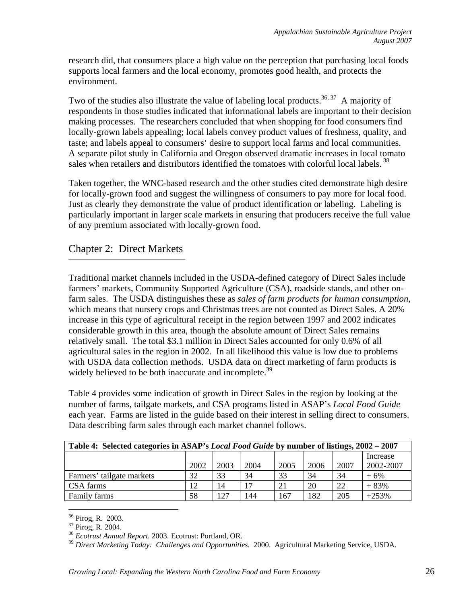research did, that consumers place a high value on the perception that purchasing local foods supports local farmers and the local economy, promotes good health, and protects the environment.

Two of the studies also illustrate the value of labeling local products.<sup>36, 37</sup> A majority of respondents in those studies indicated that informational labels are important to their decision making processes. The researchers concluded that when shopping for food consumers find locally-grown labels appealing; local labels convey product values of freshness, quality, and taste; and labels appeal to consumers' desire to support local farms and local communities. A separate pilot study in California and Oregon observed dramatic increases in local tomato sales when retailers and distributors identified the tomatoes with colorful local labels.<sup>38</sup>

Taken together, the WNC-based research and the other studies cited demonstrate high desire for locally-grown food and suggest the willingness of consumers to pay more for local food. Just as clearly they demonstrate the value of product identification or labeling. Labeling is particularly important in larger scale markets in ensuring that producers receive the full value of any premium associated with locally-grown food.

## Chapter 2: Direct Markets

Traditional market channels included in the USDA-defined category of Direct Sales include farmers' markets, Community Supported Agriculture (CSA), roadside stands, and other onfarm sales. The USDA distinguishes these as *sales of farm products for human consumption*, which means that nursery crops and Christmas trees are not counted as Direct Sales. A 20% increase in this type of agricultural receipt in the region between 1997 and 2002 indicates considerable growth in this area, though the absolute amount of Direct Sales remains relatively small. The total \$3.1 million in Direct Sales accounted for only 0.6% of all agricultural sales in the region in 2002. In all likelihood this value is low due to problems with USDA data collection methods. USDA data on direct marketing of farm products is widely believed to be both inaccurate and incomplete.<sup>39</sup>

Table 4 provides some indication of growth in Direct Sales in the region by looking at the number of farms, tailgate markets, and CSA programs listed in ASAP's *Local Food Guide* each year. Farms are listed in the guide based on their interest in selling direct to consumers. Data describing farm sales through each market channel follows.

| Table 4: Selected categories in ASAP's Local Food Guide by number of listings, 2002 – 2007 |      |      |      |      |      |      |           |
|--------------------------------------------------------------------------------------------|------|------|------|------|------|------|-----------|
|                                                                                            |      |      |      |      |      |      | Increase  |
|                                                                                            | 2002 | 2003 | 2004 | 2005 | 2006 | 2007 | 2002-2007 |
| Farmers' tailgate markets                                                                  | 32   | 33   | 34   | 33   | 34   | 34   | $+6%$     |
| CSA farms                                                                                  | 12   | 14   | 17   | 21   | 20   | 22   | $+83%$    |
| Family farms                                                                               | 58   | 127  | 144  | 167  | 182  | 205  | $+253%$   |

 $\overline{a}$ <sup>36</sup> Pirog, R. 2003.

<sup>37</sup> Pirog, R. 2004.

<sup>38</sup> *Ecotrust Annual Report.* 2003. Ecotrust: Portland, OR.

<sup>39</sup> *Direct Marketing Today: Challenges and Opportunities.* 2000. Agricultural Marketing Service, USDA.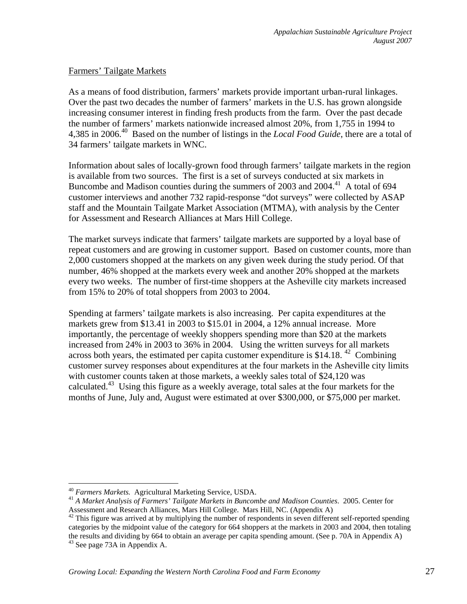#### Farmers' Tailgate Markets

As a means of food distribution, farmers' markets provide important urban-rural linkages. Over the past two decades the number of farmers' markets in the U.S. has grown alongside increasing consumer interest in finding fresh products from the farm. Over the past decade the number of farmers' markets nationwide increased almost 20%, from 1,755 in 1994 to 4,385 in 2006.40 Based on the number of listings in the *Local Food Guide*, there are a total of 34 farmers' tailgate markets in WNC.

Information about sales of locally-grown food through farmers' tailgate markets in the region is available from two sources. The first is a set of surveys conducted at six markets in Buncombe and Madison counties during the summers of 2003 and 2004.<sup>41</sup> A total of 694 customer interviews and another 732 rapid-response "dot surveys" were collected by ASAP staff and the Mountain Tailgate Market Association (MTMA), with analysis by the Center for Assessment and Research Alliances at Mars Hill College.

The market surveys indicate that farmers' tailgate markets are supported by a loyal base of repeat customers and are growing in customer support. Based on customer counts, more than 2,000 customers shopped at the markets on any given week during the study period. Of that number, 46% shopped at the markets every week and another 20% shopped at the markets every two weeks. The number of first-time shoppers at the Asheville city markets increased from 15% to 20% of total shoppers from 2003 to 2004.

Spending at farmers' tailgate markets is also increasing. Per capita expenditures at the markets grew from \$13.41 in 2003 to \$15.01 in 2004, a 12% annual increase. More importantly, the percentage of weekly shoppers spending more than \$20 at the markets increased from 24% in 2003 to 36% in 2004. Using the written surveys for all markets across both years, the estimated per capita customer expenditure is \$14.18.<sup>42</sup> Combining customer survey responses about expenditures at the four markets in the Asheville city limits with customer counts taken at those markets, a weekly sales total of \$24,120 was calculated.<sup>43</sup> Using this figure as a weekly average, total sales at the four markets for the months of June, July and, August were estimated at over \$300,000, or \$75,000 per market.

<sup>&</sup>lt;sup>40</sup> Farmers Markets. Agricultural Marketing Service, USDA.

<sup>&</sup>lt;sup>41</sup> A Market Analysis of Farmers' Tailgate Markets in Buncombe and Madison Counties. 2005. Center for Assessment and Research Alliances, Mars Hill College. Mars Hill, NC. (Appendix A)<br><sup>42</sup> This figure was arrived at by multiplying the number of respondents in seven different self-reported spending

categories by the midpoint value of the category for 664 shoppers at the markets in 2003 and 2004, then totaling the results and dividing by 664 to obtain an average per capita spending amount. (See p. 70A in Appendix A) <sup>43</sup> See page 73A in Appendix A.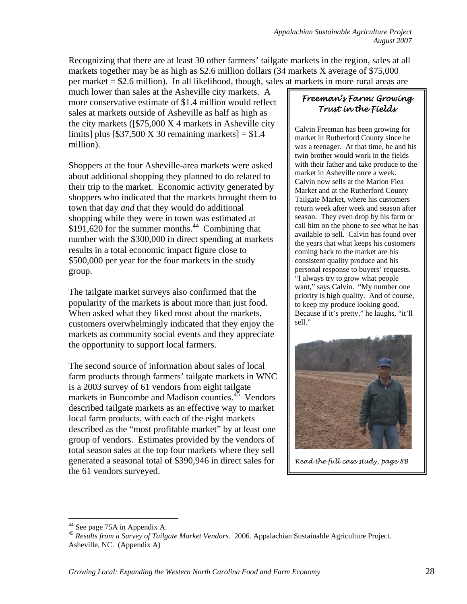Recognizing that there are at least 30 other farmers' tailgate markets in the region, sales at all markets together may be as high as \$2.6 million dollars (34 markets X average of \$75,000 per market = \$2.6 million). In all likelihood, though, sales at markets in more rural areas are

much lower than sales at the Asheville city markets. A more conservative estimate of \$1.4 million would reflect sales at markets outside of Asheville as half as high as the city markets ( $\sqrt{$75,000 \text{ X 4}}$  markets in Asheville city limits] plus  $[$37,500 \text{ X } 30$  remaining markets] = \$1.4 million).

Shoppers at the four Asheville-area markets were asked about additional shopping they planned to do related to their trip to the market. Economic activity generated by shoppers who indicated that the markets brought them to town that day *and* that they would do additional shopping while they were in town was estimated at  $$191,620$  for the summer months.<sup>44</sup> Combining that number with the \$300,000 in direct spending at markets results in a total economic impact figure close to \$500,000 per year for the four markets in the study group.

The tailgate market surveys also confirmed that the popularity of the markets is about more than just food. When asked what they liked most about the markets, customers overwhelmingly indicated that they enjoy the markets as community social events and they appreciate the opportunity to support local farmers.

The second source of information about sales of local farm products through farmers' tailgate markets in WNC is a 2003 survey of 61 vendors from eight tailgate markets in Buncombe and Madison counties.<sup>45</sup> Vendors described tailgate markets as an effective way to market local farm products, with each of the eight markets described as the "most profitable market" by at least one group of vendors. Estimates provided by the vendors of total season sales at the top four markets where they sell generated a seasonal total of \$390,946 in direct sales for the 61 vendors surveyed.

## *Freeman's Farm: Growing Trust in the Fields*

Calvin Freeman has been growing for market in Rutherford County since he was a teenager. At that time, he and his twin brother would work in the fields with their father and take produce to the market in Asheville once a week. Calvin now sells at the Marion Flea Market and at the Rutherford County Tailgate Market, where his customers return week after week and season after season. They even drop by his farm or call him on the phone to see what he has available to sell. Calvin has found over the years that what keeps his customers coming back to the market are his consistent quality produce and his personal response to buyers' requests. "I always try to grow what people want," says Calvin. "My number one priority is high quality. And of course, to keep my produce looking good. Because if it's pretty," he laughs, "it'll sell."



*Read the full case study, page 8B* 

 $\overline{a}$ 

<sup>&</sup>lt;sup>44</sup> See page 75A in Appendix A.

<sup>45</sup> *Results from a Survey of Tailgate Market Vendors.* 2006. Appalachian Sustainable Agriculture Project. Asheville, NC. (Appendix A)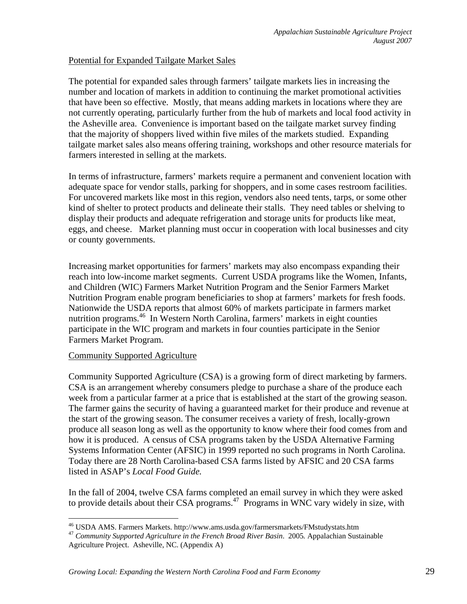#### Potential for Expanded Tailgate Market Sales

The potential for expanded sales through farmers' tailgate markets lies in increasing the number and location of markets in addition to continuing the market promotional activities that have been so effective. Mostly, that means adding markets in locations where they are not currently operating, particularly further from the hub of markets and local food activity in the Asheville area. Convenience is important based on the tailgate market survey finding that the majority of shoppers lived within five miles of the markets studied. Expanding tailgate market sales also means offering training, workshops and other resource materials for farmers interested in selling at the markets.

In terms of infrastructure, farmers' markets require a permanent and convenient location with adequate space for vendor stalls, parking for shoppers, and in some cases restroom facilities. For uncovered markets like most in this region, vendors also need tents, tarps, or some other kind of shelter to protect products and delineate their stalls. They need tables or shelving to display their products and adequate refrigeration and storage units for products like meat, eggs, and cheese. Market planning must occur in cooperation with local businesses and city or county governments.

Increasing market opportunities for farmers' markets may also encompass expanding their reach into low-income market segments. Current USDA programs like the Women, Infants, and Children (WIC) Farmers Market Nutrition Program and the Senior Farmers Market Nutrition Program enable program beneficiaries to shop at farmers' markets for fresh foods. Nationwide the USDA reports that almost 60% of markets participate in farmers market nutrition programs.<sup>46</sup> In Western North Carolina, farmers' markets in eight counties participate in the WIC program and markets in four counties participate in the Senior Farmers Market Program.

#### Community Supported Agriculture

Community Supported Agriculture (CSA) is a growing form of direct marketing by farmers. CSA is an arrangement whereby consumers pledge to purchase a share of the produce each week from a particular farmer at a price that is established at the start of the growing season. The farmer gains the security of having a guaranteed market for their produce and revenue at the start of the growing season. The consumer receives a variety of fresh, locally-grown produce all season long as well as the opportunity to know where their food comes from and how it is produced. A census of CSA programs taken by the USDA Alternative Farming Systems Information Center (AFSIC) in 1999 reported no such programs in North Carolina. Today there are 28 North Carolina-based CSA farms listed by AFSIC and 20 CSA farms listed in ASAP's *Local Food Guide.* 

In the fall of 2004, twelve CSA farms completed an email survey in which they were asked to provide details about their CSA programs.<sup>47</sup> Programs in WNC vary widely in size, with

<sup>1</sup> 

<sup>46</sup> USDA AMS. Farmers Markets. http://www.ams.usda.gov/farmersmarkets/FMstudystats.htm 47 *Community Supported Agriculture in the French Broad River Basin*. 2005*.* Appalachian Sustainable Agriculture Project. Asheville, NC. (Appendix A)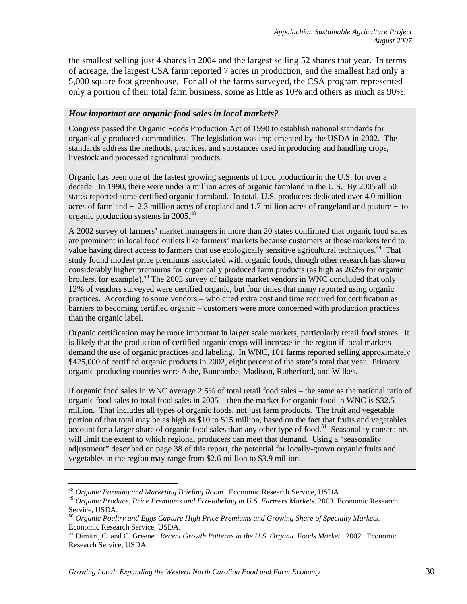the smallest selling just 4 shares in 2004 and the largest selling 52 shares that year. In terms of acreage, the largest CSA farm reported 7 acres in production, and the smallest had only a 5,000 square foot greenhouse. For all of the farms surveyed, the CSA program represented only a portion of their total farm business, some as little as 10% and others as much as 90%.

#### *How important are organic food sales in local markets?*

Congress passed the Organic Foods Production Act of 1990 to establish national standards for organically produced commodities. The legislation was implemented by the USDA in 2002. The standards address the methods, practices, and substances used in producing and handling crops, livestock and processed agricultural products.

Organic has been one of the fastest growing segments of food production in the U.S. for over a decade. In 1990, there were under a million acres of organic farmland in the U.S. By 2005 all 50 states reported some certified organic farmland. In total, U.S. producers dedicated over 4.0 million acres of farmland – 2.3 million acres of cropland and 1.7 million acres of rangeland and pasture – to organic production systems in 2005.48

A 2002 survey of farmers' market managers in more than 20 states confirmed that organic food sales are prominent in local food outlets like farmers' markets because customers at those markets tend to value having direct access to farmers that use ecologically sensitive agricultural techniques.<sup>49</sup> That study found modest price premiums associated with organic foods, though other research has shown considerably higher premiums for organically produced farm products (as high as 262% for organic broilers, for example).<sup>50</sup> The 2003 survey of tailgate market vendors in WNC concluded that only 12% of vendors surveyed were certified organic, but four times that many reported using organic practices. According to some vendors – who cited extra cost and time required for certification as barriers to becoming certified organic – customers were more concerned with production practices than the organic label.

Organic certification may be more important in larger scale markets, particularly retail food stores. It is likely that the production of certified organic crops will increase in the region if local markets demand the use of organic practices and labeling. In WNC, 101 farms reported selling approximately \$425,000 of certified organic products in 2002, eight percent of the state's total that year. Primary organic-producing counties were Ashe, Buncombe, Madison, Rutherford, and Wilkes.

If organic food sales in WNC average 2.5% of total retail food sales – the same as the national ratio of organic food sales to total food sales in 2005 – then the market for organic food in WNC is \$32.5 million. That includes all types of organic foods, not just farm products. The fruit and vegetable portion of that total may be as high as \$10 to \$15 million, based on the fact that fruits and vegetables  $\alpha$  account for a larger share of organic food sales than any other type of food.<sup>51</sup> Seasonality constraints will limit the extent to which regional producers can meet that demand. Using a "seasonality" adjustment" described on page 38 of this report, the potential for locally-grown organic fruits and vegetables in the region may range from \$2.6 million to \$3.9 million.

 $\overline{a}$ 

<sup>48</sup> *Organic Farming and Marketing Briefing Room*. Economic Research Service, USDA.

<sup>49</sup> *Organic Produce, Price Premiums and Eco-labeling in U.S. Farmers Markets*. 2003. Economic Research Service, USDA.

<sup>50</sup> *Organic Poultry and Eggs Capture High Price Premiums and Growing Share of Specialty Markets*. Economic Research Service, USDA.

<sup>51</sup> Dimitri, C. and C. Greene. *Recent Growth Patterns in the U.S. Organic Foods Market.* 2002. Economic Research Service, USDA.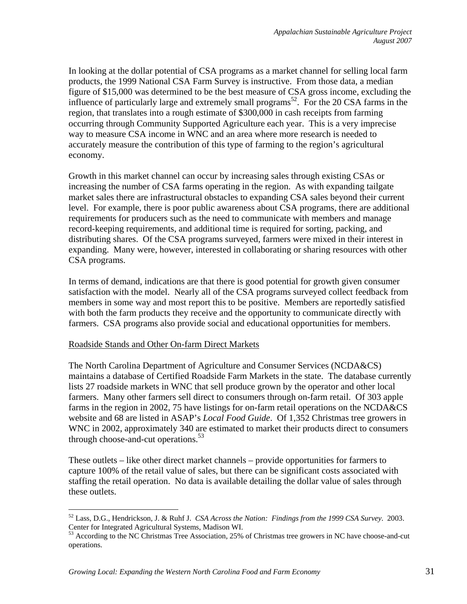In looking at the dollar potential of CSA programs as a market channel for selling local farm products, the 1999 National CSA Farm Survey is instructive. From those data, a median figure of \$15,000 was determined to be the best measure of CSA gross income, excluding the influence of particularly large and extremely small programs<sup>52</sup>. For the 20 CSA farms in the region, that translates into a rough estimate of \$300,000 in cash receipts from farming occurring through Community Supported Agriculture each year. This is a very imprecise way to measure CSA income in WNC and an area where more research is needed to accurately measure the contribution of this type of farming to the region's agricultural economy.

Growth in this market channel can occur by increasing sales through existing CSAs or increasing the number of CSA farms operating in the region. As with expanding tailgate market sales there are infrastructural obstacles to expanding CSA sales beyond their current level. For example, there is poor public awareness about CSA programs, there are additional requirements for producers such as the need to communicate with members and manage record-keeping requirements, and additional time is required for sorting, packing, and distributing shares. Of the CSA programs surveyed, farmers were mixed in their interest in expanding. Many were, however, interested in collaborating or sharing resources with other CSA programs.

In terms of demand, indications are that there is good potential for growth given consumer satisfaction with the model. Nearly all of the CSA programs surveyed collect feedback from members in some way and most report this to be positive. Members are reportedly satisfied with both the farm products they receive and the opportunity to communicate directly with farmers. CSA programs also provide social and educational opportunities for members.

#### Roadside Stands and Other On-farm Direct Markets

<u>.</u>

The North Carolina Department of Agriculture and Consumer Services (NCDA&CS) maintains a database of Certified Roadside Farm Markets in the state. The database currently lists 27 roadside markets in WNC that sell produce grown by the operator and other local farmers. Many other farmers sell direct to consumers through on-farm retail. Of 303 apple farms in the region in 2002, 75 have listings for on-farm retail operations on the NCDA&CS website and 68 are listed in ASAP's *Local Food Guide*. Of 1,352 Christmas tree growers in WNC in 2002, approximately 340 are estimated to market their products direct to consumers through choose-and-cut operations. $53$ 

These outlets – like other direct market channels – provide opportunities for farmers to capture 100% of the retail value of sales, but there can be significant costs associated with staffing the retail operation. No data is available detailing the dollar value of sales through these outlets.

<sup>52</sup> Lass, D.G., Hendrickson, J. & Ruhf J. *CSA Across the Nation: Findings from the 1999 CSA Survey*. 2003. Center for Integrated Agricultural Systems, Madison WI.

<sup>53</sup> According to the NC Christmas Tree Association, 25% of Christmas tree growers in NC have choose-and-cut operations.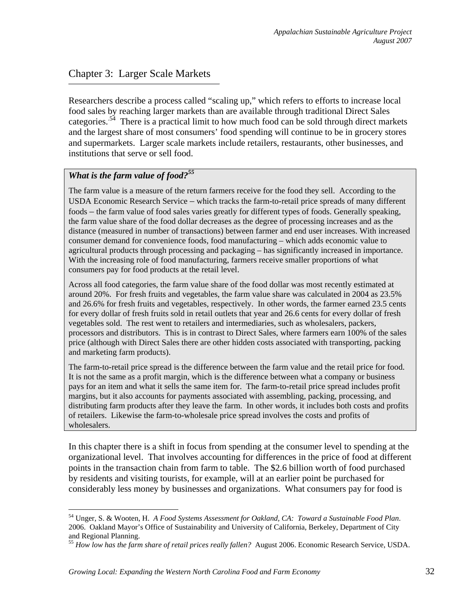# Chapter 3: Larger Scale Markets

Researchers describe a process called "scaling up," which refers to efforts to increase local food sales by reaching larger markets than are available through traditional Direct Sales categories.<sup>54</sup> There is a practical limit to how much food can be sold through direct markets and the largest share of most consumers' food spending will continue to be in grocery stores and supermarkets. Larger scale markets include retailers, restaurants, other businesses, and institutions that serve or sell food.

## *What is the farm value of food?55*

<u>.</u>

The farm value is a measure of the return farmers receive for the food they sell. According to the USDA Economic Research Service – which tracks the farm-to-retail price spreads of many different foods – the farm value of food sales varies greatly for different types of foods. Generally speaking, the farm value share of the food dollar decreases as the degree of processing increases and as the distance (measured in number of transactions) between farmer and end user increases. With increased consumer demand for convenience foods, food manufacturing – which adds economic value to agricultural products through processing and packaging – has significantly increased in importance. With the increasing role of food manufacturing, farmers receive smaller proportions of what consumers pay for food products at the retail level.

Across all food categories, the farm value share of the food dollar was most recently estimated at around 20%. For fresh fruits and vegetables, the farm value share was calculated in 2004 as 23.5% and 26.6% for fresh fruits and vegetables, respectively. In other words, the farmer earned 23.5 cents for every dollar of fresh fruits sold in retail outlets that year and 26.6 cents for every dollar of fresh vegetables sold. The rest went to retailers and intermediaries, such as wholesalers, packers, processors and distributors. This is in contrast to Direct Sales, where farmers earn 100% of the sales price (although with Direct Sales there are other hidden costs associated with transporting, packing and marketing farm products).

The farm-to-retail price spread is the difference between the farm value and the retail price for food. It is not the same as a profit margin, which is the difference between what a company or business pays for an item and what it sells the same item for. The farm-to-retail price spread includes profit margins, but it also accounts for payments associated with assembling, packing, processing, and distributing farm products after they leave the farm. In other words, it includes both costs and profits of retailers. Likewise the farm-to-wholesale price spread involves the costs and profits of wholesalers.

In this chapter there is a shift in focus from spending at the consumer level to spending at the organizational level.That involves accounting for differences in the price of food at different points in the transaction chain from farm to table. The \$2.6 billion worth of food purchased by residents and visiting tourists, for example, will at an earlier point be purchased for considerably less money by businesses and organizations. What consumers pay for food is

<sup>54</sup> Unger, S. & Wooten, H. *A Food Systems Assessment for Oakland, CA: Toward a Sustainable Food Plan*. 2006. Oakland Mayor's Office of Sustainability and University of California, Berkeley, Department of City and Regional Planning.

<sup>55</sup> *How low has the farm share of retail prices really fallen?* August 2006. Economic Research Service, USDA.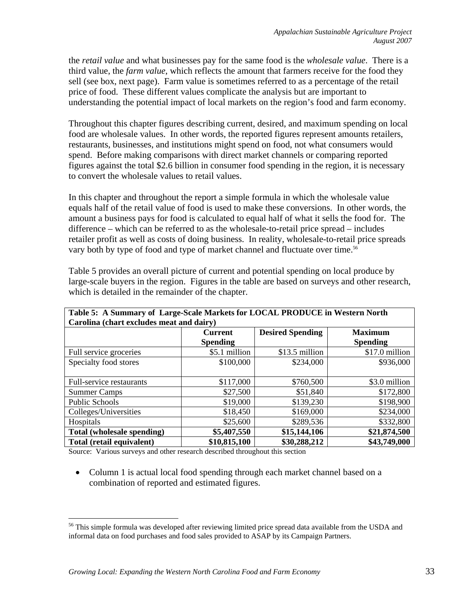the *retail value* and what businesses pay for the same food is the *wholesale value*. There is a third value, the *farm value*, which reflects the amount that farmers receive for the food they sell (see box, next page). Farm value is sometimes referred to as a percentage of the retail price of food. These different values complicate the analysis but are important to understanding the potential impact of local markets on the region's food and farm economy.

Throughout this chapter figures describing current, desired, and maximum spending on local food are wholesale values. In other words, the reported figures represent amounts retailers, restaurants, businesses, and institutions might spend on food, not what consumers would spend. Before making comparisons with direct market channels or comparing reported figures against the total \$2.6 billion in consumer food spending in the region, it is necessary to convert the wholesale values to retail values.

In this chapter and throughout the report a simple formula in which the wholesale value equals half of the retail value of food is used to make these conversions. In other words, the amount a business pays for food is calculated to equal half of what it sells the food for. The difference – which can be referred to as the wholesale-to-retail price spread – includes retailer profit as well as costs of doing business. In reality, wholesale-to-retail price spreads vary both by type of food and type of market channel and fluctuate over time.<sup>56</sup>

| Table 5: A Summary of Large-Scale Markets for LOCAL PRODUCE in Western North |                 |                         |                 |  |
|------------------------------------------------------------------------------|-----------------|-------------------------|-----------------|--|
| Carolina (chart excludes meat and dairy)                                     |                 |                         |                 |  |
|                                                                              | <b>Current</b>  | <b>Desired Spending</b> | <b>Maximum</b>  |  |
|                                                                              | <b>Spending</b> |                         | <b>Spending</b> |  |
| Full service groceries                                                       | \$5.1 million   | \$13.5 million          | \$17.0 million  |  |
| Specialty food stores                                                        | \$100,000       | \$234,000               | \$936,000       |  |
|                                                                              |                 |                         |                 |  |
| Full-service restaurants                                                     | \$117,000       | \$760,500               | \$3.0 million   |  |
| <b>Summer Camps</b>                                                          | \$27,500        | \$51,840                | \$172,800       |  |
| <b>Public Schools</b>                                                        | \$19,000        | \$139,230               | \$198,900       |  |
| Colleges/Universities                                                        | \$18,450        | \$169,000               | \$234,000       |  |
| Hospitals                                                                    | \$25,600        | \$289,536               | \$332,800       |  |
| Total (wholesale spending)                                                   | \$5,407,550     | \$15,144,106            | \$21,874,500    |  |
| Total (retail equivalent)                                                    | \$10,815,100    | \$30,288,212            | \$43,749,000    |  |

Table 5 provides an overall picture of current and potential spending on local produce by large-scale buyers in the region. Figures in the table are based on surveys and other research, which is detailed in the remainder of the chapter.

Source: Various surveys and other research described throughout this section

 $\overline{a}$ 

• Column 1 is actual local food spending through each market channel based on a combination of reported and estimated figures.

<sup>&</sup>lt;sup>56</sup> This simple formula was developed after reviewing limited price spread data available from the USDA and informal data on food purchases and food sales provided to ASAP by its Campaign Partners.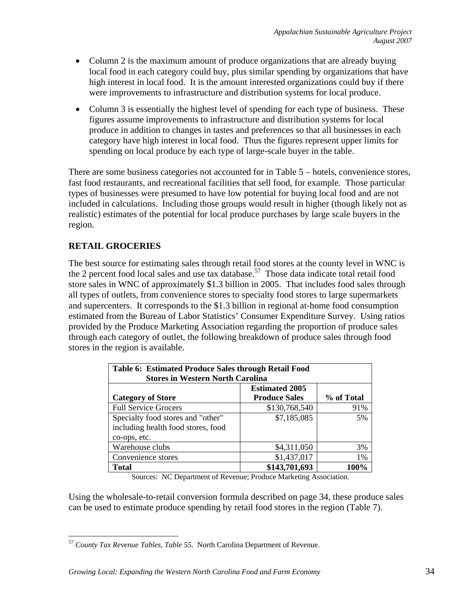- Column 2 is the maximum amount of produce organizations that are already buying local food in each category could buy, plus similar spending by organizations that have high interest in local food. It is the amount interested organizations could buy if there were improvements to infrastructure and distribution systems for local produce.
- Column 3 is essentially the highest level of spending for each type of business. These figures assume improvements to infrastructure and distribution systems for local produce in addition to changes in tastes and preferences so that all businesses in each category have high interest in local food. Thus the figures represent upper limits for spending on local produce by each type of large-scale buyer in the table.

There are some business categories not accounted for in Table 5 – hotels, convenience stores, fast food restaurants, and recreational facilities that sell food, for example. Those particular types of businesses were presumed to have low potential for buying local food and are not included in calculations. Including those groups would result in higher (though likely not as realistic) estimates of the potential for local produce purchases by large scale buyers in the region.

# **RETAIL GROCERIES**

The best source for estimating sales through retail food stores at the county level in WNC is the 2 percent food local sales and use tax database.<sup>57</sup> Those data indicate total retail food store sales in WNC of approximately \$1.3 billion in 2005. That includes food sales through all types of outlets, from convenience stores to specialty food stores to large supermarkets and supercenters. It corresponds to the \$1.3 billion in regional at-home food consumption estimated from the Bureau of Labor Statistics' Consumer Expenditure Survey. Using ratios provided by the Produce Marketing Association regarding the proportion of produce sales through each category of outlet, the following breakdown of produce sales through food stores in the region is available.

| <b>Table 6: Estimated Produce Sales through Retail Food</b><br><b>Stores in Western North Carolina</b> |                       |            |  |  |
|--------------------------------------------------------------------------------------------------------|-----------------------|------------|--|--|
|                                                                                                        | <b>Estimated 2005</b> |            |  |  |
| <b>Category of Store</b>                                                                               | <b>Produce Sales</b>  | % of Total |  |  |
| <b>Full Service Grocers</b>                                                                            | \$130,768,540         | 91%        |  |  |
| Specialty food stores and "other"                                                                      | \$7,185,085           | 5%         |  |  |
| including health food stores, food                                                                     |                       |            |  |  |
| co-ops, etc.                                                                                           |                       |            |  |  |
| Warehouse clubs                                                                                        | \$4,311,050           | 3%         |  |  |
| \$1,437,017<br>Convenience stores<br>1%                                                                |                       |            |  |  |
| <b>Total</b>                                                                                           | \$143,701,693         | 100%       |  |  |

Sources: NC Department of Revenue; Produce Marketing Association.

Using the wholesale-to-retail conversion formula described on page 34, these produce sales can be used to estimate produce spending by retail food stores in the region (Table 7).

 $\overline{a}$ <sup>57</sup> *County Tax Revenue Tables, Table 55*. North Carolina Department of Revenue.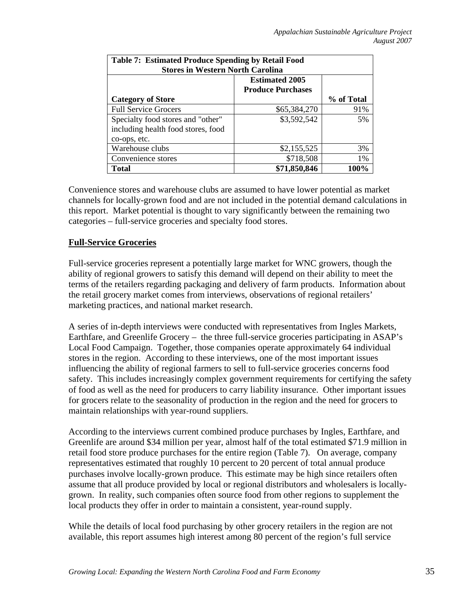| <b>Table 7: Estimated Produce Spending by Retail Food</b><br><b>Stores in Western North Carolina</b> |              |            |  |  |
|------------------------------------------------------------------------------------------------------|--------------|------------|--|--|
| <b>Estimated 2005</b><br><b>Produce Purchases</b>                                                    |              |            |  |  |
| <b>Category of Store</b>                                                                             |              | % of Total |  |  |
| <b>Full Service Grocers</b>                                                                          | \$65,384,270 | 91%        |  |  |
| Specialty food stores and "other"<br>including health food stores, food                              | \$3,592,542  | 5%         |  |  |
| co-ops, etc.                                                                                         |              |            |  |  |
| Warehouse clubs                                                                                      | \$2,155,525  | 3%         |  |  |
| Convenience stores                                                                                   | \$718,508    | $1\%$      |  |  |
| <b>Total</b>                                                                                         | \$71,850,846 | 100%       |  |  |

Convenience stores and warehouse clubs are assumed to have lower potential as market channels for locally-grown food and are not included in the potential demand calculations in this report. Market potential is thought to vary significantly between the remaining two categories – full-service groceries and specialty food stores.

### **Full-Service Groceries**

Full-service groceries represent a potentially large market for WNC growers, though the ability of regional growers to satisfy this demand will depend on their ability to meet the terms of the retailers regarding packaging and delivery of farm products. Information about the retail grocery market comes from interviews, observations of regional retailers' marketing practices, and national market research.

A series of in-depth interviews were conducted with representatives from Ingles Markets, Earthfare, and Greenlife Grocery – the three full-service groceries participating in ASAP's Local Food Campaign. Together, those companies operate approximately 64 individual stores in the region. According to these interviews, one of the most important issues influencing the ability of regional farmers to sell to full-service groceries concerns food safety. This includes increasingly complex government requirements for certifying the safety of food as well as the need for producers to carry liability insurance. Other important issues for grocers relate to the seasonality of production in the region and the need for grocers to maintain relationships with year-round suppliers.

According to the interviews current combined produce purchases by Ingles, Earthfare, and Greenlife are around \$34 million per year, almost half of the total estimated \$71.9 million in retail food store produce purchases for the entire region (Table 7). On average, company representatives estimated that roughly 10 percent to 20 percent of total annual produce purchases involve locally-grown produce. This estimate may be high since retailers often assume that all produce provided by local or regional distributors and wholesalers is locallygrown. In reality, such companies often source food from other regions to supplement the local products they offer in order to maintain a consistent, year-round supply.

While the details of local food purchasing by other grocery retailers in the region are not available, this report assumes high interest among 80 percent of the region's full service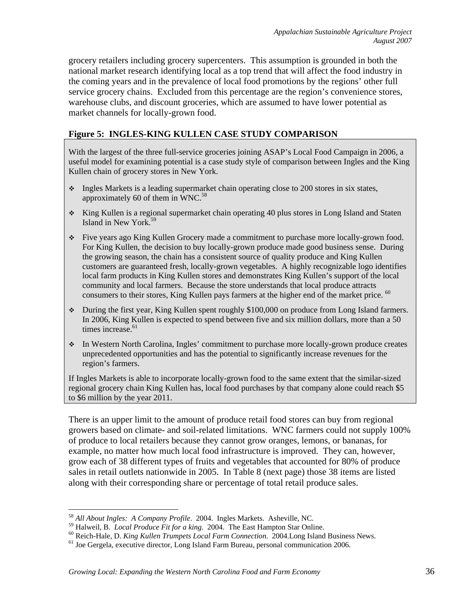grocery retailers including grocery supercenters. This assumption is grounded in both the national market research identifying local as a top trend that will affect the food industry in the coming years and in the prevalence of local food promotions by the regions' other full service grocery chains. Excluded from this percentage are the region's convenience stores, warehouse clubs, and discount groceries, which are assumed to have lower potential as market channels for locally-grown food.

## **Figure 5: INGLES-KING KULLEN CASE STUDY COMPARISON**

With the largest of the three full-service groceries joining ASAP's Local Food Campaign in 2006, a useful model for examining potential is a case study style of comparison between Ingles and the King Kullen chain of grocery stores in New York.

- Ingles Markets is a leading supermarket chain operating close to 200 stores in six states, approximately 60 of them in WNC. $58$
- \* King Kullen is a regional supermarket chain operating 40 plus stores in Long Island and Staten Island in New York.59
- Five years ago King Kullen Grocery made a commitment to purchase more locally-grown food. For King Kullen, the decision to buy locally-grown produce made good business sense. During the growing season, the chain has a consistent source of quality produce and King Kullen customers are guaranteed fresh, locally-grown vegetables. A highly recognizable logo identifies local farm products in King Kullen stores and demonstrates King Kullen's support of the local community and local farmers. Because the store understands that local produce attracts consumers to their stores, King Kullen pays farmers at the higher end of the market price. <sup>60</sup>
- During the first year, King Kullen spent roughly \$100,000 on produce from Long Island farmers. In 2006, King Kullen is expected to spend between five and six million dollars, more than a 50 times increase.<sup>61</sup>
- In Western North Carolina, Ingles' commitment to purchase more locally-grown produce creates unprecedented opportunities and has the potential to significantly increase revenues for the region's farmers.

If Ingles Markets is able to incorporate locally-grown food to the same extent that the similar-sized regional grocery chain King Kullen has, local food purchases by that company alone could reach \$5 to \$6 million by the year 2011.

There is an upper limit to the amount of produce retail food stores can buy from regional growers based on climate- and soil-related limitations. WNC farmers could not supply 100% of produce to local retailers because they cannot grow oranges, lemons, or bananas, for example, no matter how much local food infrastructure is improved. They can, however, grow each of 38 different types of fruits and vegetables that accounted for 80% of produce sales in retail outlets nationwide in 2005. In Table 8 (next page) those 38 items are listed along with their corresponding share or percentage of total retail produce sales.

<sup>58</sup> *All About Ingles: A Company Profile*. 2004. Ingles Markets. Asheville, NC.

<sup>&</sup>lt;sup>59</sup> Halweil, B. *Local Produce Fit for a king.* 2004. The East Hampton Star Online.<br><sup>60</sup> Reich-Hale, D. *King Kullen Trumpets Local Farm Connection*. 2004.Long Island Business News.<br><sup>61</sup> Joe Gergela, executive director, L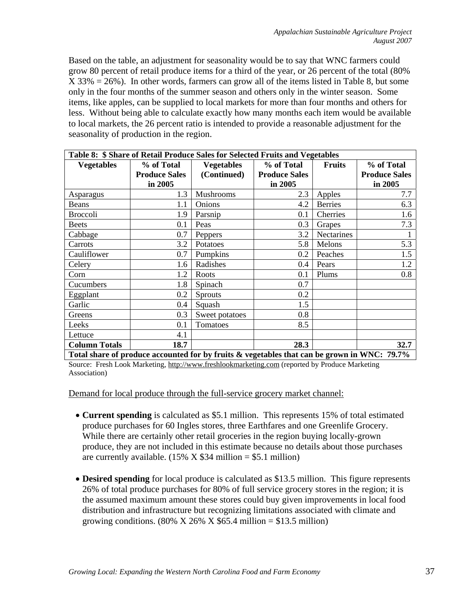Based on the table, an adjustment for seasonality would be to say that WNC farmers could grow 80 percent of retail produce items for a third of the year, or 26 percent of the total (80% X 33% = 26%). In other words, farmers can grow all of the items listed in Table 8, but some only in the four months of the summer season and others only in the winter season. Some items, like apples, can be supplied to local markets for more than four months and others for less. Without being able to calculate exactly how many months each item would be available to local markets, the 26 percent ratio is intended to provide a reasonable adjustment for the seasonality of production in the region.

| Table 8: \$ Share of Retail Produce Sales for Selected Fruits and Vegetables                |                      |                   |                      |                |                      |
|---------------------------------------------------------------------------------------------|----------------------|-------------------|----------------------|----------------|----------------------|
| <b>Vegetables</b>                                                                           | % of Total           | <b>Vegetables</b> | % of Total           | <b>Fruits</b>  | % of Total           |
|                                                                                             | <b>Produce Sales</b> | (Continued)       | <b>Produce Sales</b> |                | <b>Produce Sales</b> |
|                                                                                             | in 2005              |                   | in 2005              |                | in 2005              |
| Asparagus                                                                                   | 1.3                  | Mushrooms         | 2.3                  | Apples         | 7.7                  |
| Beans                                                                                       | 1.1                  | Onions            | 4.2                  | <b>Berries</b> | 6.3                  |
| <b>Broccoli</b>                                                                             | 1.9                  | Parsnip           | 0.1                  | Cherries       | 1.6                  |
| <b>Beets</b>                                                                                | 0.1                  | Peas              | 0.3                  | Grapes         | 7.3                  |
| Cabbage                                                                                     | 0.7                  | Peppers           | 3.2                  | Nectarines     |                      |
| Carrots                                                                                     | 3.2                  | Potatoes          | 5.8                  | Melons         | 5.3                  |
| Cauliflower                                                                                 | 0.7                  | Pumpkins          | 0.2                  | Peaches        | 1.5                  |
| Celery                                                                                      | 1.6                  | Radishes          | 0.4                  | Pears          | 1.2                  |
| Corn                                                                                        | 1.2                  | Roots             | 0.1                  | Plums          | 0.8                  |
| Cucumbers                                                                                   | 1.8                  | Spinach           | 0.7                  |                |                      |
| Eggplant                                                                                    | 0.2                  | <b>Sprouts</b>    | 0.2                  |                |                      |
| Garlic                                                                                      | 0.4                  | Squash            | 1.5                  |                |                      |
| Greens                                                                                      | 0.3                  | Sweet potatoes    | 0.8                  |                |                      |
| Leeks                                                                                       | 0.1                  | Tomatoes          | 8.5                  |                |                      |
| Lettuce                                                                                     | 4.1                  |                   |                      |                |                      |
| <b>Column Totals</b>                                                                        | 18.7                 |                   | 28.3                 |                | 32.7                 |
| Total share of produce accounted for by fruits & vegetables that can be grown in WNC: 79.7% |                      |                   |                      |                |                      |

Source: Fresh Look Marketing, http://www.freshlookmarketing.com (reported by Produce Marketing Association)

Demand for local produce through the full-service grocery market channel:

- **Current spending** is calculated as \$5.1 million. This represents 15% of total estimated produce purchases for 60 Ingles stores, three Earthfares and one Greenlife Grocery. While there are certainly other retail groceries in the region buying locally-grown produce, they are not included in this estimate because no details about those purchases are currently available.  $(15\% \times $34 \text{ million} = $5.1 \text{ million})$
- **Desired spending** for local produce is calculated as \$13.5 million. This figure represents 26% of total produce purchases for 80% of full service grocery stores in the region; it is the assumed maximum amount these stores could buy given improvements in local food distribution and infrastructure but recognizing limitations associated with climate and growing conditions. (80% X 26% X \$65.4 million = \$13.5 million)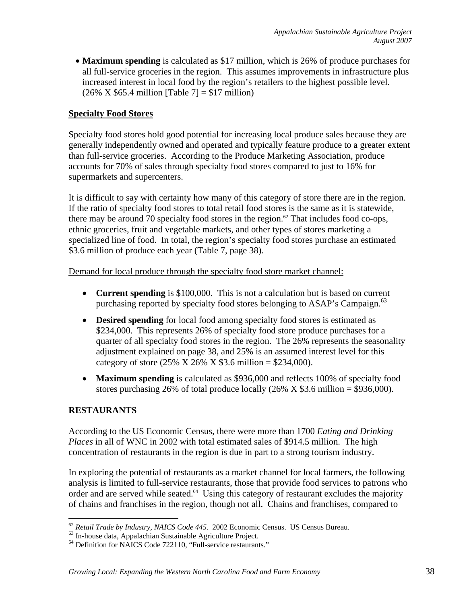• **Maximum spending** is calculated as \$17 million, which is 26% of produce purchases for all full-service groceries in the region. This assumes improvements in infrastructure plus increased interest in local food by the region's retailers to the highest possible level.  $(26\% \times $65.4 \text{ million} [Table 7] = $17 \text{ million})$ 

## **Specialty Food Stores**

Specialty food stores hold good potential for increasing local produce sales because they are generally independently owned and operated and typically feature produce to a greater extent than full-service groceries. According to the Produce Marketing Association, produce accounts for 70% of sales through specialty food stores compared to just to 16% for supermarkets and supercenters.

It is difficult to say with certainty how many of this category of store there are in the region. If the ratio of specialty food stores to total retail food stores is the same as it is statewide, there may be around 70 specialty food stores in the region.<sup>62</sup> That includes food co-ops, ethnic groceries, fruit and vegetable markets, and other types of stores marketing a specialized line of food. In total, the region's specialty food stores purchase an estimated \$3.6 million of produce each year (Table 7, page 38).

Demand for local produce through the specialty food store market channel:

- **Current spending** is \$100,000. This is not a calculation but is based on current purchasing reported by specialty food stores belonging to ASAP's Campaign.<sup>63</sup>
- **Desired spending** for local food among specialty food stores is estimated as \$234,000. This represents 26% of specialty food store produce purchases for a quarter of all specialty food stores in the region. The 26% represents the seasonality adjustment explained on page 38, and 25% is an assumed interest level for this category of store (25% X 26% X \$3.6 million = \$234,000).
- **Maximum spending** is calculated as \$936,000 and reflects 100% of specialty food stores purchasing 26% of total produce locally  $(26% \times $3.6 \text{ million} = $936,000)$ .

## **RESTAURANTS**

According to the US Economic Census, there were more than 1700 *Eating and Drinking Places* in all of WNC in 2002 with total estimated sales of \$914.5 million. The high concentration of restaurants in the region is due in part to a strong tourism industry.

In exploring the potential of restaurants as a market channel for local farmers, the following analysis is limited to full-service restaurants, those that provide food services to patrons who order and are served while seated. $64$  Using this category of restaurant excludes the majority of chains and franchises in the region, though not all. Chains and franchises, compared to

 $\overline{a}$ <sup>62</sup> *Retail Trade by Industry, NAICS Code <sup>445</sup>*. 2002 Economic Census. US Census Bureau. 63 In-house data, Appalachian Sustainable Agriculture Project.

<sup>64</sup> Definition for NAICS Code 722110, "Full-service restaurants."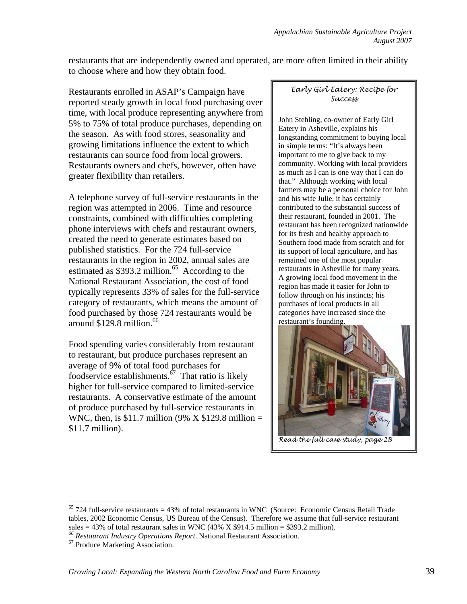restaurants that are independently owned and operated, are more often limited in their ability to choose where and how they obtain food.

Restaurants enrolled in ASAP's Campaign have reported steady growth in local food purchasing over time, with local produce representing anywhere from 5% to 75% of total produce purchases, depending on the season. As with food stores, seasonality and growing limitations influence the extent to which restaurants can source food from local growers. Restaurants owners and chefs, however, often have greater flexibility than retailers.

A telephone survey of full-service restaurants in the region was attempted in 2006. Time and resource constraints, combined with difficulties completing phone interviews with chefs and restaurant owners, created the need to generate estimates based on published statistics. For the 724 full-service restaurants in the region in 2002, annual sales are estimated as  $$393.2$  million.<sup>65</sup> According to the National Restaurant Association, the cost of food typically represents 33% of sales for the full-service category of restaurants, which means the amount of food purchased by those 724 restaurants would be around \$129.8 million.<sup>66</sup>

Food spending varies considerably from restaurant to restaurant, but produce purchases represent an average of 9% of total food purchases for foodservice establishments. $\frac{67}{7}$  That ratio is likely higher for full-service compared to limited-service restaurants. A conservative estimate of the amount of produce purchased by full-service restaurants in WNC, then, is \$11.7 million (9% X \$129.8 million = \$11.7 million).

#### *Early Girl Eatery: Recipe for Success*

John Stehling, co-owner of Early Girl Eatery in Asheville, explains his longstanding commitment to buying local in simple terms: "It's always been important to me to give back to my community. Working with local providers as much as I can is one way that I can do that." Although working with local farmers may be a personal choice for John and his wife Julie, it has certainly contributed to the substantial success of their restaurant, founded in 2001. The restaurant has been recognized nationwide for its fresh and healthy approach to Southern food made from scratch and for its support of local agriculture, and has remained one of the most popular restaurants in Asheville for many years. A growing local food movement in the region has made it easier for John to follow through on his instincts; his purchases of local products in all categories have increased since the restaurant's founding.



*Read the full case study, page 2B* 

 $65$  724 full-service restaurants = 43% of total restaurants in WNC (Source: Economic Census Retail Trade tables, 2002 Economic Census, US Bureau of the Census). Therefore we assume that full-service restaurant sales  $= 43\%$  of total restaurant sales in WNC  $(43\% \times $914.5 \text{ million}) = $393.2 \text{ million}$ .

*<sup>66</sup> Restaurant Industry Operations Report*. National Restaurant Association*.* 67 Produce Marketing Association.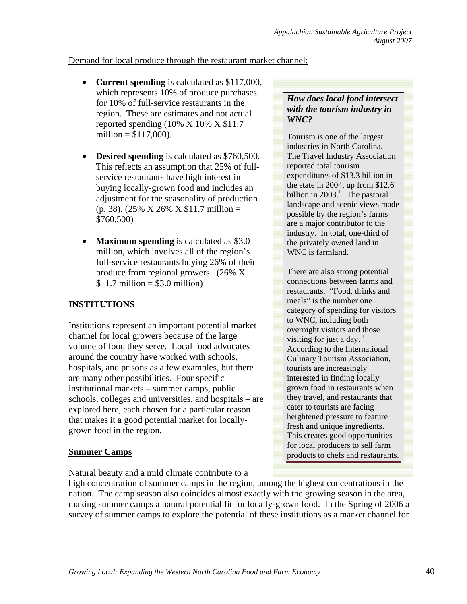## Demand for local produce through the restaurant market channel:

- **Current spending** is calculated as \$117,000, which represents 10% of produce purchases for 10% of full-service restaurants in the region. These are estimates and not actual reported spending  $(10\% \times 10\% \times \$11.7)$ million =  $$117,000$ ).
- **Desired spending** is calculated as \$760,500. This reflects an assumption that 25% of fullservice restaurants have high interest in buying locally-grown food and includes an adjustment for the seasonality of production  $(p. 38)$ . (25% X 26% X \$11.7 million = \$760,500)
- **Maximum spending** is calculated as \$3.0 million, which involves all of the region's full-service restaurants buying 26% of their produce from regional growers. (26% X  $$11.7$  million  $= $3.0$  million)

# **INSTITUTIONS**

Institutions represent an important potential market channel for local growers because of the large volume of food they serve. Local food advocates around the country have worked with schools, hospitals, and prisons as a few examples, but there are many other possibilities. Four specific institutional markets – summer camps, public schools, colleges and universities, and hospitals – are explored here, each chosen for a particular reason that makes it a good potential market for locallygrown food in the region.

# **Summer Camps**

Natural beauty and a mild climate contribute to a

high concentration of summer camps in the region, among the highest concentrations in the nation. The camp season also coincides almost exactly with the growing season in the area, making summer camps a natural potential fit for locally-grown food. In the Spring of 2006 a survey of summer camps to explore the potential of these institutions as a market channel for

## *How does local food intersect with the tourism industry in WNC?*

Tourism is one of the largest industries in North Carolina. The Travel Industry Association reported total tourism expenditures of \$13.3 billion in the state in 2004, up from \$12.6 billion in  $2003<sup>1</sup>$ . The pastoral landscape and scenic views made possible by the region's farms are a major contributor to the industry. In total, one-third of the privately owned land in WNC is farmland.

There are also strong potential connections between farms and restaurants. "Food, drinks and meals" is the number one category of spending for visitors to WNC, including both overnight visitors and those visiting for just a day.<sup>1</sup> According to the International Culinary Tourism Association, tourists are increasingly interested in finding locally grown food in restaurants when they travel, and restaurants that cater to tourists are facing heightened pressure to feature fresh and unique ingredients. This creates good opportunities for local producers to sell farm products to chefs and restaurants.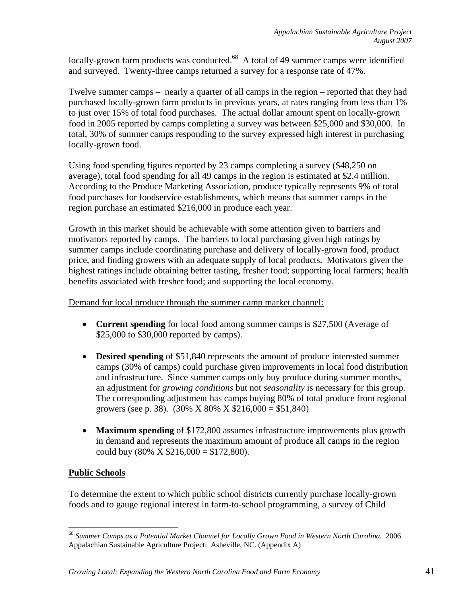locally-grown farm products was conducted.<sup>68</sup> A total of 49 summer camps were identified and surveyed. Twenty-three camps returned a survey for a response rate of 47%.

Twelve summer camps – nearly a quarter of all camps in the region – reported that they had purchased locally-grown farm products in previous years, at rates ranging from less than 1% to just over 15% of total food purchases. The actual dollar amount spent on locally-grown food in 2005 reported by camps completing a survey was between \$25,000 and \$30,000. In total, 30% of summer camps responding to the survey expressed high interest in purchasing locally-grown food.

Using food spending figures reported by 23 camps completing a survey (\$48,250 on average), total food spending for all 49 camps in the region is estimated at \$2.4 million. According to the Produce Marketing Association, produce typically represents 9% of total food purchases for foodservice establishments, which means that summer camps in the region purchase an estimated \$216,000 in produce each year.

Growth in this market should be achievable with some attention given to barriers and motivators reported by camps. The barriers to local purchasing given high ratings by summer camps include coordinating purchase and delivery of locally-grown food, product price, and finding growers with an adequate supply of local products. Motivators given the highest ratings include obtaining better tasting, fresher food; supporting local farmers; health benefits associated with fresher food; and supporting the local economy.

Demand for local produce through the summer camp market channel:

- **Current spending** for local food among summer camps is \$27,500 (Average of \$25,000 to \$30,000 reported by camps).
- **Desired spending** of \$51,840 represents the amount of produce interested summer camps (30% of camps) could purchase given improvements in local food distribution and infrastructure. Since summer camps only buy produce during summer months, an adjustment for *growing conditions* but not *seasonality* is necessary for this group. The corresponding adjustment has camps buying 80% of total produce from regional growers (see p. 38). (30% X 80% X \$216,000 = \$51,840)
- **Maximum spending** of \$172,800 assumes infrastructure improvements plus growth in demand and represents the maximum amount of produce all camps in the region could buy  $(80\% \times \$216,000 = \$172,800)$ .

## **Public Schools**

 $\overline{a}$ 

To determine the extent to which public school districts currently purchase locally-grown foods and to gauge regional interest in farm-to-school programming, a survey of Child

<sup>68</sup> *Summer Camps as a Potential Market Channel for Locally Grown Food in Western North Carolina.* 2006. Appalachian Sustainable Agriculture Project: Asheville, NC. (Appendix A)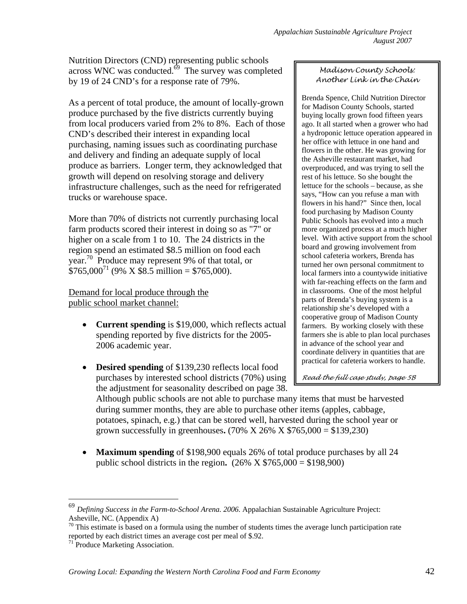Nutrition Directors (CND) representing public schools across WNC was conducted. $\overset{6}{\circ}$  The survey was completed by 19 of 24 CND's for a response rate of 79%.

As a percent of total produce, the amount of locally-grown produce purchased by the five districts currently buying from local producers varied from 2% to 8%. Each of those CND's described their interest in expanding local purchasing, naming issues such as coordinating purchase and delivery and finding an adequate supply of local produce as barriers. Longer term, they acknowledged that growth will depend on resolving storage and delivery infrastructure challenges, such as the need for refrigerated trucks or warehouse space.

More than 70% of districts not currently purchasing local farm products scored their interest in doing so as "7" or higher on a scale from 1 to 10. The 24 districts in the region spend an estimated \$8.5 million on food each year.<sup>70</sup> Produce may represent 9% of that total, or  $$765,000^{71}$  (9% X \$8.5 million = \$765,000).

Demand for local produce through the public school market channel:

- **Current spending** is \$19,000, which reflects actual spending reported by five districts for the 2005- 2006 academic year.
- **Desired spending** of \$139,230 reflects local food purchases by interested school districts (70%) using the adjustment for seasonality described on page 38.

### *Madison County Schools: Another Link in the Chain*

Brenda Spence, Child Nutrition Director for Madison County Schools, started buying locally grown food fifteen years ago. It all started when a grower who had a hydroponic lettuce operation appeared in her office with lettuce in one hand and flowers in the other. He was growing for the Asheville restaurant market, had overproduced, and was trying to sell the rest of his lettuce. So she bought the lettuce for the schools – because, as she says, "How can you refuse a man with flowers in his hand?" Since then, local food purchasing by Madison County Public Schools has evolved into a much more organized process at a much higher level. With active support from the school board and growing involvement from school cafeteria workers, Brenda has turned her own personal commitment to local farmers into a countywide initiative with far-reaching effects on the farm and in classrooms. One of the most helpful parts of Brenda's buying system is a relationship she's developed with a cooperative group of Madison County farmers. By working closely with these farmers she is able to plan local purchases in advance of the school year and coordinate delivery in quantities that are practical for cafeteria workers to handle.

*Read the full case study, page 5B*

Although public schools are not able to purchase many items that must be harvested during summer months, they are able to purchase other items (apples, cabbage, potatoes, spinach, e.g.) that can be stored well, harvested during the school year or grown successfully in greenhouses**.** (70% X 26% X \$765,000 = \$139,230)

• **Maximum spending** of \$198,900 equals 26% of total produce purchases by all 24 public school districts in the region**.** (26% X \$765,000 = \$198,900)

<sup>69</sup> *Defining Success in the Farm-to-School Arena. 2006.* Appalachian Sustainable Agriculture Project: Asheville, NC. (Appendix A)

 $70$  This estimate is based on a formula using the number of students times the average lunch participation rate reported by each district times an average cost per meal of \$.92. 71 Produce Marketing Association.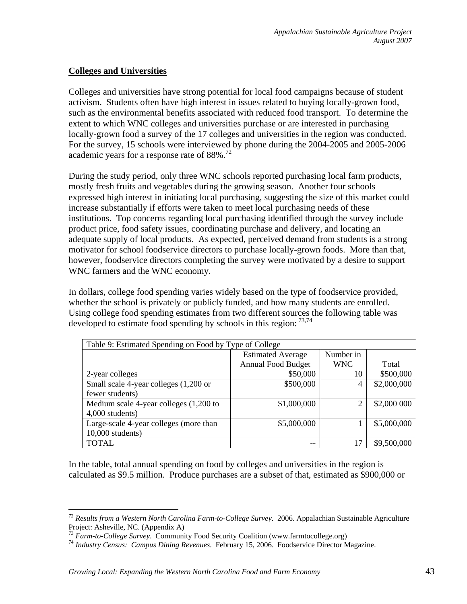## **Colleges and Universities**

 $\overline{a}$ 

Colleges and universities have strong potential for local food campaigns because of student activism. Students often have high interest in issues related to buying locally-grown food, such as the environmental benefits associated with reduced food transport. To determine the extent to which WNC colleges and universities purchase or are interested in purchasing locally-grown food a survey of the 17 colleges and universities in the region was conducted. For the survey, 15 schools were interviewed by phone during the 2004-2005 and 2005-2006 academic years for a response rate of  $88\%$ .<sup>72</sup>

During the study period, only three WNC schools reported purchasing local farm products, mostly fresh fruits and vegetables during the growing season. Another four schools expressed high interest in initiating local purchasing, suggesting the size of this market could increase substantially if efforts were taken to meet local purchasing needs of these institutions. Top concerns regarding local purchasing identified through the survey include product price, food safety issues, coordinating purchase and delivery, and locating an adequate supply of local products. As expected, perceived demand from students is a strong motivator for school foodservice directors to purchase locally-grown foods. More than that, however, foodservice directors completing the survey were motivated by a desire to support WNC farmers and the WNC economy.

In dollars, college food spending varies widely based on the type of foodservice provided, whether the school is privately or publicly funded, and how many students are enrolled. Using college food spending estimates from two different sources the following table was developed to estimate food spending by schools in this region:  $^{73,74}$ 

| Table 9: Estimated Spending on Food by Type of College |                           |            |             |
|--------------------------------------------------------|---------------------------|------------|-------------|
|                                                        | <b>Estimated Average</b>  | Number in  |             |
|                                                        | <b>Annual Food Budget</b> | <b>WNC</b> | Total       |
| 2-year colleges                                        | \$50,000                  | 10         | \$500,000   |
| Small scale 4-year colleges (1,200 or                  | \$500,000                 | 4          | \$2,000,000 |
| fewer students)                                        |                           |            |             |
| Medium scale 4-year colleges (1,200 to                 | \$1,000,000               | 2          | \$2,000 000 |
| 4,000 students)                                        |                           |            |             |
| Large-scale 4-year colleges (more than                 | \$5,000,000               |            | \$5,000,000 |
| $10,000$ students)                                     |                           |            |             |
| <b>TOTAL</b>                                           | --                        | 17         | \$9,500,000 |

In the table, total annual spending on food by colleges and universities in the region is calculated as \$9.5 million. Produce purchases are a subset of that, estimated as \$900,000 or

<sup>72</sup> *Results from a Western North Carolina Farm-to-College Survey.* 2006. Appalachian Sustainable Agriculture Project: Asheville, NC. (Appendix A)<br><sup>73</sup> Farm-to-College Survey. Community Food Security Coalition (www.farmtocollege.org)

<sup>&</sup>lt;sup>74</sup> Industry Census: Campus Dining Revenues. February 15, 2006. Foodservice Director Magazine.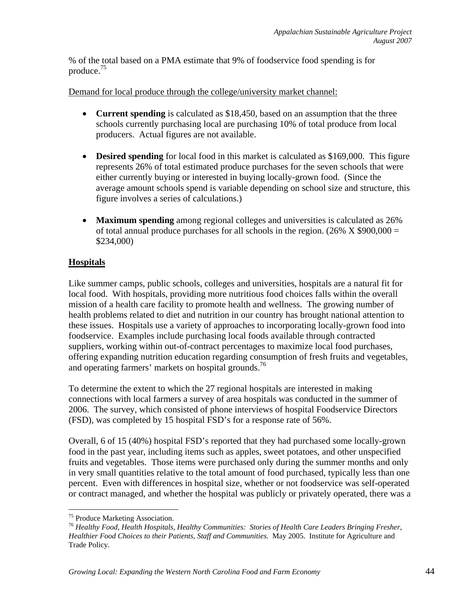% of the total based on a PMA estimate that 9% of foodservice food spending is for produce.75

Demand for local produce through the college/university market channel:

- **Current spending** is calculated as \$18,450, based on an assumption that the three schools currently purchasing local are purchasing 10% of total produce from local producers. Actual figures are not available.
- **Desired spending** for local food in this market is calculated as \$169,000.This figure represents 26% of total estimated produce purchases for the seven schools that were either currently buying or interested in buying locally-grown food. (Since the average amount schools spend is variable depending on school size and structure, this figure involves a series of calculations.)
- **Maximum spending** among regional colleges and universities is calculated as 26% of total annual produce purchases for all schools in the region.  $(26\% \times $900,000 =$ \$234,000)

# **Hospitals**

Like summer camps, public schools, colleges and universities, hospitals are a natural fit for local food. With hospitals, providing more nutritious food choices falls within the overall mission of a health care facility to promote health and wellness. The growing number of health problems related to diet and nutrition in our country has brought national attention to these issues. Hospitals use a variety of approaches to incorporating locally-grown food into foodservice. Examples include purchasing local foods available through contracted suppliers, working within out-of-contract percentages to maximize local food purchases, offering expanding nutrition education regarding consumption of fresh fruits and vegetables, and operating farmers' markets on hospital grounds.<sup>76</sup>

To determine the extent to which the 27 regional hospitals are interested in making connections with local farmers a survey of area hospitals was conducted in the summer of 2006. The survey, which consisted of phone interviews of hospital Foodservice Directors (FSD), was completed by 15 hospital FSD's for a response rate of 56%.

Overall, 6 of 15 (40%) hospital FSD's reported that they had purchased some locally-grown food in the past year, including items such as apples, sweet potatoes, and other unspecified fruits and vegetables. Those items were purchased only during the summer months and only in very small quantities relative to the total amount of food purchased, typically less than one percent. Even with differences in hospital size, whether or not foodservice was self-operated or contract managed, and whether the hospital was publicly or privately operated, there was a

<u>.</u>

<sup>&</sup>lt;sup>75</sup> Produce Marketing Association.

<sup>76</sup> *Healthy Food, Health Hospitals, Healthy Communities: Stories of Health Care Leaders Bringing Fresher, Healthier Food Choices to their Patients, Staff and Communities.* May 2005. Institute for Agriculture and Trade Policy.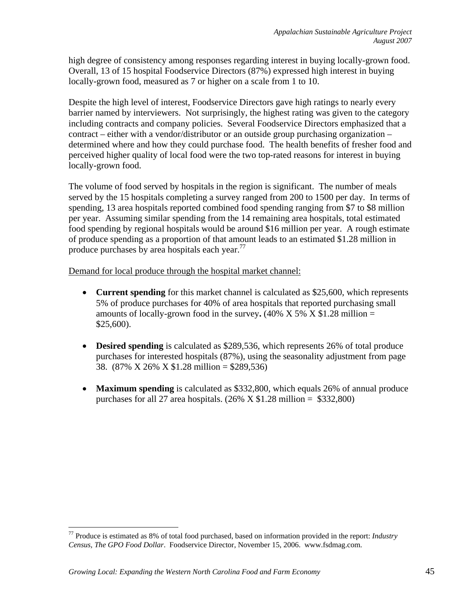high degree of consistency among responses regarding interest in buying locally-grown food. Overall, 13 of 15 hospital Foodservice Directors (87%) expressed high interest in buying locally-grown food, measured as 7 or higher on a scale from 1 to 10.

Despite the high level of interest, Foodservice Directors gave high ratings to nearly every barrier named by interviewers. Not surprisingly, the highest rating was given to the category including contracts and company policies. Several Foodservice Directors emphasized that a contract – either with a vendor/distributor or an outside group purchasing organization – determined where and how they could purchase food. The health benefits of fresher food and perceived higher quality of local food were the two top-rated reasons for interest in buying locally-grown food.

The volume of food served by hospitals in the region is significant. The number of meals served by the 15 hospitals completing a survey ranged from 200 to 1500 per day. In terms of spending, 13 area hospitals reported combined food spending ranging from \$7 to \$8 million per year. Assuming similar spending from the 14 remaining area hospitals, total estimated food spending by regional hospitals would be around \$16 million per year. A rough estimate of produce spending as a proportion of that amount leads to an estimated \$1.28 million in produce purchases by area hospitals each year.<sup>77</sup>

Demand for local produce through the hospital market channel:

- **Current spending** for this market channel is calculated as \$25,600, which represents 5% of produce purchases for 40% of area hospitals that reported purchasing small amounts of locally-grown food in the survey.  $(40\% \times 5\% \times 1.28 \text{ million} =$ \$25,600).
- **Desired spending** is calculated as \$289,536, which represents 26% of total produce purchases for interested hospitals (87%), using the seasonality adjustment from page 38. (87% X 26% X \$1.28 million = \$289,536)
- **Maximum spending** is calculated as \$332,800, which equals 26% of annual produce purchases for all 27 area hospitals.  $(26\% \times $1.28 \text{ million} = $332,800)$

<sup>77</sup> Produce is estimated as 8% of total food purchased, based on information provided in the report: *Industry Census, The GPO Food Dollar*. Foodservice Director, November 15, 2006. www.fsdmag.com.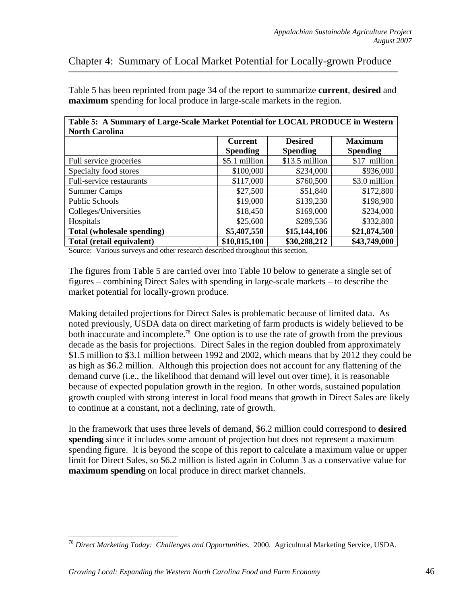# Chapter 4: Summary of Local Market Potential for Locally-grown Produce

Table 5 has been reprinted from page 34 of the report to summarize **current**, **desired** and **maximum** spending for local produce in large-scale markets in the region.

| Table 5: A Summary of Large-Scale Market Potential for LOCAL PRODUCE in Western |                 |                 |                 |
|---------------------------------------------------------------------------------|-----------------|-----------------|-----------------|
| <b>North Carolina</b>                                                           | <b>Current</b>  | <b>Desired</b>  | <b>Maximum</b>  |
|                                                                                 | <b>Spending</b> | <b>Spending</b> | <b>Spending</b> |
| Full service groceries                                                          | \$5.1 million   | \$13.5 million  | \$17 million    |
| Specialty food stores                                                           | \$100,000       | \$234,000       | \$936,000       |
| Full-service restaurants                                                        | \$117,000       | \$760,500       | \$3.0 million   |
| <b>Summer Camps</b>                                                             | \$27,500        | \$51,840        | \$172,800       |
| Public Schools                                                                  | \$19,000        | \$139,230       | \$198,900       |
| Colleges/Universities                                                           | \$18,450        | \$169,000       | \$234,000       |
| Hospitals                                                                       | \$25,600        | \$289,536       | \$332,800       |
| Total (wholesale spending)                                                      | \$5,407,550     | \$15,144,106    | \$21,874,500    |
| Total (retail equivalent)                                                       | \$10,815,100    | \$30,288,212    | \$43,749,000    |

**Table 5: A Summary of Large-Scale Market Potential for LOCAL PRODUCE in West** 

Source: Various surveys and other research described throughout this section.

The figures from Table 5 are carried over into Table 10 below to generate a single set of figures – combining Direct Sales with spending in large-scale markets – to describe the market potential for locally-grown produce.

Making detailed projections for Direct Sales is problematic because of limited data. As noted previously, USDA data on direct marketing of farm products is widely believed to be both inaccurate and incomplete.<sup>78</sup> One option is to use the rate of growth from the previous decade as the basis for projections. Direct Sales in the region doubled from approximately \$1.5 million to \$3.1 million between 1992 and 2002, which means that by 2012 they could be as high as \$6.2 million. Although this projection does not account for any flattening of the demand curve (i.e., the likelihood that demand will level out over time), it is reasonable because of expected population growth in the region. In other words, sustained population growth coupled with strong interest in local food means that growth in Direct Sales are likely to continue at a constant, not a declining, rate of growth.

In the framework that uses three levels of demand, \$6.2 million could correspond to **desired spending** since it includes some amount of projection but does not represent a maximum spending figure. It is beyond the scope of this report to calculate a maximum value or upper limit for Direct Sales, so \$6.2 million is listed again in Column 3 as a conservative value for **maximum spending** on local produce in direct market channels.

<sup>78</sup> *Direct Marketing Today: Challenges and Opportunities.* 2000. Agricultural Marketing Service, USDA.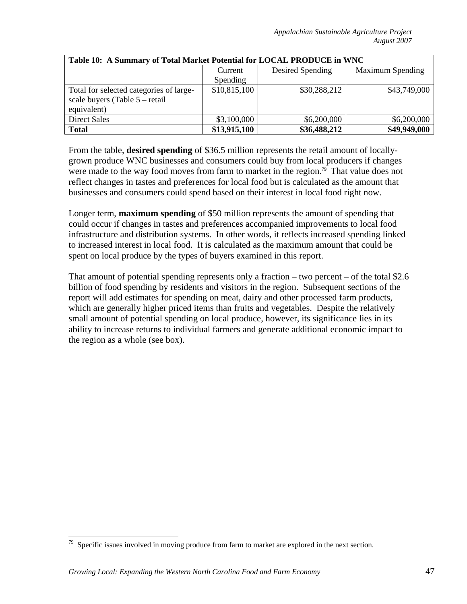| Table 10: A Summary of Total Market Potential for LOCAL PRODUCE in WNC |                 |                  |                         |  |
|------------------------------------------------------------------------|-----------------|------------------|-------------------------|--|
|                                                                        | Current         | Desired Spending | <b>Maximum Spending</b> |  |
|                                                                        | <b>Spending</b> |                  |                         |  |
| Total for selected categories of large-                                | \$10,815,100    | \$30,288,212     | \$43,749,000            |  |
| scale buyers (Table 5 – retail                                         |                 |                  |                         |  |
| equivalent)                                                            |                 |                  |                         |  |
| <b>Direct Sales</b>                                                    | \$3,100,000     | \$6,200,000      | \$6,200,000             |  |
| <b>Total</b>                                                           | \$13,915,100    | \$36,488,212     | \$49,949,000            |  |

From the table, **desired spending** of \$36.5 million represents the retail amount of locallygrown produce WNC businesses and consumers could buy from local producers if changes were made to the way food moves from farm to market in the region.<sup>79</sup> That value does not reflect changes in tastes and preferences for local food but is calculated as the amount that businesses and consumers could spend based on their interest in local food right now.

Longer term, **maximum spending** of \$50 million represents the amount of spending that could occur if changes in tastes and preferences accompanied improvements to local food infrastructure and distribution systems. In other words, it reflects increased spending linked to increased interest in local food. It is calculated as the maximum amount that could be spent on local produce by the types of buyers examined in this report.

That amount of potential spending represents only a fraction – two percent – of the total  $$2.6$ billion of food spending by residents and visitors in the region. Subsequent sections of the report will add estimates for spending on meat, dairy and other processed farm products, which are generally higher priced items than fruits and vegetables. Despite the relatively small amount of potential spending on local produce, however, its significance lies in its ability to increase returns to individual farmers and generate additional economic impact to the region as a whole (see box).

 $79$  Specific issues involved in moving produce from farm to market are explored in the next section.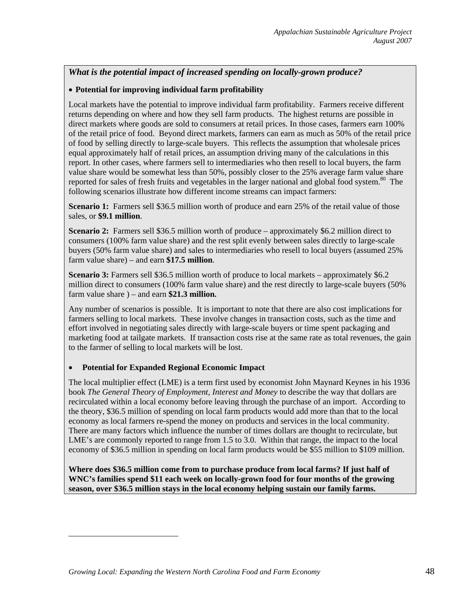### *What is the potential impact of increased spending on locally-grown produce?*

#### • **Potential for improving individual farm profitability**

Local markets have the potential to improve individual farm profitability. Farmers receive different returns depending on where and how they sell farm products. The highest returns are possible in direct markets where goods are sold to consumers at retail prices. In those cases, farmers earn 100% of the retail price of food. Beyond direct markets, farmers can earn as much as 50% of the retail price of food by selling directly to large-scale buyers. This reflects the assumption that wholesale prices equal approximately half of retail prices, an assumption driving many of the calculations in this report. In other cases, where farmers sell to intermediaries who then resell to local buyers, the farm value share would be somewhat less than 50%, possibly closer to the 25% average farm value share reported for sales of fresh fruits and vegetables in the larger national and global food system.<sup>80</sup> The following scenarios illustrate how different income streams can impact farmers:

**Scenario 1:** Farmers sell \$36.5 million worth of produce and earn 25% of the retail value of those sales, or **\$9.1 million**.

**Scenario 2:** Farmers sell \$36.5 million worth of produce – approximately \$6.2 million direct to consumers (100% farm value share) and the rest split evenly between sales directly to large-scale buyers (50% farm value share) and sales to intermediaries who resell to local buyers (assumed 25% farm value share) – and earn **\$17.5 million**.

**Scenario 3:** Farmers sell \$36.5 million worth of produce to local markets – approximately \$6.2 million direct to consumers (100% farm value share) and the rest directly to large-scale buyers (50% farm value share ) – and earn **\$21.3 million.**

Any number of scenarios is possible. It is important to note that there are also cost implications for farmers selling to local markets. These involve changes in transaction costs, such as the time and effort involved in negotiating sales directly with large-scale buyers or time spent packaging and marketing food at tailgate markets. If transaction costs rise at the same rate as total revenues, the gain to the farmer of selling to local markets will be lost.

#### • **Potential for Expanded Regional Economic Impact**

 $\overline{a}$ 

The local multiplier effect (LME) is a term first used by economist John Maynard Keynes in his 1936 book *The General Theory of Employment, Interest and Money* to describe the way that dollars are recirculated within a local economy before leaving through the purchase of an import. According to the theory, \$36.5 million of spending on local farm products would add more than that to the local economy as local farmers re-spend the money on products and services in the local community. There are many factors which influence the number of times dollars are thought to recirculate, but LME's are commonly reported to range from 1.5 to 3.0. Within that range, the impact to the local economy of \$36.5 million in spending on local farm products would be \$55 million to \$109 million.

**Where does \$36.5 million come from to purchase produce from local farms? If just half of WNC's families spend \$11 each week on locally-grown food for four months of the growing season, over \$36.5 million stays in the local economy helping sustain our family farms.**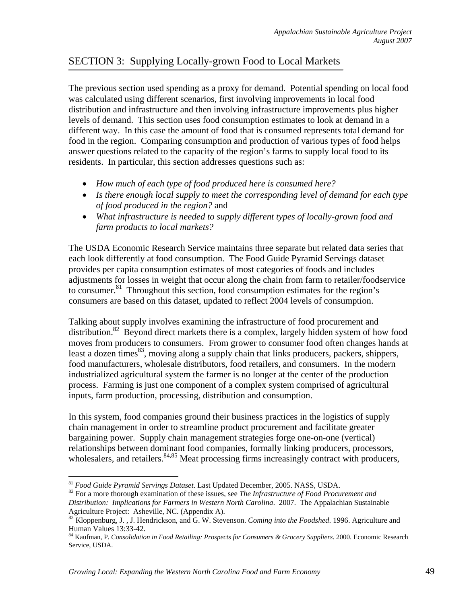# SECTION 3: Supplying Locally-grown Food to Local Markets

The previous section used spending as a proxy for demand. Potential spending on local food was calculated using different scenarios, first involving improvements in local food distribution and infrastructure and then involving infrastructure improvements plus higher levels of demand. This section uses food consumption estimates to look at demand in a different way. In this case the amount of food that is consumed represents total demand for food in the region. Comparing consumption and production of various types of food helps answer questions related to the capacity of the region's farms to supply local food to its residents. In particular, this section addresses questions such as:

- *How much of each type of food produced here is consumed here?*
- *Is there enough local supply to meet the corresponding level of demand for each type of food produced in the region?* and
- *What infrastructure is needed to supply different types of locally-grown food and farm products to local markets?*

The USDA Economic Research Service maintains three separate but related data series that each look differently at food consumption. The Food Guide Pyramid Servings dataset provides per capita consumption estimates of most categories of foods and includes adjustments for losses in weight that occur along the chain from farm to retailer/foodservice to consumer.<sup>81</sup> Throughout this section, food consumption estimates for the region's consumers are based on this dataset, updated to reflect 2004 levels of consumption.

Talking about supply involves examining the infrastructure of food procurement and distribution.<sup>82</sup> Beyond direct markets there is a complex, largely hidden system of how food moves from producers to consumers. From grower to consumer food often changes hands at least a dozen times  $83$ , moving along a supply chain that links producers, packers, shippers, food manufacturers, wholesale distributors, food retailers, and consumers. In the modern industrialized agricultural system the farmer is no longer at the center of the production process. Farming is just one component of a complex system comprised of agricultural inputs, farm production, processing, distribution and consumption.

In this system, food companies ground their business practices in the logistics of supply chain management in order to streamline product procurement and facilitate greater bargaining power. Supply chain management strategies forge one-on-one (vertical) relationships between dominant food companies, formally linking producers, processors, wholesalers, and retailers.  $84,85$  Meat processing firms increasingly contract with producers,

<sup>81</sup> *Food Guide Pyramid Servings Dataset*. Last Updated December, 2005. NASS, USDA. 82 For a more thorough examination of these issues, see *The Infrastructure of Food Procurement and Distribution: Implications for Farmers in Western North Carolina*. 2007. The Appalachian Sustainable Agriculture Project: Asheville, NC. (Appendix A).

<sup>83</sup> Kloppenburg, J. , J. Hendrickson, and G. W. Stevenson. *Coming into the Foodshed*. 1996. Agriculture and Human Values 13:33-42.

<sup>84</sup> Kaufman, P. *Consolidation in Food Retailing: Prospects for Consumers & Grocery Suppliers*. 2000. Economic Research Service, USDA.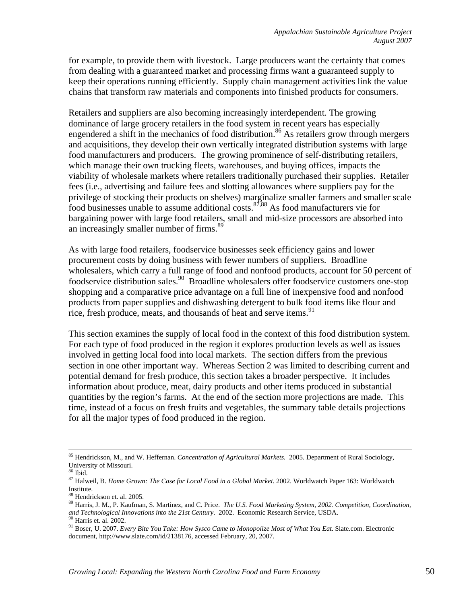for example, to provide them with livestock. Large producers want the certainty that comes from dealing with a guaranteed market and processing firms want a guaranteed supply to keep their operations running efficiently. Supply chain management activities link the value chains that transform raw materials and components into finished products for consumers.

Retailers and suppliers are also becoming increasingly interdependent. The growing dominance of large grocery retailers in the food system in recent years has especially engendered a shift in the mechanics of food distribution.<sup>86</sup> As retailers grow through mergers and acquisitions, they develop their own vertically integrated distribution systems with large food manufacturers and producers. The growing prominence of self-distributing retailers, which manage their own trucking fleets, warehouses, and buying offices, impacts the viability of wholesale markets where retailers traditionally purchased their supplies. Retailer fees (i.e., advertising and failure fees and slotting allowances where suppliers pay for the privilege of stocking their products on shelves) marginalize smaller farmers and smaller scale food businesses unable to assume additional costs. $\frac{87,88}{8}$  As food manufacturers vie for bargaining power with large food retailers, small and mid-size processors are absorbed into an increasingly smaller number of firms.<sup>89</sup>

As with large food retailers, foodservice businesses seek efficiency gains and lower procurement costs by doing business with fewer numbers of suppliers. Broadline wholesalers, which carry a full range of food and nonfood products, account for 50 percent of foodservice distribution sales.<sup>90</sup> Broadline wholesalers offer foodservice customers one-stop shopping and a comparative price advantage on a full line of inexpensive food and nonfood products from paper supplies and dishwashing detergent to bulk food items like flour and rice, fresh produce, meats, and thousands of heat and serve items.<sup>91</sup>

This section examines the supply of local food in the context of this food distribution system. For each type of food produced in the region it explores production levels as well as issues involved in getting local food into local markets. The section differs from the previous section in one other important way. Whereas Section 2 was limited to describing current and potential demand for fresh produce, this section takes a broader perspective. It includes information about produce, meat, dairy products and other items produced in substantial quantities by the region's farms. At the end of the section more projections are made. This time, instead of a focus on fresh fruits and vegetables, the summary table details projections for all the major types of food produced in the region.

 <sup>85</sup> Hendrickson, M., and W. Heffernan. *Concentration of Agricultural Markets.* 2005. Department of Rural Sociology, University of Missouri.

<sup>86</sup> Ibid.

<sup>87</sup> Halweil, B. *Home Grown: The Case for Local Food in a Global Market.* 2002. Worldwatch Paper 163: Worldwatch Institute.

<sup>&</sup>lt;sup>8</sup> Hendrickson et. al. 2005.

<sup>89</sup> Harris, J. M., P. Kaufman, S. Martinez, and C. Price. *The U.S. Food Marketing System, 2002. Competition, Coordination, and Technological Innovations into the 21st Century*. 2002. Economic Research Service, USDA. 90 Harris et. al. 2002.

<sup>91</sup> Boser, U. 2007. *Every Bite You Take: How Sysco Came to Monopolize Most of What You Eat.* Slate.com. Electronic document, http://www.slate.com/id/2138176, accessed February, 20, 2007.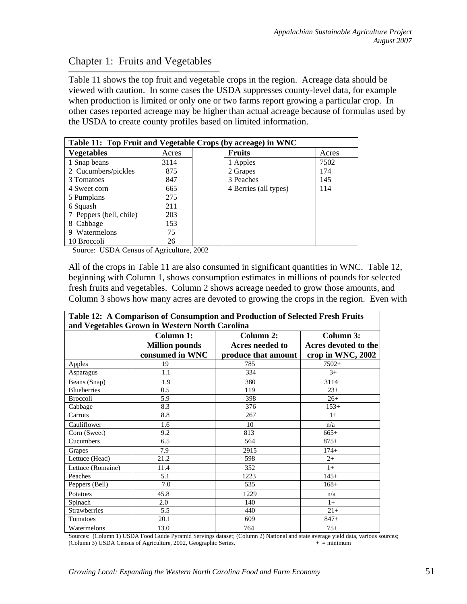# Chapter 1: Fruits and Vegetables

Table 11 shows the top fruit and vegetable crops in the region. Acreage data should be viewed with caution. In some cases the USDA suppresses county-level data, for example when production is limited or only one or two farms report growing a particular crop. In other cases reported acreage may be higher than actual acreage because of formulas used by the USDA to create county profiles based on limited information.

| Table 11: Top Fruit and Vegetable Crops (by acreage) in WNC |       |                       |       |
|-------------------------------------------------------------|-------|-----------------------|-------|
| <b>Vegetables</b>                                           | Acres | <b>Fruits</b>         | Acres |
| 1 Snap beans                                                | 3114  | 1 Apples              | 7502  |
| 2 Cucumbers/pickles                                         | 875   | 2 Grapes              | 174   |
| 3 Tomatoes                                                  | 847   | 3 Peaches             | 145   |
| 4 Sweet corn                                                | 665   | 4 Berries (all types) | 114   |
| 5 Pumpkins                                                  | 275   |                       |       |
| 6 Squash                                                    | 211   |                       |       |
| 7 Peppers (bell, chile)                                     | 203   |                       |       |
| 8 Cabbage                                                   | 153   |                       |       |
| 9 Watermelons                                               | 75    |                       |       |
| 10 Broccoli                                                 | 26    |                       |       |

Source: USDA Census of Agriculture, 2002

All of the crops in Table 11 are also consumed in significant quantities in WNC. Table 12, beginning with Column 1, shows consumption estimates in millions of pounds for selected fresh fruits and vegetables. Column 2 shows acreage needed to grow those amounts, and Column 3 shows how many acres are devoted to growing the crops in the region. Even with

| Table 12: A Comparison of Consumption and Production of Selected Fresh Fruits |                       |                     |                      |  |
|-------------------------------------------------------------------------------|-----------------------|---------------------|----------------------|--|
| and Vegetables Grown in Western North Carolina                                |                       |                     |                      |  |
|                                                                               | Column 1:             | Column 2:           | Column 3:            |  |
|                                                                               | <b>Million pounds</b> | Acres needed to     | Acres devoted to the |  |
|                                                                               | consumed in WNC       | produce that amount | crop in WNC, 2002    |  |
| Apples                                                                        | 19                    | 785                 | $7502+$              |  |
| Asparagus                                                                     | 1.1                   | 334                 | $3+$                 |  |
| Beans (Snap)                                                                  | 1.9                   | 380                 | $3114+$              |  |
| <b>Blueberries</b>                                                            | 0.5                   | 119                 | $23+$                |  |
| <b>Broccoli</b>                                                               | 5.9                   | 398                 | $26+$                |  |
| Cabbage                                                                       | 8.3                   | 376                 | $153+$               |  |
| Carrots                                                                       | 8.8                   | 267                 | $1+$                 |  |
| Cauliflower                                                                   | 1.6                   | 10                  | n/a                  |  |
| Corn (Sweet)                                                                  | 9.2                   | 813                 | $665+$               |  |
| Cucumbers                                                                     | 6.5                   | 564                 | $875+$               |  |
| Grapes                                                                        | 7.9                   | 2915                | $174+$               |  |
| Lettuce (Head)                                                                | 21.2                  | 598                 | $2+$                 |  |
| Lettuce (Romaine)                                                             | 11.4                  | 352                 | $1+$                 |  |
| Peaches                                                                       | 5.1                   | 1223                | $145+$               |  |
| Peppers (Bell)                                                                | 7.0                   | 535                 | $168+$               |  |
| Potatoes                                                                      | 45.8                  | 1229                | n/a                  |  |
| Spinach                                                                       | 2.0                   | 140                 | $1+$                 |  |
| <b>Strawberries</b>                                                           | 5.5                   | 440                 | $21+$                |  |
| Tomatoes                                                                      | 20.1                  | 609                 | $847+$               |  |
| Watermelons                                                                   | 13.0                  | 764                 | $75+$                |  |

Sources: (Column 1) USDA Food Guide Pyramid Servings dataset; (Column 2) National and state average yield data, various sources; (Column 3) USDA Census of Agriculture, 2002, Geographic Series.  $+ =$  minimum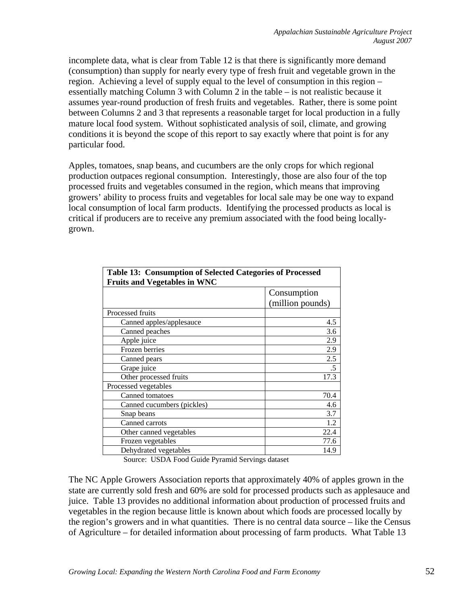incomplete data, what is clear from Table 12 is that there is significantly more demand (consumption) than supply for nearly every type of fresh fruit and vegetable grown in the region. Achieving a level of supply equal to the level of consumption in this region – essentially matching Column 3 with Column 2 in the table – is not realistic because it assumes year-round production of fresh fruits and vegetables. Rather, there is some point between Columns 2 and 3 that represents a reasonable target for local production in a fully mature local food system. Without sophisticated analysis of soil, climate, and growing conditions it is beyond the scope of this report to say exactly where that point is for any particular food.

Apples, tomatoes, snap beans, and cucumbers are the only crops for which regional production outpaces regional consumption. Interestingly, those are also four of the top processed fruits and vegetables consumed in the region, which means that improving growers' ability to process fruits and vegetables for local sale may be one way to expand local consumption of local farm products. Identifying the processed products as local is critical if producers are to receive any premium associated with the food being locallygrown.

| <b>Table 13: Consumption of Selected Categories of Processed</b><br><b>Fruits and Vegetables in WNC</b> |                  |  |
|---------------------------------------------------------------------------------------------------------|------------------|--|
|                                                                                                         | Consumption      |  |
|                                                                                                         | (million pounds) |  |
| Processed fruits                                                                                        |                  |  |
| Canned apples/applesauce                                                                                | 4.5              |  |
| Canned peaches                                                                                          | 3.6              |  |
| Apple juice                                                                                             | 2.9              |  |
| Frozen berries                                                                                          | 2.9              |  |
| Canned pears                                                                                            | 2.5              |  |
| Grape juice                                                                                             | $.5\,$           |  |
| Other processed fruits                                                                                  | 17.3             |  |
| Processed vegetables                                                                                    |                  |  |
| Canned tomatoes                                                                                         | 70.4             |  |
| Canned cucumbers (pickles)                                                                              | 4.6              |  |
| Snap beans                                                                                              | 3.7              |  |
| Canned carrots                                                                                          | 1.2              |  |
| Other canned vegetables                                                                                 | 22.4             |  |
| Frozen vegetables                                                                                       | 77.6             |  |
| Dehydrated vegetables                                                                                   | 14.9             |  |

Source: USDA Food Guide Pyramid Servings dataset

The NC Apple Growers Association reports that approximately 40% of apples grown in the state are currently sold fresh and 60% are sold for processed products such as applesauce and juice. Table 13 provides no additional information about production of processed fruits and vegetables in the region because little is known about which foods are processed locally by the region's growers and in what quantities. There is no central data source – like the Census of Agriculture – for detailed information about processing of farm products. What Table 13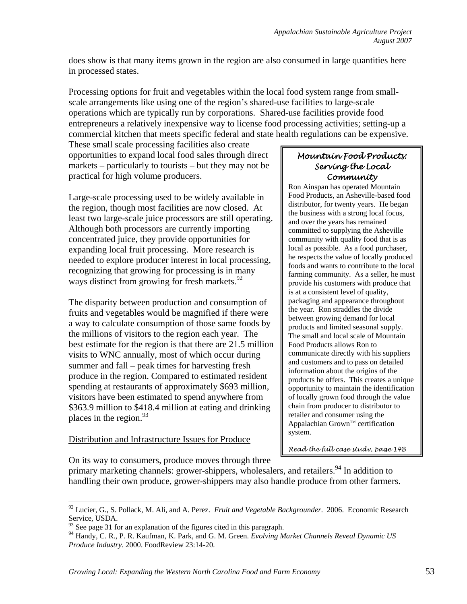does show is that many items grown in the region are also consumed in large quantities here in processed states.

Processing options for fruit and vegetables within the local food system range from smallscale arrangements like using one of the region's shared-use facilities to large-scale operations which are typically run by corporations. Shared-use facilities provide food entrepreneurs a relatively inexpensive way to license food processing activities; setting-up a commercial kitchen that meets specific federal and state health regulations can be expensive.

These small scale processing facilities also create opportunities to expand local food sales through direct markets – particularly to tourists – but they may not be practical for high volume producers.

Large-scale processing used to be widely available in the region, though most facilities are now closed. At least two large-scale juice processors are still operating. Although both processors are currently importing concentrated juice, they provide opportunities for expanding local fruit processing. More research is needed to explore producer interest in local processing, recognizing that growing for processing is in many ways distinct from growing for fresh markets.<sup>92</sup>

The disparity between production and consumption of fruits and vegetables would be magnified if there were a way to calculate consumption of those same foods by the millions of visitors to the region each year. The best estimate for the region is that there are 21.5 million visits to WNC annually, most of which occur during summer and fall – peak times for harvesting fresh produce in the region. Compared to estimated resident spending at restaurants of approximately \$693 million, visitors have been estimated to spend anywhere from \$363.9 million to \$418.4 million at eating and drinking places in the region. $^{93}$ 

## Distribution and Infrastructure Issues for Produce

 $\overline{a}$ 

### *Mountain Food Products: Serving the Local Community*

Ron Ainspan has operated Mountain Food Products, an Asheville-based food distributor, for twenty years. He began the business with a strong local focus, and over the years has remained committed to supplying the Asheville community with quality food that is as local as possible. As a food purchaser, he respects the value of locally produced foods and wants to contribute to the local farming community. As a seller, he must provide his customers with produce that is at a consistent level of quality, packaging and appearance throughout the year. Ron straddles the divide between growing demand for local products and limited seasonal supply. The small and local scale of Mountain Food Products allows Ron to communicate directly with his suppliers and customers and to pass on detailed information about the origins of the products he offers. This creates a unique opportunity to maintain the identification of locally grown food through the value chain from producer to distributor to retailer and consumer using the Appalachian Grown™ certification system.

*Read the full case study, page 14B*

On its way to consumers, produce moves through three

primary marketing channels: grower-shippers, wholesalers, and retailers.<sup>94</sup> In addition to handling their own produce, grower-shippers may also handle produce from other farmers.

<sup>92</sup> Lucier, G., S. Pollack, M. Ali, and A. Perez. *Fruit and Vegetable Backgrounder*. 2006. Economic Research Service, USDA.

 $93$  See page 31 for an explanation of the figures cited in this paragraph.

<sup>94</sup> Handy, C. R., P. R. Kaufman, K. Park, and G. M. Green. *Evolving Market Channels Reveal Dynamic US Produce Industry*. 2000. FoodReview 23:14-20.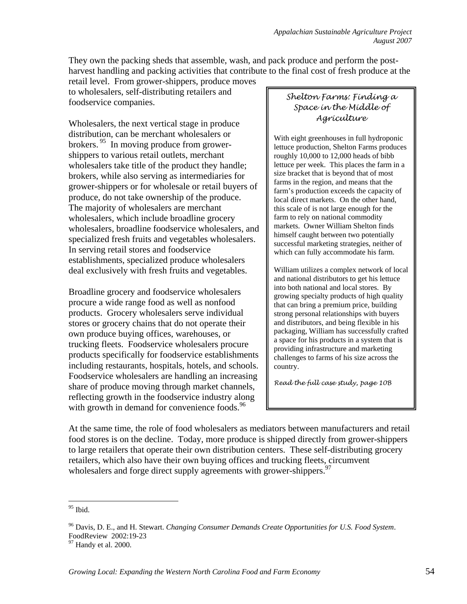They own the packing sheds that assemble, wash, and pack produce and perform the postharvest handling and packing activities that contribute to the final cost of fresh produce at the

retail level. From grower-shippers, produce moves to wholesalers, self-distributing retailers and foodservice companies.

Wholesalers, the next vertical stage in produce distribution, can be merchant wholesalers or brokers.<sup>95</sup> In moving produce from growershippers to various retail outlets, merchant wholesalers take title of the product they handle; brokers, while also serving as intermediaries for grower-shippers or for wholesale or retail buyers of produce, do not take ownership of the produce. The majority of wholesalers are merchant wholesalers, which include broadline grocery wholesalers, broadline foodservice wholesalers, and specialized fresh fruits and vegetables wholesalers. In serving retail stores and foodservice establishments, specialized produce wholesalers deal exclusively with fresh fruits and vegetables.

Broadline grocery and foodservice wholesalers procure a wide range food as well as nonfood products. Grocery wholesalers serve individual stores or grocery chains that do not operate their own produce buying offices, warehouses, or trucking fleets. Foodservice wholesalers procure products specifically for foodservice establishments including restaurants, hospitals, hotels, and schools. Foodservice wholesalers are handling an increasing share of produce moving through market channels, reflecting growth in the foodservice industry along with growth in demand for convenience foods. $96$ 

*Shelton Farms: Finding a Space in the Middle of Agriculture* 

With eight greenhouses in full hydroponic lettuce production, Shelton Farms produces roughly 10,000 to 12,000 heads of bibb lettuce per week. This places the farm in a size bracket that is beyond that of most farms in the region, and means that the farm's production exceeds the capacity of local direct markets. On the other hand, this scale of is not large enough for the farm to rely on national commodity markets. Owner William Shelton finds himself caught between two potentially successful marketing strategies, neither of which can fully accommodate his farm.

William utilizes a complex network of local and national distributors to get his lettuce into both national and local stores. By growing specialty products of high quality that can bring a premium price, building strong personal relationships with buyers and distributors, and being flexible in his packaging, William has successfully crafted a space for his products in a system that is providing infrastructure and marketing challenges to farms of his size across the country.

*Read the full case study, page 10B* 

At the same time, the role of food wholesalers as mediators between manufacturers and retail food stores is on the decline. Today, more produce is shipped directly from grower-shippers to large retailers that operate their own distribution centers. These self-distributing grocery retailers, which also have their own buying offices and trucking fleets, circumvent wholesalers and forge direct supply agreements with grower-shippers.<sup>97</sup>

1

<sup>95</sup> Ibid.

<sup>96</sup> Davis, D. E., and H. Stewart. *Changing Consumer Demands Create Opportunities for U.S. Food System*. FoodReview 2002:19-23

<sup>&</sup>lt;sup>97</sup> Handy et al. 2000.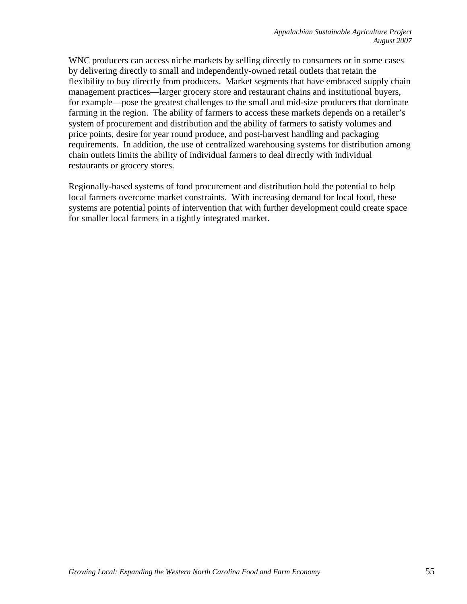WNC producers can access niche markets by selling directly to consumers or in some cases by delivering directly to small and independently-owned retail outlets that retain the flexibility to buy directly from producers. Market segments that have embraced supply chain management practices—larger grocery store and restaurant chains and institutional buyers, for example—pose the greatest challenges to the small and mid-size producers that dominate farming in the region. The ability of farmers to access these markets depends on a retailer's system of procurement and distribution and the ability of farmers to satisfy volumes and price points, desire for year round produce, and post-harvest handling and packaging requirements. In addition, the use of centralized warehousing systems for distribution among chain outlets limits the ability of individual farmers to deal directly with individual restaurants or grocery stores.

Regionally-based systems of food procurement and distribution hold the potential to help local farmers overcome market constraints. With increasing demand for local food, these systems are potential points of intervention that with further development could create space for smaller local farmers in a tightly integrated market.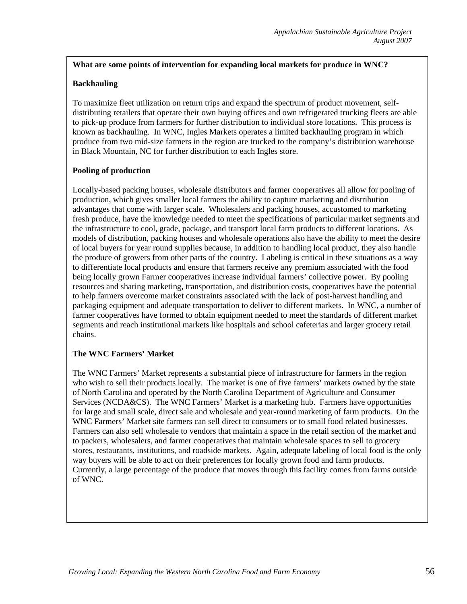### **What are some points of intervention for expanding local markets for produce in WNC?**

#### **Backhauling**

To maximize fleet utilization on return trips and expand the spectrum of product movement, selfdistributing retailers that operate their own buying offices and own refrigerated trucking fleets are able to pick-up produce from farmers for further distribution to individual store locations. This process is known as backhauling. In WNC, Ingles Markets operates a limited backhauling program in which produce from two mid-size farmers in the region are trucked to the company's distribution warehouse in Black Mountain, NC for further distribution to each Ingles store.

#### **Pooling of production**

Locally-based packing houses, wholesale distributors and farmer cooperatives all allow for pooling of production, which gives smaller local farmers the ability to capture marketing and distribution advantages that come with larger scale. Wholesalers and packing houses, accustomed to marketing fresh produce, have the knowledge needed to meet the specifications of particular market segments and the infrastructure to cool, grade, package, and transport local farm products to different locations. As models of distribution, packing houses and wholesale operations also have the ability to meet the desire of local buyers for year round supplies because, in addition to handling local product, they also handle the produce of growers from other parts of the country. Labeling is critical in these situations as a way to differentiate local products and ensure that farmers receive any premium associated with the food being locally grown Farmer cooperatives increase individual farmers' collective power. By pooling resources and sharing marketing, transportation, and distribution costs, cooperatives have the potential to help farmers overcome market constraints associated with the lack of post-harvest handling and packaging equipment and adequate transportation to deliver to different markets. In WNC, a number of farmer cooperatives have formed to obtain equipment needed to meet the standards of different market segments and reach institutional markets like hospitals and school cafeterias and larger grocery retail chains.

#### **The WNC Farmers' Market**

The WNC Farmers' Market represents a substantial piece of infrastructure for farmers in the region who wish to sell their products locally. The market is one of five farmers' markets owned by the state of North Carolina and operated by the North Carolina Department of Agriculture and Consumer Services (NCDA&CS). The WNC Farmers' Market is a marketing hub. Farmers have opportunities for large and small scale, direct sale and wholesale and year-round marketing of farm products. On the WNC Farmers' Market site farmers can sell direct to consumers or to small food related businesses. Farmers can also sell wholesale to vendors that maintain a space in the retail section of the market and to packers, wholesalers, and farmer cooperatives that maintain wholesale spaces to sell to grocery stores, restaurants, institutions, and roadside markets. Again, adequate labeling of local food is the only way buyers will be able to act on their preferences for locally grown food and farm products. Currently, a large percentage of the produce that moves through this facility comes from farms outside of WNC.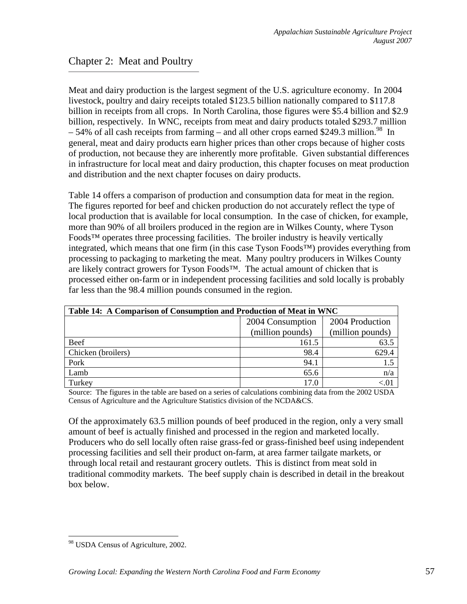# Chapter 2: Meat and Poultry

Meat and dairy production is the largest segment of the U.S. agriculture economy. In 2004 livestock, poultry and dairy receipts totaled \$123.5 billion nationally compared to \$117.8 billion in receipts from all crops. In North Carolina, those figures were \$5.4 billion and \$2.9 billion, respectively. In WNC, receipts from meat and dairy products totaled \$293.7 million  $-54\%$  of all cash receipts from farming – and all other crops earned \$249.3 million.<sup>98</sup> In general, meat and dairy products earn higher prices than other crops because of higher costs of production, not because they are inherently more profitable. Given substantial differences in infrastructure for local meat and dairy production, this chapter focuses on meat production and distribution and the next chapter focuses on dairy products.

Table 14 offers a comparison of production and consumption data for meat in the region. The figures reported for beef and chicken production do not accurately reflect the type of local production that is available for local consumption. In the case of chicken, for example, more than 90% of all broilers produced in the region are in Wilkes County, where Tyson Foods™ operates three processing facilities. The broiler industry is heavily vertically integrated, which means that one firm (in this case Tyson Foods™) provides everything from processing to packaging to marketing the meat. Many poultry producers in Wilkes County are likely contract growers for Tyson Foods™. The actual amount of chicken that is processed either on-farm or in independent processing facilities and sold locally is probably far less than the 98.4 million pounds consumed in the region.

| Table 14: A Comparison of Consumption and Production of Meat in WNC |                                     |                  |
|---------------------------------------------------------------------|-------------------------------------|------------------|
|                                                                     | 2004 Production<br>2004 Consumption |                  |
|                                                                     | (million pounds)                    | (million pounds) |
| Beef                                                                | 161.5                               | 63.5             |
| Chicken (broilers)                                                  | 98.4                                | 629.4            |
| Pork                                                                | 94.1                                |                  |
| Lamb                                                                | 65.6                                | n/a              |
| Turkey                                                              | 17.0                                |                  |

Source: The figures in the table are based on a series of calculations combining data from the 2002 USDA Census of Agriculture and the Agriculture Statistics division of the NCDA&CS.

Of the approximately 63.5 million pounds of beef produced in the region, only a very small amount of beef is actually finished and processed in the region and marketed locally. Producers who do sell locally often raise grass-fed or grass-finished beef using independent processing facilities and sell their product on-farm, at area farmer tailgate markets, or through local retail and restaurant grocery outlets. This is distinct from meat sold in traditional commodity markets. The beef supply chain is described in detail in the breakout box below.

<sup>&</sup>lt;sup>98</sup> USDA Census of Agriculture, 2002.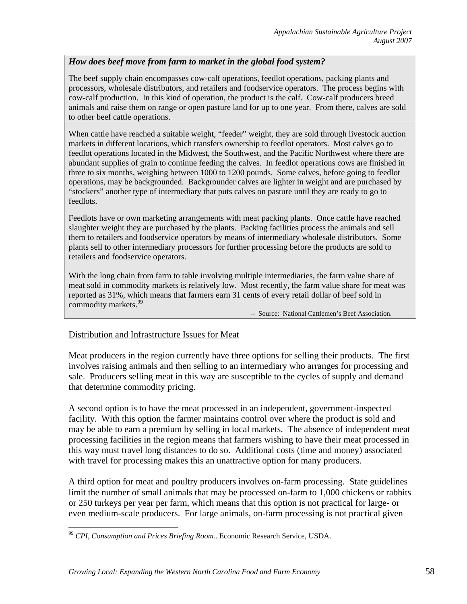## *How does beef move from farm to market in the global food system?*

The beef supply chain encompasses cow-calf operations, feedlot operations, packing plants and processors, wholesale distributors, and retailers and foodservice operators. The process begins with cow-calf production. In this kind of operation, the product is the calf. Cow-calf producers breed animals and raise them on range or open pasture land for up to one year. From there, calves are sold to other beef cattle operations.

When cattle have reached a suitable weight, "feeder" weight, they are sold through livestock auction markets in different locations, which transfers ownership to feedlot operators. Most calves go to feedlot operations located in the Midwest, the Southwest, and the Pacific Northwest where there are abundant supplies of grain to continue feeding the calves. In feedlot operations cows are finished in three to six months, weighing between 1000 to 1200 pounds. Some calves, before going to feedlot operations, may be backgrounded. Backgrounder calves are lighter in weight and are purchased by "stockers" another type of intermediary that puts calves on pasture until they are ready to go to feedlots.

Feedlots have or own marketing arrangements with meat packing plants. Once cattle have reached slaughter weight they are purchased by the plants. Packing facilities process the animals and sell them to retailers and foodservice operators by means of intermediary wholesale distributors. Some plants sell to other intermediary processors for further processing before the products are sold to retailers and foodservice operators.

With the long chain from farm to table involving multiple intermediaries, the farm value share of meat sold in commodity markets is relatively low. Most recently, the farm value share for meat was reported as 31%, which means that farmers earn 31 cents of every retail dollar of beef sold in commodity markets.<sup>99</sup> -- Source: National Cattlemen's Beef Association.

#### Distribution and Infrastructure Issues for Meat

 $\overline{a}$ 

Meat producers in the region currently have three options for selling their products. The first involves raising animals and then selling to an intermediary who arranges for processing and sale. Producers selling meat in this way are susceptible to the cycles of supply and demand that determine commodity pricing.

A second option is to have the meat processed in an independent, government-inspected facility. With this option the farmer maintains control over where the product is sold and may be able to earn a premium by selling in local markets. The absence of independent meat processing facilities in the region means that farmers wishing to have their meat processed in this way must travel long distances to do so. Additional costs (time and money) associated with travel for processing makes this an unattractive option for many producers.

A third option for meat and poultry producers involves on-farm processing. State guidelines limit the number of small animals that may be processed on-farm to 1,000 chickens or rabbits or 250 turkeys per year per farm, which means that this option is not practical for large- or even medium-scale producers. For large animals, on-farm processing is not practical given

<sup>99</sup> *CPI, Consumption and Prices Briefing Room.*. Economic Research Service, USDA.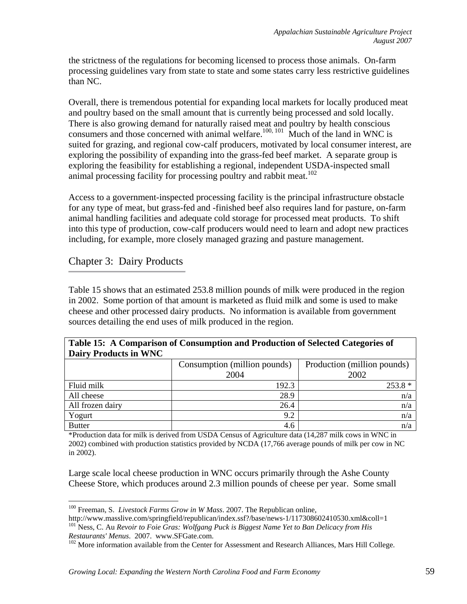the strictness of the regulations for becoming licensed to process those animals. On-farm processing guidelines vary from state to state and some states carry less restrictive guidelines than NC.

Overall, there is tremendous potential for expanding local markets for locally produced meat and poultry based on the small amount that is currently being processed and sold locally. There is also growing demand for naturally raised meat and poultry by health conscious consumers and those concerned with animal welfare.<sup>100, 101</sup> Much of the land in WNC is suited for grazing, and regional cow-calf producers, motivated by local consumer interest, are exploring the possibility of expanding into the grass-fed beef market. A separate group is exploring the feasibility for establishing a regional, independent USDA-inspected small animal processing facility for processing poultry and rabbit meat.<sup>102</sup>

Access to a government-inspected processing facility is the principal infrastructure obstacle for any type of meat, but grass-fed and -finished beef also requires land for pasture, on-farm animal handling facilities and adequate cold storage for processed meat products. To shift into this type of production, cow-calf producers would need to learn and adopt new practices including, for example, more closely managed grazing and pasture management.

# Chapter 3: Dairy Products

Table 15 shows that an estimated 253.8 million pounds of milk were produced in the region in 2002. Some portion of that amount is marketed as fluid milk and some is used to make cheese and other processed dairy products. No information is available from government sources detailing the end uses of milk produced in the region.

## **Table 15: A Comparison of Consumption and Production of Selected Categories of Dairy Products in WNC**

| $P$ and $\lambda$ is a sequence of $\lambda$ in $\lambda$ in $\lambda$ |                              |                             |
|------------------------------------------------------------------------|------------------------------|-----------------------------|
|                                                                        | Consumption (million pounds) | Production (million pounds) |
|                                                                        | 2004                         | 2002                        |
| Fluid milk                                                             | 192.3                        | $253.8*$                    |
| All cheese                                                             | 28.9                         | n/a                         |
| All frozen dairy                                                       | 26.4                         | n/a                         |
| Yogurt                                                                 | 9.2                          | n/a                         |
| <b>Butter</b>                                                          | 4.6                          | n/a                         |

\*Production data for milk is derived from USDA Census of Agriculture data (14,287 milk cows in WNC in 2002) combined with production statistics provided by NCDA (17,766 average pounds of milk per cow in NC in 2002).

Large scale local cheese production in WNC occurs primarily through the Ashe County Cheese Store, which produces around 2.3 million pounds of cheese per year. Some small

<sup>100</sup> Freeman, S. *Livestock Farms Grow in W Mass*. 2007. The Republican online,

http://www.masslive.com/springfield/republican/index.ssf?/base/news-1/117308602410530.xml&coll=1 101 Ness, C. Au *Revoir to Foie Gras: Wolfgang Puck is Biggest Name Yet to Ban Delicacy from His* 

*Restaurants' Menus.* 2007. www.SFGate.com.<br><sup>102</sup> More information available from the Center for Assessment and Research Alliances, Mars Hill College.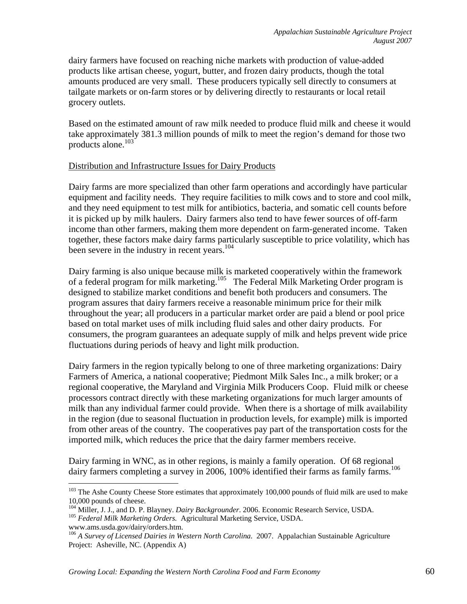dairy farmers have focused on reaching niche markets with production of value-added products like artisan cheese, yogurt, butter, and frozen dairy products, though the total amounts produced are very small. These producers typically sell directly to consumers at tailgate markets or on-farm stores or by delivering directly to restaurants or local retail grocery outlets.

Based on the estimated amount of raw milk needed to produce fluid milk and cheese it would take approximately 381.3 million pounds of milk to meet the region's demand for those two products alone.103

## Distribution and Infrastructure Issues for Dairy Products

Dairy farms are more specialized than other farm operations and accordingly have particular equipment and facility needs. They require facilities to milk cows and to store and cool milk, and they need equipment to test milk for antibiotics, bacteria, and somatic cell counts before it is picked up by milk haulers. Dairy farmers also tend to have fewer sources of off-farm income than other farmers, making them more dependent on farm-generated income. Taken together, these factors make dairy farms particularly susceptible to price volatility, which has been severe in the industry in recent years.<sup>104</sup>

Dairy farming is also unique because milk is marketed cooperatively within the framework of a federal program for milk marketing.<sup>105</sup> The Federal Milk Marketing Order program is designed to stabilize market conditions and benefit both producers and consumers. The program assures that dairy farmers receive a reasonable minimum price for their milk throughout the year; all producers in a particular market order are paid a blend or pool price based on total market uses of milk including fluid sales and other dairy products. For consumers, the program guarantees an adequate supply of milk and helps prevent wide price fluctuations during periods of heavy and light milk production.

Dairy farmers in the region typically belong to one of three marketing organizations: Dairy Farmers of America, a national cooperative; Piedmont Milk Sales Inc., a milk broker; or a regional cooperative, the Maryland and Virginia Milk Producers Coop. Fluid milk or cheese processors contract directly with these marketing organizations for much larger amounts of milk than any individual farmer could provide. When there is a shortage of milk availability in the region (due to seasonal fluctuation in production levels, for example) milk is imported from other areas of the country. The cooperatives pay part of the transportation costs for the imported milk, which reduces the price that the dairy farmer members receive.

Dairy farming in WNC, as in other regions, is mainly a family operation. Of 68 regional dairy farmers completing a survey in 2006, 100% identified their farms as family farms.<sup>106</sup>

<u>.</u>

<sup>&</sup>lt;sup>103</sup> The Ashe County Cheese Store estimates that approximately 100,000 pounds of fluid milk are used to make 10,000 pounds of cheese.

<sup>&</sup>lt;sup>104</sup> Miller, J. J., and D. P. Blayney. *Dairy Backgrounder*. 2006. Economic Research Service, USDA.<br><sup>105</sup> *Federal Milk Marketing Orders.* Agricultural Marketing Service, USDA. www.ams.usda.gov/dairy/orders.htm.

<sup>106</sup> *A Survey of Licensed Dairies in Western North Carolina.* 2007. Appalachian Sustainable Agriculture Project: Asheville, NC. (Appendix A)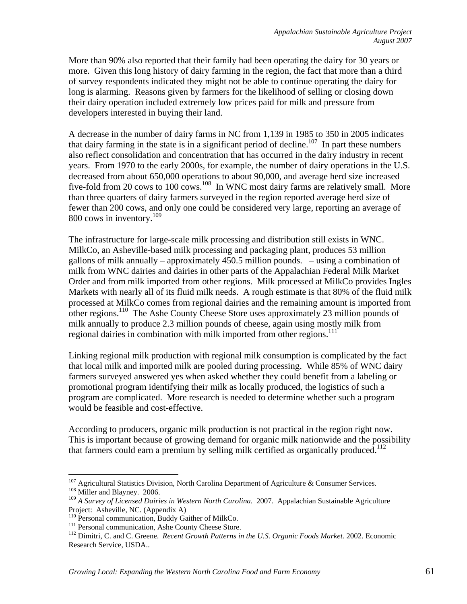More than 90% also reported that their family had been operating the dairy for 30 years or more. Given this long history of dairy farming in the region, the fact that more than a third of survey respondents indicated they might not be able to continue operating the dairy for long is alarming. Reasons given by farmers for the likelihood of selling or closing down their dairy operation included extremely low prices paid for milk and pressure from developers interested in buying their land.

A decrease in the number of dairy farms in NC from 1,139 in 1985 to 350 in 2005 indicates that dairy farming in the state is in a significant period of decline.<sup>107</sup> In part these numbers also reflect consolidation and concentration that has occurred in the dairy industry in recent years. From 1970 to the early 2000s, for example, the number of dairy operations in the U.S. decreased from about 650,000 operations to about 90,000, and average herd size increased five-fold from 20 cows to 100 cows.<sup>108</sup> In WNC most dairy farms are relatively small. More than three quarters of dairy farmers surveyed in the region reported average herd size of fewer than 200 cows, and only one could be considered very large, reporting an average of 800 cows in inventory.<sup>109</sup>

The infrastructure for large-scale milk processing and distribution still exists in WNC. MilkCo, an Asheville-based milk processing and packaging plant, produces 53 million gallons of milk annually – approximately 450.5 million pounds. – using a combination of milk from WNC dairies and dairies in other parts of the Appalachian Federal Milk Market Order and from milk imported from other regions. Milk processed at MilkCo provides Ingles Markets with nearly all of its fluid milk needs. A rough estimate is that 80% of the fluid milk processed at MilkCo comes from regional dairies and the remaining amount is imported from other regions.<sup>110</sup> The Ashe County Cheese Store uses approximately 23 million pounds of milk annually to produce 2.3 million pounds of cheese, again using mostly milk from regional dairies in combination with milk imported from other regions.<sup>111</sup>

Linking regional milk production with regional milk consumption is complicated by the fact that local milk and imported milk are pooled during processing. While 85% of WNC dairy farmers surveyed answered yes when asked whether they could benefit from a labeling or promotional program identifying their milk as locally produced, the logistics of such a program are complicated. More research is needed to determine whether such a program would be feasible and cost-effective.

According to producers, organic milk production is not practical in the region right now. This is important because of growing demand for organic milk nationwide and the possibility that farmers could earn a premium by selling milk certified as organically produced.<sup>112</sup>

<sup>&</sup>lt;sup>107</sup> Agricultural Statistics Division, North Carolina Department of Agriculture & Consumer Services.<br><sup>108</sup> Miller and Blayney. 2006. 108 Miller and Blayney. 2006.<br><sup>109</sup> *A Survey of Licensed Dairies in Western North Carolina.* 2007. Appalachian Sustainable Agriculture

Project: Asheville, NC. (Appendix A)<br><sup>110</sup> Personal communication, Buddy Gaither of MilkCo.

<sup>&</sup>lt;sup>111</sup> Personal communication, Ashe County Cheese Store.<br><sup>112</sup> Dimitri, C. and C. Greene. *Recent Growth Patterns in the U.S. Organic Foods Market.* 2002. Economic Research Service, USDA..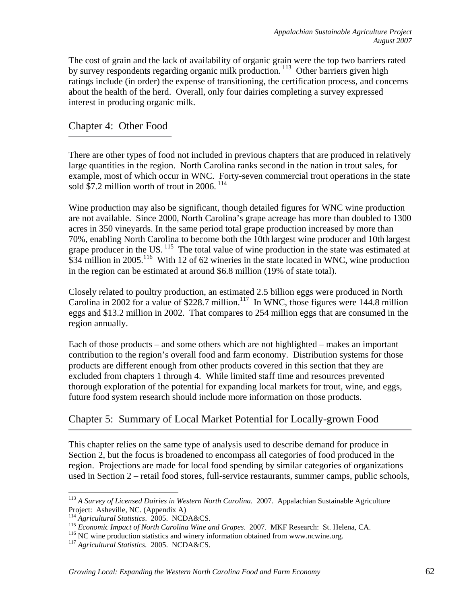The cost of grain and the lack of availability of organic grain were the top two barriers rated by survey respondents regarding organic milk production.<sup>113</sup> Other barriers given high ratings include (in order) the expense of transitioning, the certification process, and concerns about the health of the herd. Overall, only four dairies completing a survey expressed interest in producing organic milk.

# Chapter 4: Other Food

There are other types of food not included in previous chapters that are produced in relatively large quantities in the region. North Carolina ranks second in the nation in trout sales, for example, most of which occur in WNC. Forty-seven commercial trout operations in the state sold \$7.2 million worth of trout in 2006.  $114$ 

Wine production may also be significant, though detailed figures for WNC wine production are not available. Since 2000, North Carolina's grape acreage has more than doubled to 1300 acres in 350 vineyards. In the same period total grape production increased by more than 70%, enabling North Carolina to become both the 10th largest wine producer and 10th largest grape producer in the US.<sup>115</sup> The total value of wine production in the state was estimated at \$34 million in 2005.<sup>116</sup> With 12 of 62 wineries in the state located in WNC, wine production in the region can be estimated at around \$6.8 million (19% of state total).

Closely related to poultry production, an estimated 2.5 billion eggs were produced in North Carolina in 2002 for a value of \$228.7 million.<sup>117</sup> In WNC, those figures were 144.8 million eggs and \$13.2 million in 2002. That compares to 254 million eggs that are consumed in the region annually.

Each of those products – and some others which are not highlighted – makes an important contribution to the region's overall food and farm economy. Distribution systems for those products are different enough from other products covered in this section that they are excluded from chapters 1 through 4. While limited staff time and resources prevented thorough exploration of the potential for expanding local markets for trout, wine, and eggs, future food system research should include more information on those products.

# Chapter 5: Summary of Local Market Potential for Locally-grown Food

This chapter relies on the same type of analysis used to describe demand for produce in Section 2, but the focus is broadened to encompass all categories of food produced in the region. Projections are made for local food spending by similar categories of organizations used in Section 2 – retail food stores, full-service restaurants, summer camps, public schools,

 $\overline{a}$ <sup>113</sup> *A Survey of Licensed Dairies in Western North Carolina.* 2007. Appalachian Sustainable Agriculture Project: Asheville, NC. (Appendix A)

<sup>&</sup>lt;sup>114</sup> Agricultural Statistics. 2005. NCDA&CS.<br><sup>115</sup> Economic Impact of North Carolina Wine and Grapes. 2007. MKF Research: St. Helena, CA.<br><sup>116</sup> NC wine production statistics and winery information obtained from www.ncwine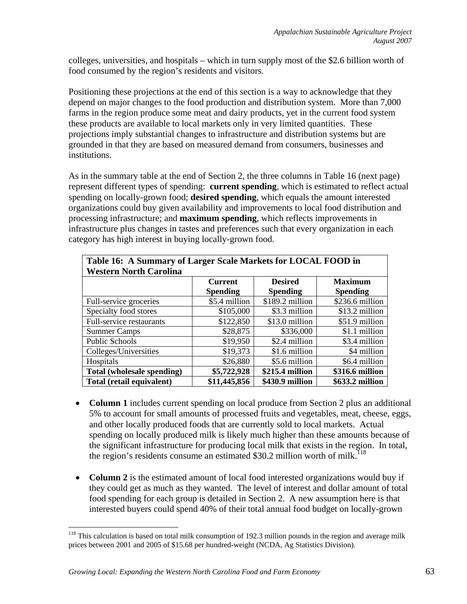colleges, universities, and hospitals – which in turn supply most of the \$2.6 billion worth of food consumed by the region's residents and visitors.

Positioning these projections at the end of this section is a way to acknowledge that they depend on major changes to the food production and distribution system. More than 7,000 farms in the region produce some meat and dairy products, yet in the current food system these products are available to local markets only in very limited quantities. These projections imply substantial changes to infrastructure and distribution systems but are grounded in that they are based on measured demand from consumers, businesses and institutions.

As in the summary table at the end of Section 2, the three columns in Table 16 (next page) represent different types of spending: **current spending**, which is estimated to reflect actual spending on locally-grown food; **desired spending**, which equals the amount interested organizations could buy given availability and improvements to local food distribution and processing infrastructure; and **maximum spending**, which reflects improvements in infrastructure plus changes in tastes and preferences such that every organization in each category has high interest in buying locally-grown food.

| Table 16: A Summary of Larger Scale Markets for LOCAL FOOD in |                 |                  |                 |  |  |  |
|---------------------------------------------------------------|-----------------|------------------|-----------------|--|--|--|
| <b>Western North Carolina</b>                                 |                 |                  |                 |  |  |  |
|                                                               | <b>Current</b>  | <b>Desired</b>   | <b>Maximum</b>  |  |  |  |
|                                                               | <b>Spending</b> | <b>Spending</b>  | <b>Spending</b> |  |  |  |
| Full-service groceries                                        | \$5.4 million   | $$189.2$ million | \$236.6 million |  |  |  |
| Specialty food stores                                         | \$105,000       | \$3.3 million    | \$13.2 million  |  |  |  |
| Full-service restaurants                                      | \$122,850       | \$13.0 million   | \$51.9 million  |  |  |  |
| <b>Summer Camps</b>                                           | \$28,875        | \$336,000        | \$1.1 million   |  |  |  |
| <b>Public Schools</b>                                         | \$19,950        | \$2.4 million    | \$3.4 million   |  |  |  |
| Colleges/Universities                                         | \$19,373        | \$1.6 million    | \$4 million     |  |  |  |
| Hospitals                                                     | \$26,880        | \$5.6 million    | \$6.4 million   |  |  |  |
| Total (wholesale spending)                                    | \$5,722,928     | \$215.4 million  | \$316.6 million |  |  |  |
| Total (retail equivalent)                                     | \$11,445,856    | \$430.9 million  | \$633.2 million |  |  |  |

- **Column 1** includes current spending on local produce from Section 2 plus an additional 5% to account for small amounts of processed fruits and vegetables, meat, cheese, eggs, and other locally produced foods that are currently sold to local markets. Actual spending on locally produced milk is likely much higher than these amounts because of the significant infrastructure for producing local milk that exists in the region. In total, the region's residents consume an estimated  $$30.2$  million worth of milk.<sup>118</sup>
- **Column 2** is the estimated amount of local food interested organizations would buy if they could get as much as they wanted. The level of interest and dollar amount of total food spending for each group is detailed in Section 2. A new assumption here is that interested buyers could spend 40% of their total annual food budget on locally-grown

<sup>&</sup>lt;sup>118</sup> This calculation is based on total milk consumption of 192.3 million pounds in the region and average milk prices between 2001 and 2005 of \$15.68 per hundred-weight (NCDA, Ag Statistics Division).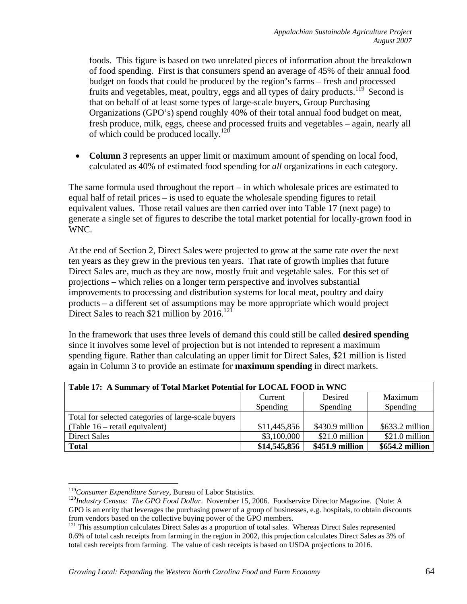foods. This figure is based on two unrelated pieces of information about the breakdown of food spending. First is that consumers spend an average of 45% of their annual food budget on foods that could be produced by the region's farms – fresh and processed fruits and vegetables, meat, poultry, eggs and all types of dairy products.<sup>119</sup> Second is that on behalf of at least some types of large-scale buyers, Group Purchasing Organizations (GPO's) spend roughly 40% of their total annual food budget on meat, fresh produce, milk, eggs, cheese and processed fruits and vegetables – again, nearly all of which could be produced locally.<sup>120</sup>

• **Column 3** represents an upper limit or maximum amount of spending on local food, calculated as 40% of estimated food spending for *all* organizations in each category.

The same formula used throughout the report – in which wholesale prices are estimated to equal half of retail prices – is used to equate the wholesale spending figures to retail equivalent values. Those retail values are then carried over into Table 17 (next page) to generate a single set of figures to describe the total market potential for locally-grown food in WNC.

At the end of Section 2, Direct Sales were projected to grow at the same rate over the next ten years as they grew in the previous ten years. That rate of growth implies that future Direct Sales are, much as they are now, mostly fruit and vegetable sales. For this set of projections – which relies on a longer term perspective and involves substantial improvements to processing and distribution systems for local meat, poultry and dairy products – a different set of assumptions may be more appropriate which would project Direct Sales to reach \$21 million by  $2016$ <sup>121</sup>

In the framework that uses three levels of demand this could still be called **desired spending** since it involves some level of projection but is not intended to represent a maximum spending figure. Rather than calculating an upper limit for Direct Sales, \$21 million is listed again in Column 3 to provide an estimate for **maximum spending** in direct markets.

| Table 17: A Summary of Total Market Potential for LOCAL FOOD in WNC |                 |                 |                  |  |  |
|---------------------------------------------------------------------|-----------------|-----------------|------------------|--|--|
|                                                                     | Current         | Desired         | Maximum          |  |  |
|                                                                     | <b>Spending</b> | Spending        | Spending         |  |  |
| Total for selected categories of large-scale buyers                 |                 |                 |                  |  |  |
| $\sqrt{\text{Table 16} - \text{retail equivalent}}$                 | \$11,445,856    | \$430.9 million | $$633.2$ million |  |  |
| <b>Direct Sales</b>                                                 | \$3,100,000     | $$21.0$ million | \$21.0 million   |  |  |
| <b>Total</b>                                                        | \$14,545,856    | \$451.9 million | \$654.2 million  |  |  |

 $^{119}$  Consumer Expenditure Survey, Bureau of Labor Statistics.

<sup>&</sup>lt;sup>120</sup>Industry Census: The GPO Food Dollar. November 15, 2006. Foodservice Director Magazine. (Note: A GPO is an entity that leverages the purchasing power of a group of businesses, e.g. hospitals, to obtain discounts from vendors based on the collective buying power of the GPO members.

<sup>&</sup>lt;sup>121</sup> This assumption calculates Direct Sales as a proportion of total sales. Whereas Direct Sales represented 0.6% of total cash receipts from farming in the region in 2002, this projection calculates Direct Sales as 3% of total cash receipts from farming. The value of cash receipts is based on USDA projections to 2016.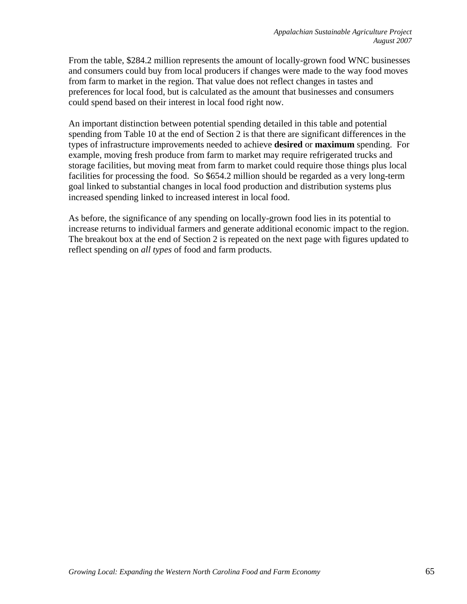From the table, \$284.2 million represents the amount of locally-grown food WNC businesses and consumers could buy from local producers if changes were made to the way food moves from farm to market in the region. That value does not reflect changes in tastes and preferences for local food, but is calculated as the amount that businesses and consumers could spend based on their interest in local food right now.

An important distinction between potential spending detailed in this table and potential spending from Table 10 at the end of Section 2 is that there are significant differences in the types of infrastructure improvements needed to achieve **desired** or **maximum** spending. For example, moving fresh produce from farm to market may require refrigerated trucks and storage facilities, but moving meat from farm to market could require those things plus local facilities for processing the food. So \$654.2 million should be regarded as a very long-term goal linked to substantial changes in local food production and distribution systems plus increased spending linked to increased interest in local food.

As before, the significance of any spending on locally-grown food lies in its potential to increase returns to individual farmers and generate additional economic impact to the region. The breakout box at the end of Section 2 is repeated on the next page with figures updated to reflect spending on *all types* of food and farm products.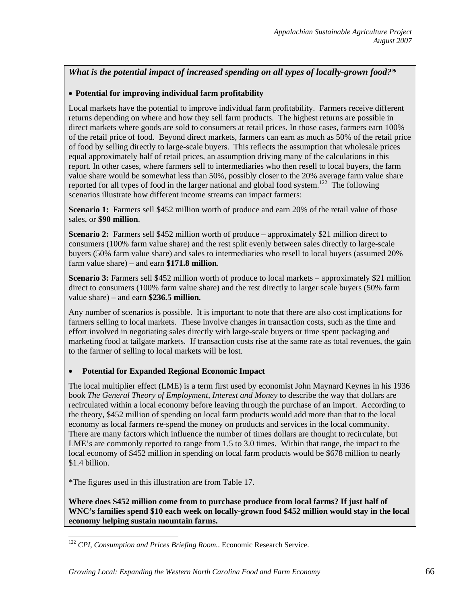*What is the potential impact of increased spending on all types of locally-grown food?\** 

### • **Potential for improving individual farm profitability**

Local markets have the potential to improve individual farm profitability. Farmers receive different returns depending on where and how they sell farm products. The highest returns are possible in direct markets where goods are sold to consumers at retail prices. In those cases, farmers earn 100% of the retail price of food. Beyond direct markets, farmers can earn as much as 50% of the retail price of food by selling directly to large-scale buyers. This reflects the assumption that wholesale prices equal approximately half of retail prices, an assumption driving many of the calculations in this report. In other cases, where farmers sell to intermediaries who then resell to local buyers, the farm value share would be somewhat less than 50%, possibly closer to the 20% average farm value share reported for all types of food in the larger national and global food system.<sup>122</sup> The following scenarios illustrate how different income streams can impact farmers:

Scenario 1: Farmers sell \$452 million worth of produce and earn 20% of the retail value of those sales, or **\$90 million**.

**Scenario 2:** Farmers sell \$452 million worth of produce – approximately \$21 million direct to consumers (100% farm value share) and the rest split evenly between sales directly to large-scale buyers (50% farm value share) and sales to intermediaries who resell to local buyers (assumed 20% farm value share) – and earn **\$171.8 million**.

**Scenario 3:** Farmers sell \$452 million worth of produce to local markets – approximately \$21 million direct to consumers (100% farm value share) and the rest directly to larger scale buyers (50% farm value share) – and earn **\$236.5 million.**

Any number of scenarios is possible. It is important to note that there are also cost implications for farmers selling to local markets. These involve changes in transaction costs, such as the time and effort involved in negotiating sales directly with large-scale buyers or time spent packaging and marketing food at tailgate markets. If transaction costs rise at the same rate as total revenues, the gain to the farmer of selling to local markets will be lost.

#### • **Potential for Expanded Regional Economic Impact**

The local multiplier effect (LME) is a term first used by economist John Maynard Keynes in his 1936 book *The General Theory of Employment, Interest and Money* to describe the way that dollars are recirculated within a local economy before leaving through the purchase of an import. According to the theory, \$452 million of spending on local farm products would add more than that to the local economy as local farmers re-spend the money on products and services in the local community. There are many factors which influence the number of times dollars are thought to recirculate, but LME's are commonly reported to range from 1.5 to 3.0 times. Within that range, the impact to the local economy of \$452 million in spending on local farm products would be \$678 million to nearly \$1.4 billion.

\*The figures used in this illustration are from Table 17.

 $\overline{a}$ 

**Where does \$452 million come from to purchase produce from local farms? If just half of WNC's families spend \$10 each week on locally-grown food \$452 million would stay in the local economy helping sustain mountain farms.**

<sup>&</sup>lt;sup>122</sup> CPI, Consumption and Prices Briefing Room.. Economic Research Service.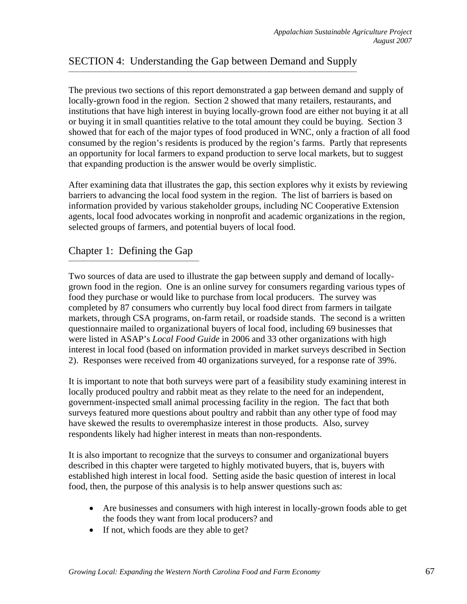# SECTION 4: Understanding the Gap between Demand and Supply

The previous two sections of this report demonstrated a gap between demand and supply of locally-grown food in the region. Section 2 showed that many retailers, restaurants, and institutions that have high interest in buying locally-grown food are either not buying it at all or buying it in small quantities relative to the total amount they could be buying. Section 3 showed that for each of the major types of food produced in WNC, only a fraction of all food consumed by the region's residents is produced by the region's farms. Partly that represents an opportunity for local farmers to expand production to serve local markets, but to suggest that expanding production is the answer would be overly simplistic.

After examining data that illustrates the gap, this section explores why it exists by reviewing barriers to advancing the local food system in the region. The list of barriers is based on information provided by various stakeholder groups, including NC Cooperative Extension agents, local food advocates working in nonprofit and academic organizations in the region, selected groups of farmers, and potential buyers of local food.

# Chapter 1: Defining the Gap

Two sources of data are used to illustrate the gap between supply and demand of locallygrown food in the region. One is an online survey for consumers regarding various types of food they purchase or would like to purchase from local producers. The survey was completed by 87 consumers who currently buy local food direct from farmers in tailgate markets, through CSA programs, on-farm retail, or roadside stands. The second is a written questionnaire mailed to organizational buyers of local food, including 69 businesses that were listed in ASAP's *Local Food Guide* in 2006 and 33 other organizations with high interest in local food (based on information provided in market surveys described in Section 2). Responses were received from 40 organizations surveyed, for a response rate of 39%.

It is important to note that both surveys were part of a feasibility study examining interest in locally produced poultry and rabbit meat as they relate to the need for an independent, government-inspected small animal processing facility in the region. The fact that both surveys featured more questions about poultry and rabbit than any other type of food may have skewed the results to overemphasize interest in those products. Also, survey respondents likely had higher interest in meats than non-respondents.

It is also important to recognize that the surveys to consumer and organizational buyers described in this chapter were targeted to highly motivated buyers, that is, buyers with established high interest in local food. Setting aside the basic question of interest in local food, then, the purpose of this analysis is to help answer questions such as:

- Are businesses and consumers with high interest in locally-grown foods able to get the foods they want from local producers? and
- If not, which foods are they able to get?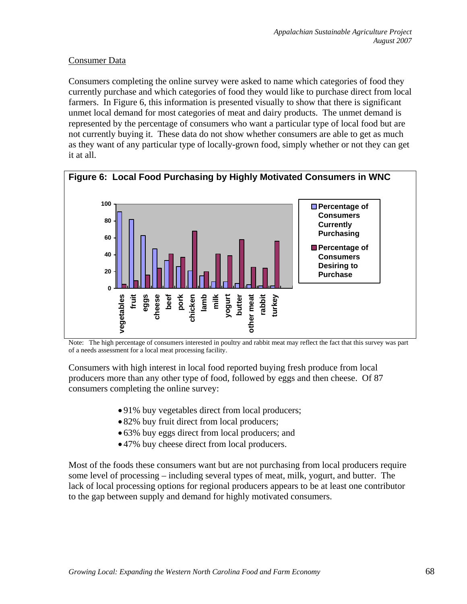# Consumer Data

Consumers completing the online survey were asked to name which categories of food they currently purchase and which categories of food they would like to purchase direct from local farmers. In Figure 6, this information is presented visually to show that there is significant unmet local demand for most categories of meat and dairy products. The unmet demand is represented by the percentage of consumers who want a particular type of local food but are not currently buying it. These data do not show whether consumers are able to get as much as they want of any particular type of locally-grown food, simply whether or not they can get it at all.



Note: The high percentage of consumers interested in poultry and rabbit meat may reflect the fact that this survey was part of a needs assessment for a local meat processing facility.

Consumers with high interest in local food reported buying fresh produce from local producers more than any other type of food, followed by eggs and then cheese. Of 87 consumers completing the online survey:

- 91% buy vegetables direct from local producers;
- 82% buy fruit direct from local producers;
- 63% buy eggs direct from local producers; and
- 47% buy cheese direct from local producers.

Most of the foods these consumers want but are not purchasing from local producers require some level of processing – including several types of meat, milk, yogurt, and butter. The lack of local processing options for regional producers appears to be at least one contributor to the gap between supply and demand for highly motivated consumers.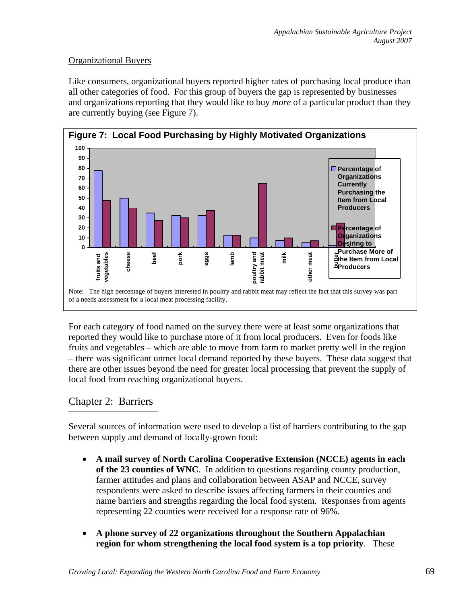# Organizational Buyers

Like consumers, organizational buyers reported higher rates of purchasing local produce than all other categories of food. For this group of buyers the gap is represented by businesses and organizations reporting that they would like to buy *more* of a particular product than they are currently buying (see Figure 7).



For each category of food named on the survey there were at least some organizations that reported they would like to purchase more of it from local producers. Even for foods like fruits and vegetables – which are able to move from farm to market pretty well in the region – there was significant unmet local demand reported by these buyers. These data suggest that there are other issues beyond the need for greater local processing that prevent the supply of local food from reaching organizational buyers.

# Chapter 2: Barriers

Several sources of information were used to develop a list of barriers contributing to the gap between supply and demand of locally-grown food:

- **A mail survey of North Carolina Cooperative Extension (NCCE) agents in each of the 23 counties of WNC**. In addition to questions regarding county production, farmer attitudes and plans and collaboration between ASAP and NCCE, survey respondents were asked to describe issues affecting farmers in their counties and name barriers and strengths regarding the local food system. Responses from agents representing 22 counties were received for a response rate of 96%.
- **A phone survey of 22 organizations throughout the Southern Appalachian region for whom strengthening the local food system is a top priority**. These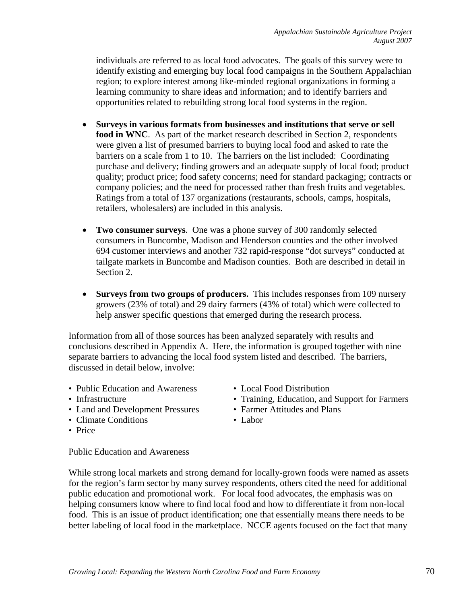individuals are referred to as local food advocates. The goals of this survey were to identify existing and emerging buy local food campaigns in the Southern Appalachian region; to explore interest among like-minded regional organizations in forming a learning community to share ideas and information; and to identify barriers and opportunities related to rebuilding strong local food systems in the region.

- **Surveys in various formats from businesses and institutions that serve or sell food in WNC**. As part of the market research described in Section 2, respondents were given a list of presumed barriers to buying local food and asked to rate the barriers on a scale from 1 to 10. The barriers on the list included: Coordinating purchase and delivery; finding growers and an adequate supply of local food; product quality; product price; food safety concerns; need for standard packaging; contracts or company policies; and the need for processed rather than fresh fruits and vegetables. Ratings from a total of 137 organizations (restaurants, schools, camps, hospitals, retailers, wholesalers) are included in this analysis.
- **Two consumer surveys**. One was a phone survey of 300 randomly selected consumers in Buncombe, Madison and Henderson counties and the other involved 694 customer interviews and another 732 rapid-response "dot surveys" conducted at tailgate markets in Buncombe and Madison counties. Both are described in detail in Section 2.
- **Surveys from two groups of producers.** This includes responses from 109 nursery growers (23% of total) and 29 dairy farmers (43% of total) which were collected to help answer specific questions that emerged during the research process.

Information from all of those sources has been analyzed separately with results and conclusions described in Appendix A. Here, the information is grouped together with nine separate barriers to advancing the local food system listed and described. The barriers, discussed in detail below, involve:

- Public Education and Awareness Local Food Distribution
- 
- Land and Development Pressures Farmer Attitudes and Plans
- Climate Conditions Labor
- 
- Infrastructure Training, Education, and Support for Farmers
	-
	-

• Price

#### Public Education and Awareness

While strong local markets and strong demand for locally-grown foods were named as assets for the region's farm sector by many survey respondents, others cited the need for additional public education and promotional work. For local food advocates, the emphasis was on helping consumers know where to find local food and how to differentiate it from non-local food. This is an issue of product identification; one that essentially means there needs to be better labeling of local food in the marketplace. NCCE agents focused on the fact that many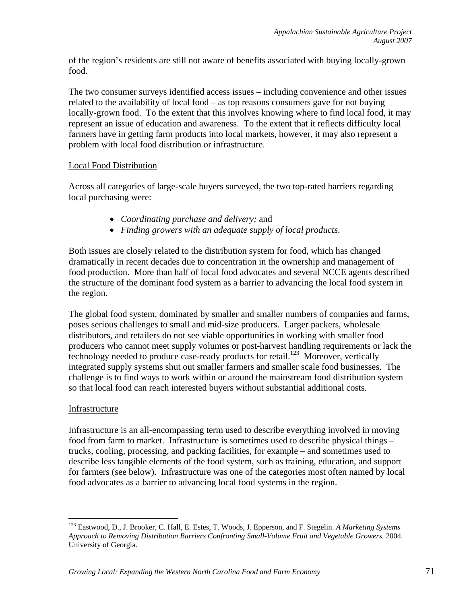of the region's residents are still not aware of benefits associated with buying locally-grown food.

The two consumer surveys identified access issues – including convenience and other issues related to the availability of local food – as top reasons consumers gave for not buying locally-grown food. To the extent that this involves knowing where to find local food, it may represent an issue of education and awareness. To the extent that it reflects difficulty local farmers have in getting farm products into local markets, however, it may also represent a problem with local food distribution or infrastructure.

# Local Food Distribution

Across all categories of large-scale buyers surveyed, the two top-rated barriers regarding local purchasing were:

- *Coordinating purchase and delivery;* and
- *Finding growers with an adequate supply of local products*.

Both issues are closely related to the distribution system for food, which has changed dramatically in recent decades due to concentration in the ownership and management of food production. More than half of local food advocates and several NCCE agents described the structure of the dominant food system as a barrier to advancing the local food system in the region.

The global food system, dominated by smaller and smaller numbers of companies and farms, poses serious challenges to small and mid-size producers. Larger packers, wholesale distributors, and retailers do not see viable opportunities in working with smaller food producers who cannot meet supply volumes or post-harvest handling requirements or lack the technology needed to produce case-ready products for retail.<sup>123</sup> Moreover, vertically integrated supply systems shut out smaller farmers and smaller scale food businesses. The challenge is to find ways to work within or around the mainstream food distribution system so that local food can reach interested buyers without substantial additional costs.

# Infrastructure

1

Infrastructure is an all-encompassing term used to describe everything involved in moving food from farm to market. Infrastructure is sometimes used to describe physical things – trucks, cooling, processing, and packing facilities, for example – and sometimes used to describe less tangible elements of the food system, such as training, education, and support for farmers (see below). Infrastructure was one of the categories most often named by local food advocates as a barrier to advancing local food systems in the region.

<sup>123</sup> Eastwood, D., J. Brooker, C. Hall, E. Estes, T. Woods, J. Epperson, and F. Stegelin. *A Marketing Systems Approach to Removing Distribution Barriers Confronting Small-Volume Fruit and Vegetable Growers*. 2004. University of Georgia.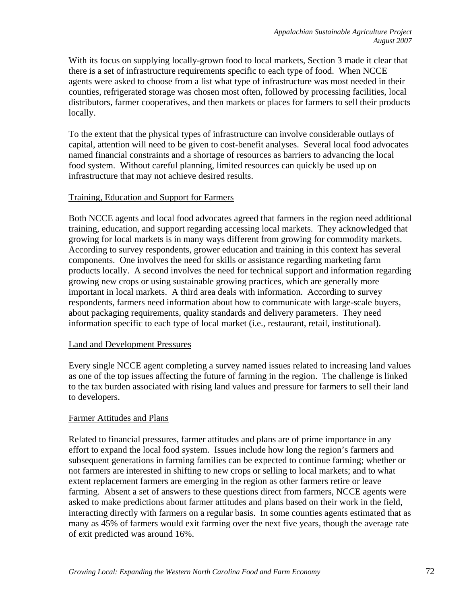With its focus on supplying locally-grown food to local markets, Section 3 made it clear that there is a set of infrastructure requirements specific to each type of food. When NCCE agents were asked to choose from a list what type of infrastructure was most needed in their counties, refrigerated storage was chosen most often, followed by processing facilities, local distributors, farmer cooperatives, and then markets or places for farmers to sell their products locally.

To the extent that the physical types of infrastructure can involve considerable outlays of capital, attention will need to be given to cost-benefit analyses. Several local food advocates named financial constraints and a shortage of resources as barriers to advancing the local food system. Without careful planning, limited resources can quickly be used up on infrastructure that may not achieve desired results.

## Training, Education and Support for Farmers

Both NCCE agents and local food advocates agreed that farmers in the region need additional training, education, and support regarding accessing local markets. They acknowledged that growing for local markets is in many ways different from growing for commodity markets. According to survey respondents, grower education and training in this context has several components. One involves the need for skills or assistance regarding marketing farm products locally. A second involves the need for technical support and information regarding growing new crops or using sustainable growing practices, which are generally more important in local markets. A third area deals with information. According to survey respondents, farmers need information about how to communicate with large-scale buyers, about packaging requirements, quality standards and delivery parameters. They need information specific to each type of local market (i.e., restaurant, retail, institutional).

#### Land and Development Pressures

Every single NCCE agent completing a survey named issues related to increasing land values as one of the top issues affecting the future of farming in the region. The challenge is linked to the tax burden associated with rising land values and pressure for farmers to sell their land to developers.

#### Farmer Attitudes and Plans

Related to financial pressures, farmer attitudes and plans are of prime importance in any effort to expand the local food system. Issues include how long the region's farmers and subsequent generations in farming families can be expected to continue farming; whether or not farmers are interested in shifting to new crops or selling to local markets; and to what extent replacement farmers are emerging in the region as other farmers retire or leave farming. Absent a set of answers to these questions direct from farmers, NCCE agents were asked to make predictions about farmer attitudes and plans based on their work in the field, interacting directly with farmers on a regular basis. In some counties agents estimated that as many as 45% of farmers would exit farming over the next five years, though the average rate of exit predicted was around 16%.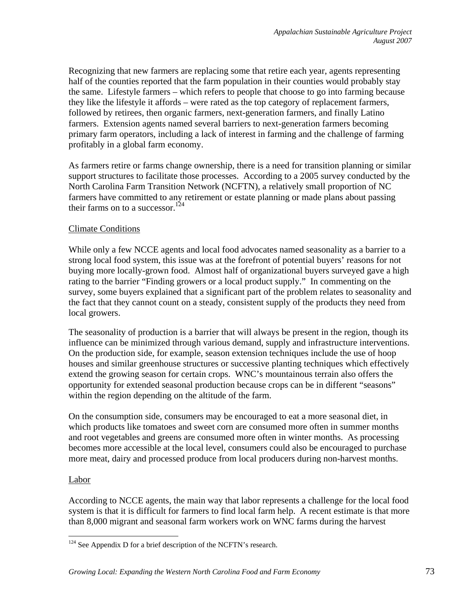Recognizing that new farmers are replacing some that retire each year, agents representing half of the counties reported that the farm population in their counties would probably stay the same. Lifestyle farmers – which refers to people that choose to go into farming because they like the lifestyle it affords – were rated as the top category of replacement farmers, followed by retirees, then organic farmers, next-generation farmers, and finally Latino farmers. Extension agents named several barriers to next-generation farmers becoming primary farm operators, including a lack of interest in farming and the challenge of farming profitably in a global farm economy.

As farmers retire or farms change ownership, there is a need for transition planning or similar support structures to facilitate those processes. According to a 2005 survey conducted by the North Carolina Farm Transition Network (NCFTN), a relatively small proportion of NC farmers have committed to any retirement or estate planning or made plans about passing their farms on to a successor.<sup>124</sup>

## Climate Conditions

While only a few NCCE agents and local food advocates named seasonality as a barrier to a strong local food system, this issue was at the forefront of potential buyers' reasons for not buying more locally-grown food. Almost half of organizational buyers surveyed gave a high rating to the barrier "Finding growers or a local product supply." In commenting on the survey, some buyers explained that a significant part of the problem relates to seasonality and the fact that they cannot count on a steady, consistent supply of the products they need from local growers.

The seasonality of production is a barrier that will always be present in the region, though its influence can be minimized through various demand, supply and infrastructure interventions. On the production side, for example, season extension techniques include the use of hoop houses and similar greenhouse structures or successive planting techniques which effectively extend the growing season for certain crops. WNC's mountainous terrain also offers the opportunity for extended seasonal production because crops can be in different "seasons" within the region depending on the altitude of the farm.

On the consumption side, consumers may be encouraged to eat a more seasonal diet, in which products like tomatoes and sweet corn are consumed more often in summer months and root vegetables and greens are consumed more often in winter months. As processing becomes more accessible at the local level, consumers could also be encouraged to purchase more meat, dairy and processed produce from local producers during non-harvest months.

#### Labor

 $\overline{a}$ 

According to NCCE agents, the main way that labor represents a challenge for the local food system is that it is difficult for farmers to find local farm help. A recent estimate is that more than 8,000 migrant and seasonal farm workers work on WNC farms during the harvest

 $124$  See Appendix D for a brief description of the NCFTN's research.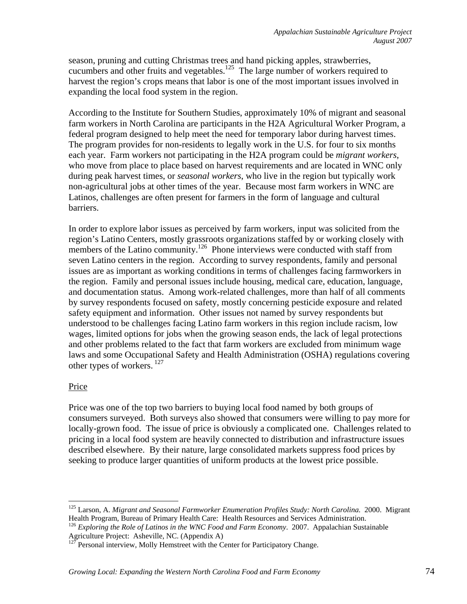season, pruning and cutting Christmas trees and hand picking apples, strawberries, cucumbers and other fruits and vegetables.<sup>125</sup> The large number of workers required to harvest the region's crops means that labor is one of the most important issues involved in expanding the local food system in the region.

According to the Institute for Southern Studies, approximately 10% of migrant and seasonal farm workers in North Carolina are participants in the H2A Agricultural Worker Program, a federal program designed to help meet the need for temporary labor during harvest times. The program provides for non-residents to legally work in the U.S. for four to six months each year. Farm workers not participating in the H2A program could be *migrant workers*, who move from place to place based on harvest requirements and are located in WNC only during peak harvest times, or *seasonal workers*, who live in the region but typically work non-agricultural jobs at other times of the year. Because most farm workers in WNC are Latinos, challenges are often present for farmers in the form of language and cultural barriers.

In order to explore labor issues as perceived by farm workers, input was solicited from the region's Latino Centers, mostly grassroots organizations staffed by or working closely with members of the Latino community.<sup>126</sup> Phone interviews were conducted with staff from seven Latino centers in the region. According to survey respondents, family and personal issues are as important as working conditions in terms of challenges facing farmworkers in the region. Family and personal issues include housing, medical care, education, language, and documentation status. Among work-related challenges, more than half of all comments by survey respondents focused on safety, mostly concerning pesticide exposure and related safety equipment and information. Other issues not named by survey respondents but understood to be challenges facing Latino farm workers in this region include racism, low wages, limited options for jobs when the growing season ends, the lack of legal protections and other problems related to the fact that farm workers are excluded from minimum wage laws and some Occupational Safety and Health Administration (OSHA) regulations covering other types of workers. 127

# Price

1

Price was one of the top two barriers to buying local food named by both groups of consumers surveyed. Both surveys also showed that consumers were willing to pay more for locally-grown food. The issue of price is obviously a complicated one. Challenges related to pricing in a local food system are heavily connected to distribution and infrastructure issues described elsewhere. By their nature, large consolidated markets suppress food prices by seeking to produce larger quantities of uniform products at the lowest price possible.

<sup>&</sup>lt;sup>125</sup> Larson, A. *Migrant and Seasonal Farmworker Enumeration Profiles Study: North Carolina.* 2000. Migrant Health Program, Bureau of Primary Health Care: Health Resources and Services Administration. 126 *Exploring the Role of Latinos in the WNC Food and Farm Economy*. 2007. Appalachian Sustainable

Agriculture Project: Asheville, NC. (Appendix A)

 $\sqrt{7}$  Personal interview, Molly Hemstreet with the Center for Participatory Change.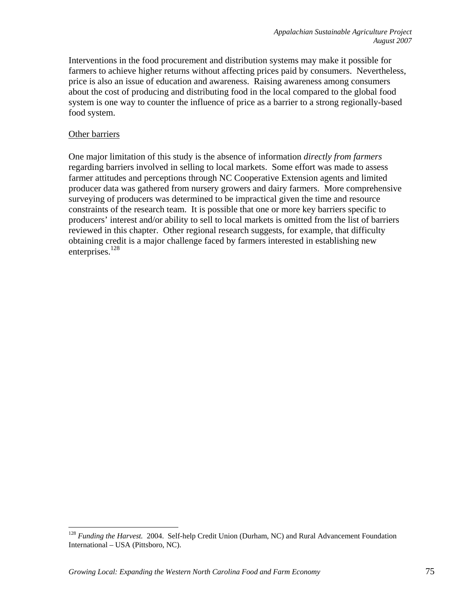Interventions in the food procurement and distribution systems may make it possible for farmers to achieve higher returns without affecting prices paid by consumers. Nevertheless, price is also an issue of education and awareness. Raising awareness among consumers about the cost of producing and distributing food in the local compared to the global food system is one way to counter the influence of price as a barrier to a strong regionally-based food system.

## Other barriers

 $\overline{a}$ 

One major limitation of this study is the absence of information *directly from farmers* regarding barriers involved in selling to local markets. Some effort was made to assess farmer attitudes and perceptions through NC Cooperative Extension agents and limited producer data was gathered from nursery growers and dairy farmers. More comprehensive surveying of producers was determined to be impractical given the time and resource constraints of the research team. It is possible that one or more key barriers specific to producers' interest and/or ability to sell to local markets is omitted from the list of barriers reviewed in this chapter. Other regional research suggests, for example, that difficulty obtaining credit is a major challenge faced by farmers interested in establishing new enterprises. $^{128}$ 

<sup>128</sup> *Funding the Harvest.* 2004. Self-help Credit Union (Durham, NC) and Rural Advancement Foundation International – USA (Pittsboro, NC).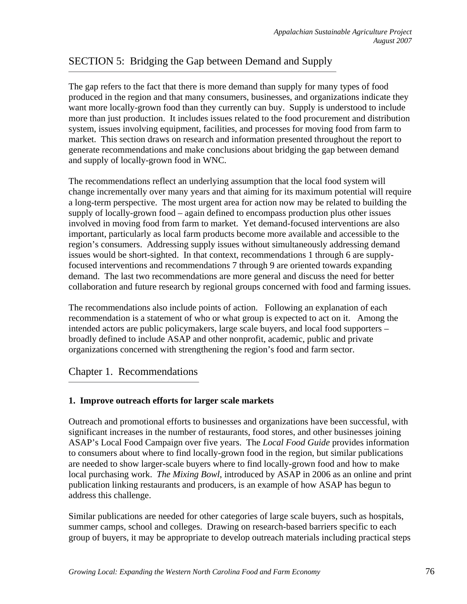# SECTION 5: Bridging the Gap between Demand and Supply

The gap refers to the fact that there is more demand than supply for many types of food produced in the region and that many consumers, businesses, and organizations indicate they want more locally-grown food than they currently can buy. Supply is understood to include more than just production. It includes issues related to the food procurement and distribution system, issues involving equipment, facilities, and processes for moving food from farm to market. This section draws on research and information presented throughout the report to generate recommendations and make conclusions about bridging the gap between demand and supply of locally-grown food in WNC.

The recommendations reflect an underlying assumption that the local food system will change incrementally over many years and that aiming for its maximum potential will require a long-term perspective. The most urgent area for action now may be related to building the supply of locally-grown food – again defined to encompass production plus other issues involved in moving food from farm to market. Yet demand-focused interventions are also important, particularly as local farm products become more available and accessible to the region's consumers. Addressing supply issues without simultaneously addressing demand issues would be short-sighted. In that context, recommendations 1 through 6 are supplyfocused interventions and recommendations 7 through 9 are oriented towards expanding demand. The last two recommendations are more general and discuss the need for better collaboration and future research by regional groups concerned with food and farming issues.

The recommendations also include points of action. Following an explanation of each recommendation is a statement of who or what group is expected to act on it. Among the intended actors are public policymakers, large scale buyers, and local food supporters – broadly defined to include ASAP and other nonprofit, academic, public and private organizations concerned with strengthening the region's food and farm sector.

# Chapter 1. Recommendations

#### **1. Improve outreach efforts for larger scale markets**

Outreach and promotional efforts to businesses and organizations have been successful, with significant increases in the number of restaurants, food stores, and other businesses joining ASAP's Local Food Campaign over five years. The *Local Food Guide* provides information to consumers about where to find locally-grown food in the region, but similar publications are needed to show larger-scale buyers where to find locally-grown food and how to make local purchasing work. *The Mixing Bowl*, introduced by ASAP in 2006 as an online and print publication linking restaurants and producers, is an example of how ASAP has begun to address this challenge.

Similar publications are needed for other categories of large scale buyers, such as hospitals, summer camps, school and colleges. Drawing on research-based barriers specific to each group of buyers, it may be appropriate to develop outreach materials including practical steps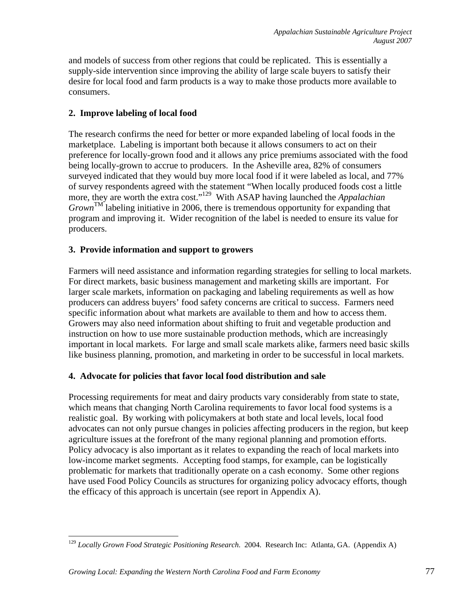and models of success from other regions that could be replicated. This is essentially a supply-side intervention since improving the ability of large scale buyers to satisfy their desire for local food and farm products is a way to make those products more available to consumers.

# **2. Improve labeling of local food**

The research confirms the need for better or more expanded labeling of local foods in the marketplace. Labeling is important both because it allows consumers to act on their preference for locally-grown food and it allows any price premiums associated with the food being locally-grown to accrue to producers. In the Asheville area, 82% of consumers surveyed indicated that they would buy more local food if it were labeled as local, and 77% of survey respondents agreed with the statement "When locally produced foods cost a little more, they are worth the extra cost."129 With ASAP having launched the *Appalachian*   $Grown^{\text{TM}}$  labeling initiative in 2006, there is tremendous opportunity for expanding that program and improving it. Wider recognition of the label is needed to ensure its value for producers.

# **3. Provide information and support to growers**

Farmers will need assistance and information regarding strategies for selling to local markets. For direct markets, basic business management and marketing skills are important. For larger scale markets, information on packaging and labeling requirements as well as how producers can address buyers' food safety concerns are critical to success. Farmers need specific information about what markets are available to them and how to access them. Growers may also need information about shifting to fruit and vegetable production and instruction on how to use more sustainable production methods, which are increasingly important in local markets. For large and small scale markets alike, farmers need basic skills like business planning, promotion, and marketing in order to be successful in local markets.

# **4. Advocate for policies that favor local food distribution and sale**

Processing requirements for meat and dairy products vary considerably from state to state, which means that changing North Carolina requirements to favor local food systems is a realistic goal. By working with policymakers at both state and local levels, local food advocates can not only pursue changes in policies affecting producers in the region, but keep agriculture issues at the forefront of the many regional planning and promotion efforts. Policy advocacy is also important as it relates to expanding the reach of local markets into low-income market segments. Accepting food stamps, for example, can be logistically problematic for markets that traditionally operate on a cash economy. Some other regions have used Food Policy Councils as structures for organizing policy advocacy efforts, though the efficacy of this approach is uncertain (see report in Appendix A).

 $\overline{a}$ <sup>129</sup> *Locally Grown Food Strategic Positioning Research*. 2004. Research Inc: Atlanta, GA. (Appendix A)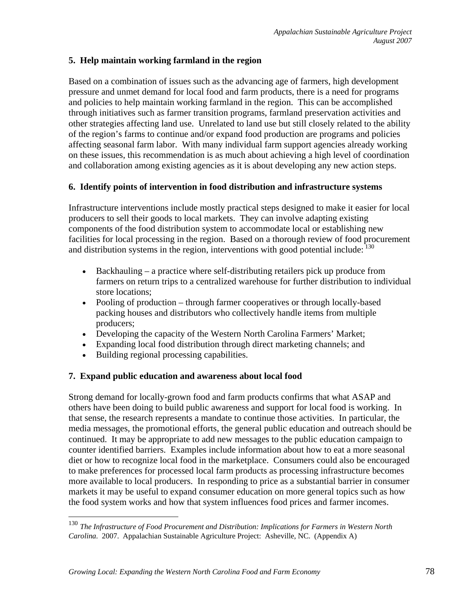# **5. Help maintain working farmland in the region**

Based on a combination of issues such as the advancing age of farmers, high development pressure and unmet demand for local food and farm products, there is a need for programs and policies to help maintain working farmland in the region. This can be accomplished through initiatives such as farmer transition programs, farmland preservation activities and other strategies affecting land use. Unrelated to land use but still closely related to the ability of the region's farms to continue and/or expand food production are programs and policies affecting seasonal farm labor. With many individual farm support agencies already working on these issues, this recommendation is as much about achieving a high level of coordination and collaboration among existing agencies as it is about developing any new action steps.

# **6. Identify points of intervention in food distribution and infrastructure systems**

Infrastructure interventions include mostly practical steps designed to make it easier for local producers to sell their goods to local markets. They can involve adapting existing components of the food distribution system to accommodate local or establishing new facilities for local processing in the region. Based on a thorough review of food procurement and distribution systems in the region, interventions with good potential include:  $130$ 

- Backhauling a practice where self-distributing retailers pick up produce from farmers on return trips to a centralized warehouse for further distribution to individual store locations;
- Pooling of production through farmer cooperatives or through locally-based packing houses and distributors who collectively handle items from multiple producers;
- Developing the capacity of the Western North Carolina Farmers' Market;
- Expanding local food distribution through direct marketing channels; and
- Building regional processing capabilities.

1

# **7. Expand public education and awareness about local food**

Strong demand for locally-grown food and farm products confirms that what ASAP and others have been doing to build public awareness and support for local food is working. In that sense, the research represents a mandate to continue those activities. In particular, the media messages, the promotional efforts, the general public education and outreach should be continued. It may be appropriate to add new messages to the public education campaign to counter identified barriers. Examples include information about how to eat a more seasonal diet or how to recognize local food in the marketplace. Consumers could also be encouraged to make preferences for processed local farm products as processing infrastructure becomes more available to local producers. In responding to price as a substantial barrier in consumer markets it may be useful to expand consumer education on more general topics such as how the food system works and how that system influences food prices and farmer incomes.

<sup>130</sup> *The Infrastructure of Food Procurement and Distribution: Implications for Farmers in Western North Carolina.* 2007. Appalachian Sustainable Agriculture Project: Asheville, NC. (Appendix A)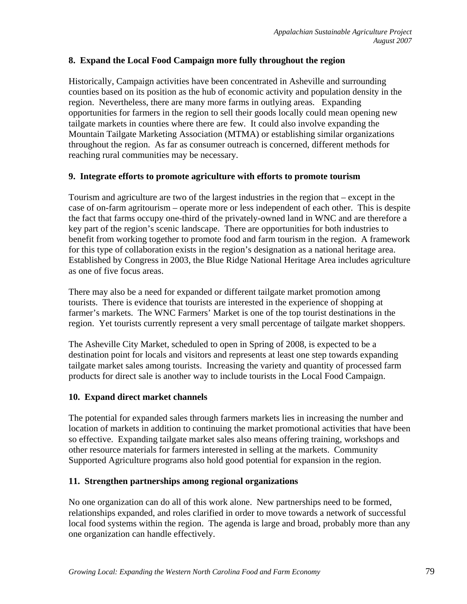# **8. Expand the Local Food Campaign more fully throughout the region**

Historically, Campaign activities have been concentrated in Asheville and surrounding counties based on its position as the hub of economic activity and population density in the region. Nevertheless, there are many more farms in outlying areas. Expanding opportunities for farmers in the region to sell their goods locally could mean opening new tailgate markets in counties where there are few. It could also involve expanding the Mountain Tailgate Marketing Association (MTMA) or establishing similar organizations throughout the region. As far as consumer outreach is concerned, different methods for reaching rural communities may be necessary.

## **9. Integrate efforts to promote agriculture with efforts to promote tourism**

Tourism and agriculture are two of the largest industries in the region that – except in the case of on-farm agritourism – operate more or less independent of each other. This is despite the fact that farms occupy one-third of the privately-owned land in WNC and are therefore a key part of the region's scenic landscape. There are opportunities for both industries to benefit from working together to promote food and farm tourism in the region. A framework for this type of collaboration exists in the region's designation as a national heritage area. Established by Congress in 2003, the Blue Ridge National Heritage Area includes agriculture as one of five focus areas.

There may also be a need for expanded or different tailgate market promotion among tourists. There is evidence that tourists are interested in the experience of shopping at farmer's markets. The WNC Farmers' Market is one of the top tourist destinations in the region. Yet tourists currently represent a very small percentage of tailgate market shoppers.

The Asheville City Market, scheduled to open in Spring of 2008, is expected to be a destination point for locals and visitors and represents at least one step towards expanding tailgate market sales among tourists. Increasing the variety and quantity of processed farm products for direct sale is another way to include tourists in the Local Food Campaign.

# **10. Expand direct market channels**

The potential for expanded sales through farmers markets lies in increasing the number and location of markets in addition to continuing the market promotional activities that have been so effective. Expanding tailgate market sales also means offering training, workshops and other resource materials for farmers interested in selling at the markets. Community Supported Agriculture programs also hold good potential for expansion in the region.

#### **11. Strengthen partnerships among regional organizations**

No one organization can do all of this work alone. New partnerships need to be formed, relationships expanded, and roles clarified in order to move towards a network of successful local food systems within the region. The agenda is large and broad, probably more than any one organization can handle effectively.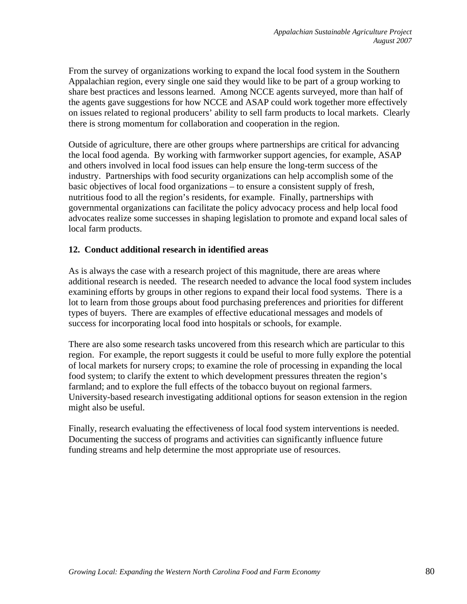From the survey of organizations working to expand the local food system in the Southern Appalachian region, every single one said they would like to be part of a group working to share best practices and lessons learned. Among NCCE agents surveyed, more than half of the agents gave suggestions for how NCCE and ASAP could work together more effectively on issues related to regional producers' ability to sell farm products to local markets. Clearly there is strong momentum for collaboration and cooperation in the region.

Outside of agriculture, there are other groups where partnerships are critical for advancing the local food agenda. By working with farmworker support agencies, for example, ASAP and others involved in local food issues can help ensure the long-term success of the industry. Partnerships with food security organizations can help accomplish some of the basic objectives of local food organizations – to ensure a consistent supply of fresh, nutritious food to all the region's residents, for example. Finally, partnerships with governmental organizations can facilitate the policy advocacy process and help local food advocates realize some successes in shaping legislation to promote and expand local sales of local farm products.

## **12. Conduct additional research in identified areas**

As is always the case with a research project of this magnitude, there are areas where additional research is needed. The research needed to advance the local food system includes examining efforts by groups in other regions to expand their local food systems. There is a lot to learn from those groups about food purchasing preferences and priorities for different types of buyers. There are examples of effective educational messages and models of success for incorporating local food into hospitals or schools, for example.

There are also some research tasks uncovered from this research which are particular to this region. For example, the report suggests it could be useful to more fully explore the potential of local markets for nursery crops; to examine the role of processing in expanding the local food system; to clarify the extent to which development pressures threaten the region's farmland; and to explore the full effects of the tobacco buyout on regional farmers. University-based research investigating additional options for season extension in the region might also be useful.

Finally, research evaluating the effectiveness of local food system interventions is needed. Documenting the success of programs and activities can significantly influence future funding streams and help determine the most appropriate use of resources.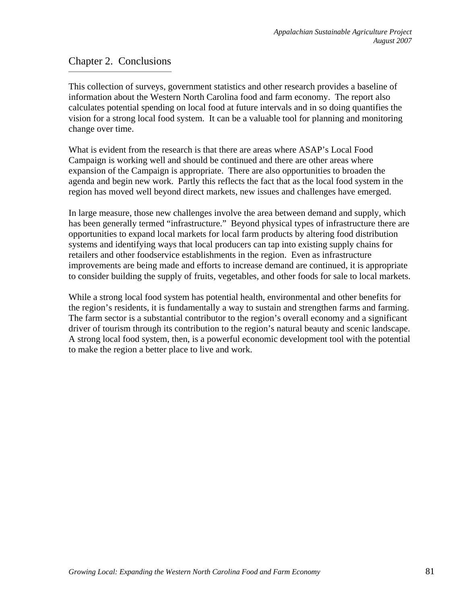# Chapter 2. Conclusions

This collection of surveys, government statistics and other research provides a baseline of information about the Western North Carolina food and farm economy. The report also calculates potential spending on local food at future intervals and in so doing quantifies the vision for a strong local food system. It can be a valuable tool for planning and monitoring change over time.

What is evident from the research is that there are areas where ASAP's Local Food Campaign is working well and should be continued and there are other areas where expansion of the Campaign is appropriate. There are also opportunities to broaden the agenda and begin new work. Partly this reflects the fact that as the local food system in the region has moved well beyond direct markets, new issues and challenges have emerged.

In large measure, those new challenges involve the area between demand and supply, which has been generally termed "infrastructure." Beyond physical types of infrastructure there are opportunities to expand local markets for local farm products by altering food distribution systems and identifying ways that local producers can tap into existing supply chains for retailers and other foodservice establishments in the region. Even as infrastructure improvements are being made and efforts to increase demand are continued, it is appropriate to consider building the supply of fruits, vegetables, and other foods for sale to local markets.

While a strong local food system has potential health, environmental and other benefits for the region's residents, it is fundamentally a way to sustain and strengthen farms and farming. The farm sector is a substantial contributor to the region's overall economy and a significant driver of tourism through its contribution to the region's natural beauty and scenic landscape. A strong local food system, then, is a powerful economic development tool with the potential to make the region a better place to live and work.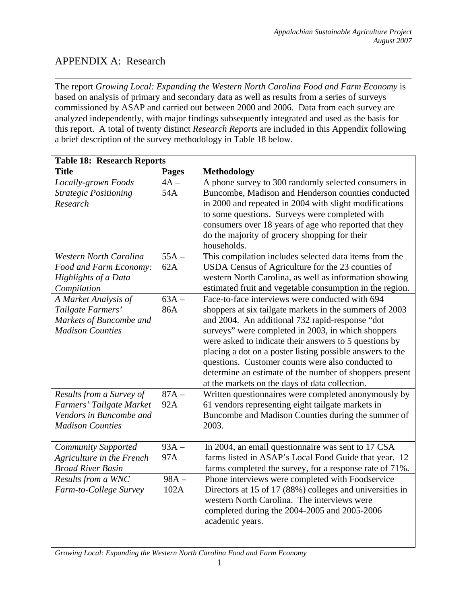# APPENDIX A: Research

The report *Growing Local: Expanding the Western North Carolina Food and Farm Economy* is based on analysis of primary and secondary data as well as results from a series of surveys commissioned by ASAP and carried out between 2000 and 2006. Data from each survey are analyzed independently, with major findings subsequently integrated and used as the basis for this report. A total of twenty distinct *Research Reports* are included in this Appendix following a brief description of the survey methodology in Table 18 below.

| <b>Table 18: Research Reports</b>                                                                          |                 |                                                                                                                                                                                                                                                                                                                                                                                                                                                                                                              |  |  |
|------------------------------------------------------------------------------------------------------------|-----------------|--------------------------------------------------------------------------------------------------------------------------------------------------------------------------------------------------------------------------------------------------------------------------------------------------------------------------------------------------------------------------------------------------------------------------------------------------------------------------------------------------------------|--|--|
| <b>Title</b>                                                                                               | <b>Pages</b>    | Methodology                                                                                                                                                                                                                                                                                                                                                                                                                                                                                                  |  |  |
| Locally-grown Foods<br><b>Strategic Positioning</b><br>Research                                            | $4A -$<br>54A   | A phone survey to 300 randomly selected consumers in<br>Buncombe, Madison and Henderson counties conducted<br>in 2000 and repeated in 2004 with slight modifications<br>to some questions. Surveys were completed with<br>consumers over 18 years of age who reported that they<br>do the majority of grocery shopping for their<br>households.                                                                                                                                                              |  |  |
| <b>Western North Carolina</b><br>Food and Farm Economy:<br>Highlights of a Data<br>Compilation             | $55A -$<br>62A  | This compilation includes selected data items from the<br>USDA Census of Agriculture for the 23 counties of<br>western North Carolina, as well as information showing<br>estimated fruit and vegetable consumption in the region.                                                                                                                                                                                                                                                                            |  |  |
| A Market Analysis of<br>Tailgate Farmers'<br>Markets of Buncombe and<br><b>Madison Counties</b>            | $63A -$<br>86A  | Face-to-face interviews were conducted with 694<br>shoppers at six tailgate markets in the summers of 2003<br>and 2004. An additional 732 rapid-response "dot<br>surveys" were completed in 2003, in which shoppers<br>were asked to indicate their answers to 5 questions by<br>placing a dot on a poster listing possible answers to the<br>questions. Customer counts were also conducted to<br>determine an estimate of the number of shoppers present<br>at the markets on the days of data collection. |  |  |
| Results from a Survey of<br>Farmers' Tailgate Market<br>Vendors in Buncombe and<br><b>Madison Counties</b> | $87A -$<br>92A  | Written questionnaires were completed anonymously by<br>61 vendors representing eight tailgate markets in<br>Buncombe and Madison Counties during the summer of<br>2003.                                                                                                                                                                                                                                                                                                                                     |  |  |
| <b>Community Supported</b><br>Agriculture in the French<br><b>Broad River Basin</b>                        | $93A -$<br>97A  | In 2004, an email questionnaire was sent to 17 CSA<br>farms listed in ASAP's Local Food Guide that year. 12<br>farms completed the survey, for a response rate of 71%.                                                                                                                                                                                                                                                                                                                                       |  |  |
| Results from a WNC<br>Farm-to-College Survey                                                               | $98A -$<br>102A | Phone interviews were completed with Foodservice<br>Directors at 15 of 17 (88%) colleges and universities in<br>western North Carolina. The interviews were<br>completed during the 2004-2005 and 2005-2006<br>academic years.                                                                                                                                                                                                                                                                               |  |  |

*Growing Local: Expanding the Western North Carolina Food and Farm Economy*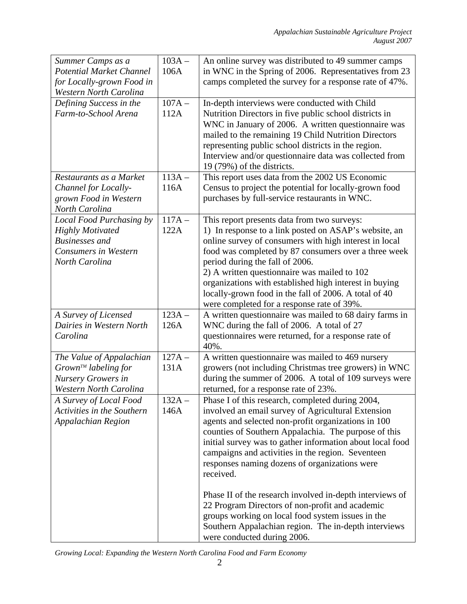| Summer Camps as a               | $103A -$             | An online survey was distributed to 49 summer camps       |
|---------------------------------|----------------------|-----------------------------------------------------------|
| <b>Potential Market Channel</b> | 106A                 | in WNC in the Spring of 2006. Representatives from 23     |
| for Locally-grown Food in       |                      | camps completed the survey for a response rate of 47%.    |
| <b>Western North Carolina</b>   |                      |                                                           |
| Defining Success in the         | $107A -$             | In-depth interviews were conducted with Child             |
| Farm-to-School Arena            | 112A                 | Nutrition Directors in five public school districts in    |
|                                 |                      | WNC in January of 2006. A written questionnaire was       |
|                                 |                      | mailed to the remaining 19 Child Nutrition Directors      |
|                                 |                      | representing public school districts in the region.       |
|                                 |                      | Interview and/or questionnaire data was collected from    |
|                                 |                      | 19 (79%) of the districts.                                |
| Restaurants as a Market         | $\overline{1}$ 13A – | This report uses data from the 2002 US Economic           |
| Channel for Locally-            | 116A                 | Census to project the potential for locally-grown food    |
| grown Food in Western           |                      | purchases by full-service restaurants in WNC.             |
| North Carolina                  |                      |                                                           |
| Local Food Purchasing by        | $117A -$             | This report presents data from two surveys:               |
| <b>Highly Motivated</b>         | 122A                 | 1) In response to a link posted on ASAP's website, an     |
| <b>Businesses</b> and           |                      | online survey of consumers with high interest in local    |
| Consumers in Western            |                      | food was completed by 87 consumers over a three week      |
| North Carolina                  |                      | period during the fall of 2006.                           |
|                                 |                      | 2) A written questionnaire was mailed to 102              |
|                                 |                      | organizations with established high interest in buying    |
|                                 |                      | locally-grown food in the fall of 2006. A total of 40     |
|                                 |                      | were completed for a response rate of 39%.                |
| A Survey of Licensed            | $123A -$             | A written questionnaire was mailed to 68 dairy farms in   |
| Dairies in Western North        | 126A                 | WNC during the fall of 2006. A total of 27                |
| Carolina                        |                      | questionnaires were returned, for a response rate of      |
|                                 |                      | 40%.                                                      |
| The Value of Appalachian        | $127A -$             | A written questionnaire was mailed to 469 nursery         |
| $Grown^{TM}$ labeling for       | 131A                 | growers (not including Christmas tree growers) in WNC     |
| Nursery Growers in              |                      | during the summer of 2006. A total of 109 surveys were    |
| <b>Western North Carolina</b>   |                      | returned, for a response rate of 23%.                     |
| A Survey of Local Food          | $132A -$             | Phase I of this research, completed during 2004,          |
| Activities in the Southern      | 146A                 | involved an email survey of Agricultural Extension        |
| Appalachian Region              |                      | agents and selected non-profit organizations in 100       |
|                                 |                      | counties of Southern Appalachia. The purpose of this      |
|                                 |                      | initial survey was to gather information about local food |
|                                 |                      | campaigns and activities in the region. Seventeen         |
|                                 |                      | responses naming dozens of organizations were             |
|                                 |                      | received.                                                 |
|                                 |                      |                                                           |
|                                 |                      | Phase II of the research involved in-depth interviews of  |
|                                 |                      | 22 Program Directors of non-profit and academic           |
|                                 |                      | groups working on local food system issues in the         |
|                                 |                      | Southern Appalachian region. The in-depth interviews      |
|                                 |                      | were conducted during 2006.                               |

*Growing Local: Expanding the Western North Carolina Food and Farm Economy*